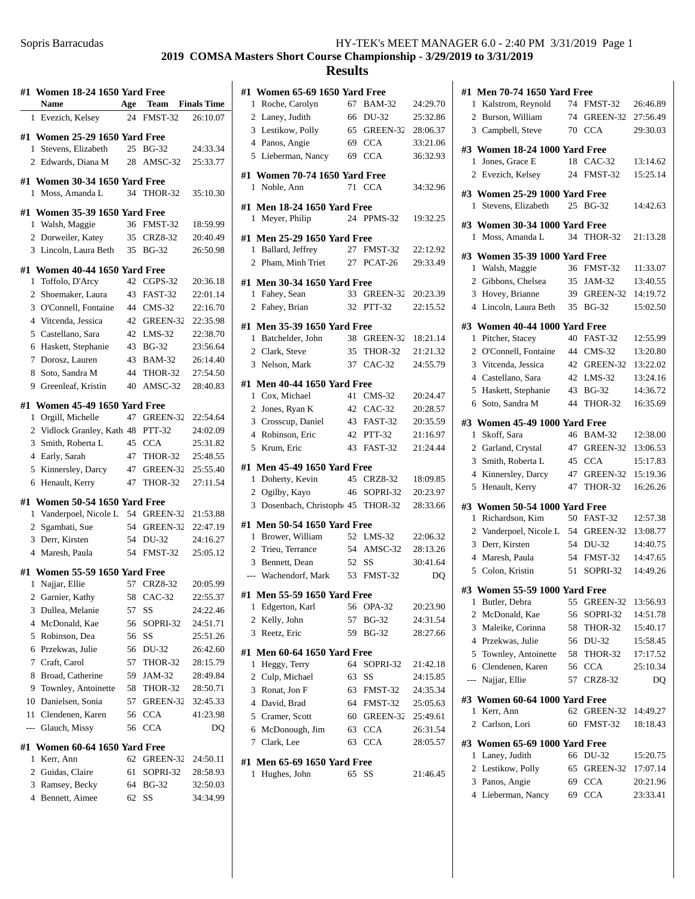|                | #1   Women 18-24 1650 Yard Free   |     |                |                    |
|----------------|-----------------------------------|-----|----------------|--------------------|
|                | Name                              | Age | Team           | <b>Finals Time</b> |
| 1              | Evezich, Kelsey                   | 24  | FMST-32        | 26:10.07           |
|                | #1 Women 25-29 1650 Yard Free     |     |                |                    |
| 1              | Stevens, Elizabeth                | 25  | <b>BG-32</b>   | 24:33.34           |
| $\overline{2}$ | Edwards, Diana M                  | 28  | AMSC-32        | 25:33.77           |
|                | #1 Women 30-34 1650 Yard Free     |     |                |                    |
| 1              | Moss, Amanda L                    | 34  | <b>THOR-32</b> | 35:10.30           |
|                |                                   |     |                |                    |
|                | #1 Women 35-39 1650 Yard Free     |     |                |                    |
| 1              | Walsh, Maggie                     | 36  | FMST-32        | 18:59.99           |
| 2              | Dorweiler, Katey                  | 35  | CRZ8-32        | 20:40.49           |
| 3              | Lincoln, Laura Beth               | 35  | <b>BG-32</b>   | 26:50.98           |
|                | #1   Women 40-44 1650 Yard Free   |     |                |                    |
| 1              | Toffolo, D'Arcy                   | 42  | $CGPS-32$      | 20:36.18           |
| 2              | Shoemaker, Laura                  | 43  | FAST-32        | 22:01.14           |
|                | 3 O'Connell, Fontaine             | 44  | $CMS-32$       | 22:16.70           |
|                | 4 Vitcenda, Jessica               | 42  | GREEN-32       | 22:35.98           |
|                | 5 Castellano, Sara                | 42  | $LMS-32$       | 22:38.70           |
| 6              | Haskett, Stephanie                | 43  | <b>BG-32</b>   | 23:56.64           |
| 7              | Dorosz, Lauren                    | 43  | <b>BAM-32</b>  | 26:14.40           |
| 8              | Soto, Sandra M                    | 44  | <b>THOR-32</b> | 27:54.50           |
| 9              | Greenleaf, Kristin                | 40  | $AMSC-32$      | 28:40.83           |
|                | #1   Women 45-49 1650 Yard Free   |     |                |                    |
| 1              | Orgill, Michelle                  | 47  | GREEN-32       | 22:54.64           |
| $\overline{2}$ | Vidlock Granley, Kath 48          |     | PTT-32         | 24:02.09           |
| 3              | Smith, Roberta L                  | 45  | <b>CCA</b>     | 25:31.82           |
|                | 4 Early, Sarah                    | 47  | THOR-32        | 25:48.55           |
| 5              | Kinnersley, Darcy                 | 47  | GREEN-32       | 25:55.40           |
| 6              | Henault, Kerry                    | 47  | THOR-32        | 27:11.54           |
|                |                                   |     |                |                    |
|                | #1   Women 50-54 1650 Yard Free   |     |                |                    |
| 1              | Vanderpoel, Nicole L              | 54  | GREEN-32       | 21:53.88           |
| 2              | Sgambati, Sue                     | 54  | GREEN-32       | 22:47.19           |
| 3              | Derr, Kirsten                     | 54  | DU-32          | 24:16.27           |
|                | 4 Maresh, Paula                   | 54  | FMST-32        | 25:05.12           |
|                | #1 Women 55-59 1650 Yard Free     |     |                |                    |
| 1              | Najjar, Ellie                     | 57  | CRZ8-32        | 20:05.99           |
| 2              | Garnier, Kathy                    | 58  | $CAC-32$       | 22:55.37           |
| 3              | Dullea, Melanie                   | 57  | SS             | 24:22.46           |
| 4              | McDonald, Kae                     | 56  | SOPRI-32       | 24:51.71           |
| 5              | Robinson, Dea                     | 56  | SS             | 25:51.26           |
| 6              | Przekwas, Julie                   | 56  | DU-32          | 26:42.60           |
| 7              | Craft, Carol                      | 57  | THOR-32        | 28:15.79           |
| 8              | Broad, Catherine                  | 59  | JAM-32         | 28:49.84           |
| 9              | Townley, Antoinette               | 58  | THOR-32        | 28:50.71           |
| 10             | Danielsen, Sonia                  | 57  | GREEN-32       | 32:45.33           |
| 11             | Clendenen, Karen                  | 56  | <b>CCA</b>     | 41:23.98           |
| ---            | Glauch, Missy                     | 56  | <b>CCA</b>     | DO                 |
| #1             | <b>Women 60-64 1650 Yard Free</b> |     |                |                    |
| 1              | Kerr, Ann                         | 62  | GREEN-32       | 24:50.11           |
| 2              | Guidas, Claire                    | 61  | SOPRI-32       | 28:58.93           |
| 3              | Ramsey, Becky                     | 64  | <b>BG-32</b>   | 32:50.03           |
| 4              | Bennett, Aimee                    | 62  | SS             | 34:34.99           |
|                |                                   |     |                |                    |

| #1 Women 65-69 1650 Yard Free                     |       |               |          |
|---------------------------------------------------|-------|---------------|----------|
| 1 Roche, Carolyn                                  | 67    | <b>BAM-32</b> | 24:29.70 |
| 2 Laney, Judith                                   | 66    | DU-32         | 25:32.86 |
| 3 Lestikow, Polly                                 |       | 65 GREEN-32   | 28:06.37 |
| 4 Panos, Angie                                    |       | 69 CCA        | 33:21.06 |
| 5 Lieberman, Nancy                                | 69    | <b>CCA</b>    | 36:32.93 |
| #1 Women 70-74 1650 Yard Free                     |       |               |          |
| 1 Noble, Ann                                      | 71    | <b>CCA</b>    | 34:32.96 |
| #1 Men 18-24 1650 Yard Free                       |       |               |          |
| 1 Meyer, Philip                                   |       | 24 PPMS-32    | 19:32.25 |
| #1 Men 25-29 1650 Yard Free                       |       |               |          |
| Ballard, Jeffrey<br>1                             |       | 27 FMST-32    | 22:12.92 |
| 2 Pham, Minh Triet                                |       | 27 PCAT-26    | 29:33.49 |
| #1 Men 30-34 1650 Yard Free                       |       |               |          |
| 1 Fahey, Sean                                     |       | 33 GREEN-32   | 20:23.39 |
| 2 Fahey, Brian                                    | 32    | PTT-32        | 22:15.52 |
|                                                   |       |               |          |
| #1 Men 35-39 1650 Yard Free<br>1 Batchelder, John | 38    | GREEN-32      | 18:21.14 |
| 2 Clark, Steve                                    |       | 35 THOR-32    | 21:21.32 |
| 3 Nelson, Mark                                    |       | 37 CAC-32     | 24:55.79 |
|                                                   |       |               |          |
| #1 Men 40-44 1650 Yard Free                       |       |               |          |
| 1 Cox, Michael                                    |       | 41 CMS-32     | 20:24.47 |
| 2 Jones, Ryan K                                   |       | 42 CAC-32     | 20:28.57 |
| 3 Crosscup, Daniel                                |       | 43 FAST-32    | 20:35.59 |
| 4 Robinson, Eric                                  |       | 42 PTT-32     | 21:16.97 |
| 5 Krum, Eric                                      |       | 43 FAST-32    | 21:24.44 |
| #1  Men 45-49 1650 Yard Free                      |       |               |          |
| 1 Doherty, Kevin                                  |       | 45 CRZ8-32    | 18:09.85 |
| 2 Ogilby, Kayo                                    |       | 46 SOPRI-32   | 20:23.97 |
| 3 Dosenbach, Christoph 45 THOR-32                 |       |               | 28:33.66 |
| #1 Men 50-54 1650 Yard Free                       |       |               |          |
| 1 Brower, William                                 |       | 52 LMS-32     | 22:06.32 |
| 2 Trieu, Terrance                                 |       | 54 AMSC-32    | 28:13.26 |
| 3 Bennett, Dean                                   | 52 SS |               | 30:41.64 |
| --- Wachendorf, Mark                              |       | 53 FMST-32    | DQ       |
| #1 Men 55-59 1650 Yard Free                       |       |               |          |
| 1 Edgerton, Karl                                  | 56    | OPA-32        | 20:23.90 |
| 2 Kelly, John                                     | 57    | <b>BG-32</b>  | 24:31.54 |
| 3<br>Reetz, Eric                                  | 59    | <b>BG-32</b>  | 28:27.66 |
| #1 Men 60-64 1650 Yard Free                       |       |               |          |
| Heggy, Terry<br>1                                 | 64    | SOPRI-32      | 21:42.18 |
| 2 Culp, Michael                                   |       | 63 SS         | 24:15.85 |
| 3 Ronat, Jon F                                    |       | 63 FMST-32    | 24:35.34 |
| 4 David, Brad                                     |       | 64 FMST-32    | 25:05.63 |
| 5 Cramer, Scott                                   |       | 60 GREEN-32   | 25:49.61 |
| 6 McDonough, Jim                                  |       | 63 CCA        | 26:31.54 |
| 7 Clark, Lee                                      | 63    | <b>CCA</b>    | 28:05.57 |
|                                                   |       |               |          |
| #1 Men 65-69 1650 Yard Free                       |       |               |          |
| Hughes, John<br>1                                 | 65    | SS            | 21:46.45 |
|                                                   |       |               |          |

|                | #1 Men 70-74 1650 Yard Free   |    |                |          |
|----------------|-------------------------------|----|----------------|----------|
| $\mathbf{1}$   | Kalstrom, Reynold             | 74 | FMST-32        | 26:46.89 |
| $\overline{2}$ | Burson, William               | 74 | GREEN-32       | 27:56.49 |
|                | 3 Campbell, Steve             | 70 | <b>CCA</b>     | 29:30.03 |
|                |                               |    |                |          |
|                | #3 Women 18-24 1000 Yard Free |    |                |          |
| 1              | Jones, Grace E                | 18 | $CAC-32$       | 13:14.62 |
|                | 2 Evezich, Kelsey             | 24 | FMST-32        | 15:25.14 |
|                | #3 Women 25-29 1000 Yard Free |    |                |          |
|                | 1 Stevens, Elizabeth          | 25 | <b>BG-32</b>   | 14:42.63 |
|                | #3 Women 30-34 1000 Yard Free |    |                |          |
|                | 1 Moss. Amanda L              | 34 | THOR-32        | 21:13.28 |
|                |                               |    |                |          |
|                | #3 Women 35-39 1000 Yard Free |    |                |          |
|                | 1 Walsh, Maggie               | 36 | FMST-32        | 11:33.07 |
|                | 2 Gibbons, Chelsea            | 35 | JAM-32         | 13:40.55 |
|                | 3 Hovey, Brianne              |    | 39 GREEN-32    | 14:19.72 |
|                | 4 Lincoln, Laura Beth         |    | 35 BG-32       | 15:02.50 |
|                | #3 Women 40-44 1000 Yard Free |    |                |          |
| 1              | Pitcher, Stacey               | 40 | FAST-32        | 12:55.99 |
|                | 2 O'Connell, Fontaine         |    | 44 CMS-32      | 13:20.80 |
|                | 3 Vitcenda, Jessica           |    | 42 GREEN-32    | 13:22.02 |
|                | 4 Castellano, Sara            |    | 42 LMS-32      | 13:24.16 |
| 5              | Haskett, Stephanie            | 43 | <b>BG-32</b>   | 14:36.72 |
| 6              | Soto, Sandra M                | 44 | THOR-32        | 16:35.69 |
|                |                               |    |                |          |
|                | #3 Women 45-49 1000 Yard Free |    | 46 BAM-32      |          |
| 1              | Skoff, Sara                   |    |                | 12:38.00 |
|                | 2 Garland, Crystal            |    | 47 GREEN-32    | 13:06.53 |
| 3              | Smith, Roberta L              | 45 | <b>CCA</b>     | 15:17.83 |
| 4              | Kinnersley, Darcy             | 47 | GREEN-32       | 15:19.36 |
| 5              | Henault, Kerry                | 47 | <b>THOR-32</b> | 16:26.26 |
|                | #3 Women 50-54 1000 Yard Free |    |                |          |
|                | 1 Richardson, Kim             |    | 50 FAST-32     | 12:57.38 |
|                | 2 Vanderpoel, Nicole L        |    | 54 GREEN-32    | 13:08.77 |
| 3              | Derr, Kirsten                 |    | 54 DU-32       | 14:40.75 |
|                | 4 Maresh, Paula               |    | 54 FMST-32     | 14:47.65 |
| 5              | Colon, Kristin                | 51 | SOPRI-32       | 14:49.26 |
|                | #3 Women 55-59 1000 Yard Free |    |                |          |
| 1              | Butler, Debra                 | 55 | GREEN-32       | 13:56.93 |
| 2              | McDonald, Kae                 | 56 | SOPRI-32       | 14:51.78 |
| 3              | Maleike, Corinna              | 58 | THOR-32        | 15:40.17 |
|                | 4 Przekwas, Julie             | 56 | DU-32          | 15:58.45 |
| 5              | Townley, Antoinette           | 58 | THOR-32        | 17:17.52 |
| 6              | Clendenen, Karen              | 56 | <b>CCA</b>     | 25:10.34 |
| ---            | Najjar, Ellie                 | 57 | CRZ8-32        | DQ       |
|                |                               |    |                |          |
|                | #3 Women 60-64 1000 Yard Free |    |                |          |
| 1              | Kerr, Ann                     | 62 | GREEN-32       | 14:49.27 |
| 2              | Carlson, Lori                 | 60 | FMST-32        | 18:18.43 |
|                | #3 Women 65-69 1000 Yard Free |    |                |          |
| $\mathbf{1}$   | Laney, Judith                 |    | 66 DU-32       | 15:20.75 |
|                | 2 Lestikow, Polly             | 65 | GREEN-32       | 17:07.14 |
|                | 3 Panos, Angie                | 69 | <b>CCA</b>     | 20:21.96 |
| 4              | Lieberman, Nancy              | 69 | <b>CCA</b>     | 23:33.41 |
|                |                               |    |                |          |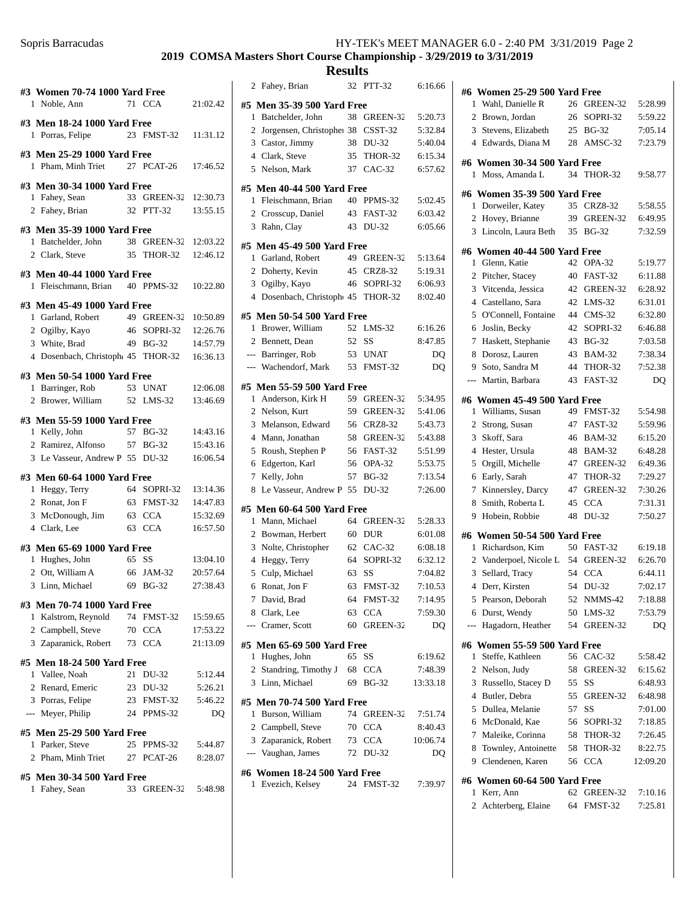| #3 Women 70-74 1000 Yard Free                                  |       |                      |          |
|----------------------------------------------------------------|-------|----------------------|----------|
| 1 Noble, Ann                                                   |       | 71 CCA               | 21:02.42 |
| #3 Men 18-24 1000 Yard Free                                    |       |                      |          |
| 1 Porras, Felipe                                               |       | 23 FMST-32           | 11:31.12 |
| #3 Men 25-29 1000 Yard Free<br>1 Pham, Minh Triet              |       | 27 PCAT-26           | 17:46.52 |
| #3 Men 30-34 1000 Yard Free                                    |       |                      |          |
| 1 Fahey, Sean                                                  |       | 33 GREEN-32 12:30.73 |          |
| 2 Fahey, Brian                                                 |       | 32 PTT-32            | 13:55.15 |
| #3 Men 35-39 1000 Yard Free                                    |       |                      |          |
| 1 Batchelder, John                                             |       | 38 GREEN-32 12:03.22 |          |
| 2 Clark, Steve                                                 |       | 35 THOR-32           | 12:46.12 |
| #3 Men 40-44 1000 Yard Free<br>1 Fleischmann, Brian 40 PPMS-32 |       |                      | 10:22.80 |
| #3 Men 45-49 1000 Yard Free                                    |       |                      |          |
| 1 Garland, Robert                                              |       | 49 GREEN-32 10:50.89 |          |
| 2 Ogilby, Kayo                                                 |       | 46 SOPRI-32 12:26.76 |          |
| 3 White, Brad                                                  |       | 49 BG-32             | 14:57.79 |
| 4 Dosenbach, Christoph 45 THOR-32 16:36.13                     |       |                      |          |
| #3 Men 50-54 1000 Yard Free                                    |       |                      |          |
| 1 Barringer, Rob                                               |       | 53 UNAT              | 12:06.08 |
| 2 Brower, William 52 LMS-32                                    |       |                      | 13:46.69 |
| #3 Men 55-59 1000 Yard Free                                    |       |                      |          |
| 1 Kelly, John                                                  |       | 57 BG-32             | 14:43.16 |
| 2 Ramirez, Alfonso                                             |       | 57 BG-32             | 15:43.16 |
| 3 Le Vasseur, Andrew P 55 DU-32                                |       |                      | 16:06.54 |
| #3 Men 60-64 1000 Yard Free                                    |       |                      |          |
| 1 Heggy, Terry                                                 |       | 64 SOPRI-32          | 13:14.36 |
| 2 Ronat, Jon F                                                 |       | 63 FMST-32           | 14:47.83 |
| 3 McDonough, Jim 63 CCA                                        |       |                      | 15:32.69 |
| 4 Clark, Lee                                                   |       | 63 CCA               | 16:57.50 |
| #3 Men 65-69 1000 Yard Free                                    |       |                      |          |
| 1 Hughes, John                                                 | 65 SS |                      | 13:04.10 |
| 2 Ott, William A 66 JAM-32                                     |       |                      | 20:57.64 |
| 3 Linn, Michael                                                |       | 69 BG-32             | 27:38.43 |
| #3 Men 70-74 1000 Yard Free                                    |       |                      |          |
| 1 Kalstrom, Reynold                                            |       | 74 FMST-32           | 15:59.65 |
| 2 Campbell, Steve                                              |       | 70 CCA               | 17:53.22 |
| 3 Zaparanick, Robert                                           | 73    | <b>CCA</b>           | 21:13.09 |
| #5 Men 18-24 500 Yard Free                                     |       |                      |          |
| 1 Vallee, Noah                                                 |       | 21 DU-32             | 5:12.44  |
| 2 Renard, Emeric                                               |       | 23 DU-32             | 5:26.21  |
| 3 Porras, Felipe                                               |       | 23 FMST-32           | 5:46.22  |
| --- Meyer, Philip                                              | 24    | PPMS-32              | DQ       |
| #5 Men 25-29 500 Yard Free                                     |       |                      |          |
| 1 Parker, Steve                                                |       | 25 PPMS-32           | 5:44.87  |
| 2 Pham, Minh Triet                                             |       | 27 PCAT-26           | 8:28.07  |
| #5 Men 30-34 500 Yard Free                                     |       |                      |          |
| 1 Fahey, Sean                                                  |       | 33 GREEN-32          | 5:48.98  |
|                                                                |       |                      |          |

|                   | <b>Results</b>                                |       |                        |                    |
|-------------------|-----------------------------------------------|-------|------------------------|--------------------|
|                   | 2 Fahey, Brian                                | 32    | <b>PTT-32</b>          | 6:16.66            |
|                   | #5 Men 35-39 500 Yard Free                    |       |                        |                    |
| 1                 | Batchelder, John                              |       | 38 GREEN-32            | 5:20.73            |
| $\overline{2}$    | Jorgensen, Christopher 38 CSST-32             |       |                        | 5:32.84            |
| 3                 | Castor, Jimmy                                 | 38    | DU-32                  | 5:40.04            |
| 4                 | Clark, Steve                                  | 35    | THOR-32                | 6:15.34            |
| 5                 | Nelson, Mark                                  | 37    | $CAC-32$               | 6:57.62            |
|                   | #5 Men 40-44 500 Yard Free                    |       |                        |                    |
|                   | 1 Fleischmann, Brian                          |       | 40 PPMS-32             | 5:02.45            |
|                   | 2 Crosscup, Daniel                            |       | 43 FAST-32             | 6:03.42            |
| 3                 | Rahn, Clay                                    | 43    | DU-32                  | 6:05.66            |
|                   | #5 Men 45-49 500 Yard Free                    |       |                        |                    |
| 1                 | Garland, Robert                               |       | 49 GREEN-32            | 5:13.64            |
| $\mathbf{2}$      | Doherty, Kevin                                |       | 45 CRZ8-32             | 5:19.31            |
| 3                 | Ogilby, Kayo                                  |       | 46 SOPRI-32            | 6:06.93            |
| 4                 | Dosenbach, Christoph 45                       |       | THOR-32                | 8:02.40            |
|                   | #5 Men 50-54 500 Yard Free                    |       |                        |                    |
|                   | 1 Brower, William                             |       | 52 LMS-32              | 6:16.26            |
| $\overline{2}$    | Bennett, Dean                                 | 52    | <b>SS</b>              | 8:47.85            |
| ---               | Barringer, Rob                                |       | 53 UNAT                | DQ                 |
|                   | --- Wachendorf, Mark                          | 53    | FMST-32                | DQ                 |
|                   |                                               |       |                        |                    |
|                   | #5 Men 55-59 500 Yard Free                    |       |                        |                    |
| 1                 | Anderson, Kirk H                              | 59    | GREEN-32               | 5:34.95            |
| 2                 | Nelson, Kurt                                  | 59    | GREEN-32               | 5:41.06            |
| 3                 | Melanson, Edward                              |       | 56 CRZ8-32             | 5:43.73            |
| 4<br>5            | Mann, Jonathan<br>Roush, Stephen P            | 56    | 58 GREEN-32<br>FAST-32 | 5:43.88<br>5:51.99 |
| 6                 | Edgerton, Karl                                | 56    | OPA-32                 | 5:53.75            |
| 7                 | Kelly, John                                   | 57    | <b>BG-32</b>           | 7:13.54            |
| 8                 | Le Vasseur, Andrew P                          | 55    | DU-32                  | 7:26.00            |
|                   |                                               |       |                        |                    |
|                   | #5 Men 60-64 500 Yard Free                    |       |                        |                    |
| 1                 | Mann, Michael                                 |       | 64 GREEN-32<br>60 DUR  | 5:28.33<br>6:01.08 |
| $\mathbf{2}$<br>3 | Bowman, Herbert<br>Nolte, Christopher         |       | 62 CAC-32              | 6:08.18            |
| 4                 | Heggy, Terry                                  | 64    | SOPRI-32               | 6:32.12            |
|                   | 5 Culp, Michael                               | 63 SS |                        | 7:04.82            |
|                   | 6 Ronat, Jon F                                |       | 63 FMST-32             | 7:10.53            |
| 7                 | David, Brad                                   |       | 64 FMST-32             | 7:14.95            |
|                   | 8 Clark, Lee                                  |       | 63 CCA                 | 7:59.30            |
|                   | --- Cramer, Scott                             |       | 60 GREEN-32            | DQ                 |
|                   |                                               |       |                        |                    |
|                   | #5 Men 65-69 500 Yard Free<br>1 Hughes, John  | 65    | SS                     | 6:19.62            |
|                   | 2 Standring, Timothy J 68                     |       | CCA                    | 7:48.39            |
|                   | 3 Linn, Michael                               |       | 69 BG-32               | 13:33.18           |
|                   |                                               |       |                        |                    |
| 1                 | #5 Men 70-74 500 Yard Free<br>Burson, William |       | 74 GREEN-32            |                    |
|                   | 2 Campbell, Steve                             |       | 70 CCA                 | 7:51.74<br>8:40.43 |
|                   | 3 Zaparanick, Robert                          |       | 73 CCA                 | 10:06.74           |
|                   | --- Vaughan, James                            | 72    | DU-32                  | DQ                 |
|                   |                                               |       |                        |                    |
|                   | #6 Women 18-24 500 Yard Free                  |       |                        |                    |
| 1                 | Evezich, Kelsey                               |       | 24 FMST-32             | 7:39.97            |
|                   |                                               |       |                        |                    |

|                | #6 Women 25-29 500 Yard Free                    |    |               |          |
|----------------|-------------------------------------------------|----|---------------|----------|
| 1              | Wahl, Danielle R                                | 26 | GREEN-32      | 5:28.99  |
| 2              | Brown, Jordan                                   | 26 | SOPRI-32      | 5:59.22  |
| 3              | Stevens, Elizabeth                              |    | 25 BG-32      | 7:05.14  |
| $\overline{4}$ | Edwards, Diana M                                | 28 | AMSC-32       | 7:23.79  |
|                |                                                 |    |               |          |
|                | #6 Women 30-34 500 Yard Free                    | 34 |               |          |
| 1              | Moss, Amanda L                                  |    | THOR-32       | 9:58.77  |
|                | #6 Women 35-39 500 Yard Free                    |    |               |          |
| 1              | Dorweiler, Katey                                | 35 | CRZ8-32       | 5:58.55  |
|                | 2 Hovey, Brianne                                | 39 | GREEN-32      | 6:49.95  |
| 3              | Lincoln, Laura Beth                             | 35 | <b>BG-32</b>  | 7:32.59  |
|                | #6 Women 40-44 500 Yard Free                    |    |               |          |
| 1              | Glenn, Katie                                    | 42 | OPA-32        | 5:19.77  |
| 2              | Pitcher, Stacey                                 | 40 | FAST-32       | 6:11.88  |
| 3              | Vitcenda, Jessica                               | 42 | GREEN-32      | 6:28.92  |
| 4              | Castellano, Sara                                | 42 | $LMS-32$      | 6:31.01  |
| 5              | O'Connell, Fontaine                             | 44 | $CMS-32$      | 6:32.80  |
| 6              | Joslin, Becky                                   | 42 | SOPRI-32      | 6:46.88  |
| 7              | Haskett, Stephanie                              | 43 | <b>BG-32</b>  | 7:03.58  |
| 8              | Dorosz, Lauren                                  | 43 | <b>BAM-32</b> | 7:38.34  |
| 9              | Soto, Sandra M                                  | 44 | THOR-32       | 7:52.38  |
| $---$          | Martin, Barbara                                 | 43 | FAST-32       | DQ       |
|                | #6 Women 45-49 500 Yard Free                    |    |               |          |
| 1              | Williams, Susan                                 | 49 | FMST-32       | 5:54.98  |
| $\mathbf{2}$   | Strong, Susan                                   | 47 | FAST-32       | 5:59.96  |
| 3              | Skoff, Sara                                     | 46 | <b>BAM-32</b> | 6:15.20  |
| 4              | Hester, Ursula                                  | 48 | <b>BAM-32</b> | 6:48.28  |
| 5              | Orgill, Michelle                                |    | 47 GREEN-32   | 6:49.36  |
| 6              | Early, Sarah                                    | 47 | THOR-32       | 7:29.27  |
| 7              | Kinnersley, Darcy                               | 47 | GREEN-32      | 7:30.26  |
| 8              | Smith, Roberta L                                | 45 | <b>CCA</b>    | 7:31.31  |
| 9              | Hobein, Robbie                                  | 48 | DU-32         | 7:50.27  |
|                |                                                 |    |               |          |
| 1              | #6 Women 50-54 500 Yard Free<br>Richardson, Kim |    | 50 FAST-32    | 6:19.18  |
| $\mathbf{2}$   | Vanderpoel, Nicole L                            |    | 54 GREEN-32   | 6:26.70  |
| 3              | Sellard, Tracy                                  | 54 | <b>CCA</b>    | 6:44.11  |
| 4              | Derr, Kirsten                                   | 54 | DU-32         | 7:02.17  |
|                | 5 Pearson, Deborah                              | 52 | NMMS-42       | 7:18.88  |
| 6              | Durst, Wendy                                    | 50 | LMS-32        | 7:53.79  |
| ---            | Hagadorn, Heather                               | 54 | GREEN-32      | DO       |
|                |                                                 |    |               |          |
|                | #6 Women 55-59 500 Yard Free                    |    |               |          |
| 1              | Steffe, Kathleen                                | 56 | CAC-32        | 5:58.42  |
| 2              | Nelson, Judy                                    | 58 | GREEN-32      | 6:15.62  |
| 3              | Russello, Stacey D                              | 55 | SS            | 6:48.93  |
| 4              | Butler, Debra                                   |    | 55 GREEN-32   | 6:48.98  |
| 5              | Dullea, Melanie                                 | 57 | <b>SS</b>     | 7:01.00  |
| 6              | McDonald, Kae                                   | 56 | SOPRI-32      | 7:18.85  |
| 7              | Maleike, Corinna                                |    | 58 THOR-32    | 7:26.45  |
| 8              | Townley, Antoinette                             | 58 | THOR-32       | 8:22.75  |
| 9.             | Clendenen, Karen                                | 56 | <b>CCA</b>    | 12:09.20 |
|                | #6 Women 60-64 500 Yard Free                    |    |               |          |
| 1              | Kerr, Ann                                       | 62 | GREEN-32      | 7:10.16  |
| $\mathbf{2}$   | Achterberg, Elaine                              | 64 | FMST-32       | 7:25.81  |
|                |                                                 |    |               |          |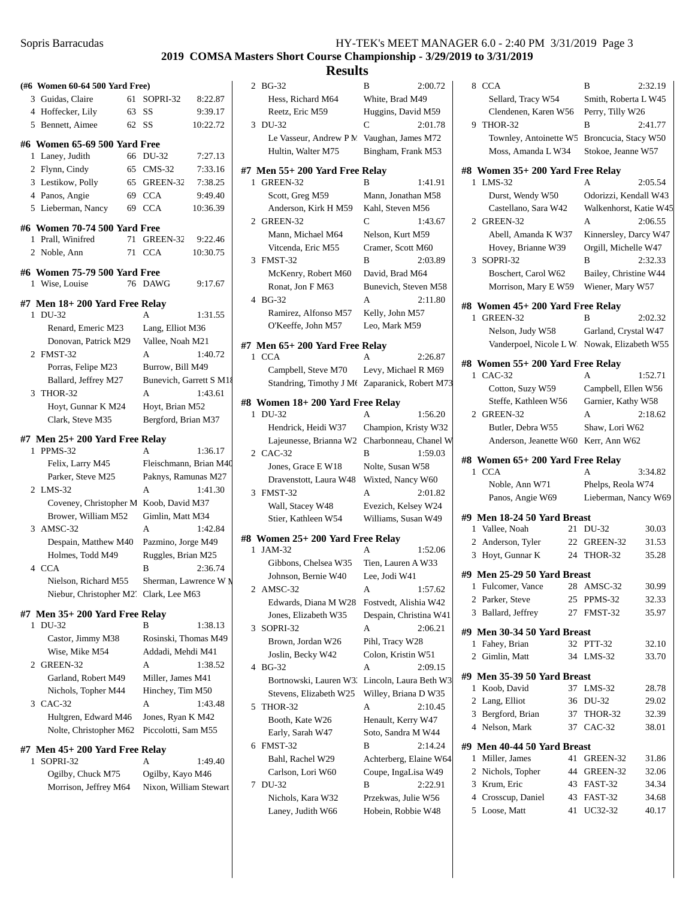# **2019 COMSA Masters Short Course Championship - 3/29/2019 to 3/31/2019**

| (#6 Women 60-64 500 Yard Free)                    |                         |          | 2 BG-32                                        | B                                         | 2:00.72 | 8 CCA                                         | B                        | 2:32.19        |
|---------------------------------------------------|-------------------------|----------|------------------------------------------------|-------------------------------------------|---------|-----------------------------------------------|--------------------------|----------------|
| 3 Guidas, Claire                                  | 61 SOPRI-32             | 8:22.87  | Hess, Richard M64                              | White, Brad M49                           |         | Sellard, Tracy W54                            | Smith, Roberta L W45     |                |
| 63 SS<br>4 Hoffecker, Lily                        |                         | 9:39.17  | Reetz, Eric M59                                | Huggins, David M59                        |         | Clendenen, Karen W56 Perry, Tilly W26         |                          |                |
| 62 SS<br>5 Bennett, Aimee                         |                         | 10:22.72 | 3 DU-32                                        | C                                         | 2:01.78 | 9 THOR-32                                     | B                        | 2:41.77        |
| #6 Women 65-69 500 Yard Free                      |                         |          | Le Vasseur, Andrew P.M. Vaughan, James M72     |                                           |         | Townley, Antoinette W5 Broncucia, Stacy W50   |                          |                |
| 1 Laney, Judith                                   | 66 DU-32                | 7:27.13  | Hultin, Walter M75                             | Bingham, Frank M53                        |         | Moss, Amanda L W34                            | Stokoe, Jeanne W57       |                |
| 2 Flynn, Cindy                                    | 65 CMS-32               | 7:33.16  | $#7$ Men 55+ 200 Yard Free Relay               |                                           |         | #8 Women 35+ 200 Yard Free Relay              |                          |                |
| 3 Lestikow, Polly                                 | 65 GREEN-32             | 7:38.25  | 1 GREEN-32                                     | B                                         | 1:41.91 | 1 LMS-32                                      | A                        | 2:05.54        |
| 4 Panos, Angie                                    | 69 CCA                  | 9:49.40  | Scott, Greg M59                                | Mann, Jonathan M58                        |         | Durst, Wendy W50                              | Odorizzi, Kendall W43    |                |
| 5 Lieberman, Nancy                                | 69 CCA                  | 10:36.39 | Anderson, Kirk H M59                           | Kahl, Steven M56                          |         | Castellano, Sara W42                          | Walkenhorst, Katie W45   |                |
|                                                   |                         |          | 2 GREEN-32                                     | C                                         | 1:43.67 | 2 GREEN-32                                    | A                        | 2:06.55        |
| #6 Women 70-74 500 Yard Free<br>1 Prall, Winifred | 71 GREEN-32             | 9:22.46  | Mann, Michael M64                              | Nelson, Kurt M59                          |         | Abell, Amanda K W37                           | Kinnersley, Darcy W47    |                |
| 2 Noble, Ann                                      | 71 CCA                  | 10:30.75 | Vitcenda, Eric M55                             | Cramer, Scott M60                         |         | Hovey, Brianne W39                            | Orgill, Michelle W47     |                |
|                                                   |                         |          | 3 FMST-32                                      | B                                         | 2:03.89 | 3 SOPRI-32                                    | B                        | 2:32.33        |
| #6 Women 75-79 500 Yard Free                      |                         |          | McKenry, Robert M60                            | David, Brad M64                           |         | Boschert, Carol W62                           | Bailey, Christine W44    |                |
| 1 Wise, Louise                                    | 76 DAWG                 | 9:17.67  | Ronat, Jon F M63                               | Bunevich, Steven M58                      |         | Morrison, Mary E W59                          | Wiener, Mary W57         |                |
| $#7$ Men $18+200$ Yard Free Relay                 |                         |          | 4 BG-32                                        | A                                         | 2:11.80 | #8 Women 45+ 200 Yard Free Relay              |                          |                |
| 1 DU-32                                           | A                       | 1:31.55  | Ramirez, Alfonso M57                           | Kelly, John M57                           |         | 1 GREEN-32                                    | B                        | 2:02.32        |
| Renard, Emeric M23                                | Lang, Elliot M36        |          | O'Keeffe, John M57                             | Leo, Mark M59                             |         | Nelson, Judy W58                              | Garland, Crystal W47     |                |
| Donovan, Patrick M29                              | Vallee, Noah M21        |          | #7 Men 65+200 Yard Free Relay                  |                                           |         | Vanderpoel, Nicole L W. Nowak, Elizabeth W55  |                          |                |
| 2 FMST-32                                         | A                       | 1:40.72  | 1 CCA                                          | A                                         | 2:26.87 |                                               |                          |                |
| Porras, Felipe M23                                | Burrow, Bill M49        |          | Campbell, Steve M70                            | Levy, Michael R M69                       |         | #8 Women 55+200 Yard Free Relay<br>1 CAC-32   | A                        | 1:52.71        |
| Ballard, Jeffrey M27                              | Bunevich, Garrett S M18 |          | Standring, Timothy J Mt Zaparanick, Robert M73 |                                           |         | Cotton, Suzy W59                              | Campbell, Ellen W56      |                |
| 3 THOR-32                                         | A                       | 1:43.61  | #8 Women 18+200 Yard Free Relay                |                                           |         | Steffe, Kathleen W56                          | Garnier, Kathy W58       |                |
| Hoyt, Gunnar K M24                                | Hoyt, Brian M52         |          | 1 DU-32                                        | A                                         | 1:56.20 | 2 GREEN-32                                    | A                        | 2:18.62        |
| Clark, Steve M35                                  | Bergford, Brian M37     |          | Hendrick, Heidi W37                            | Champion, Kristy W32                      |         | Butler, Debra W55                             | Shaw, Lori W62           |                |
| $#7$ Men $25+200$ Yard Free Relay                 |                         |          | Lajeunesse, Brianna W2 Charbonneau, Chanel W   |                                           |         | Anderson, Jeanette W60 Kerr, Ann W62          |                          |                |
| 1 PPMS-32                                         | A                       | 1:36.17  | 2 CAC-32                                       | B                                         | 1:59.03 |                                               |                          |                |
| Felix, Larry M45                                  | Fleischmann, Brian M40  |          | Jones, Grace E W18                             | Nolte, Susan W58                          |         | #8 Women 65+200 Yard Free Relay               | A                        |                |
|                                                   |                         |          |                                                |                                           |         |                                               |                          |                |
| Parker, Steve M25                                 | Paknys, Ramunas M27     |          | Dravenstott, Laura W48 Wixted, Nancy W60       |                                           |         | 1 CCA                                         |                          | 3:34.82        |
| 2 LMS-32                                          | A                       | 1:41.30  | 3 FMST-32                                      | A                                         | 2:01.82 | Noble, Ann W71                                | Phelps, Reola W74        |                |
| Coveney, Christopher M Koob, David M37            |                         |          | Wall, Stacey W48                               | Evezich, Kelsey W24                       |         | Panos, Angie W69                              | Lieberman, Nancy W69     |                |
| Brower, William M52                               | Gimlin, Matt M34        |          | Stier, Kathleen W54                            | Williams, Susan W49                       |         | #9 Men 18-24 50 Yard Breast                   |                          |                |
| 3 AMSC-32                                         | A                       | 1:42.84  |                                                |                                           |         | 1 Vallee, Noah                                | 21 DU-32                 | 30.03          |
| Despain, Matthew M40                              | Pazmino, Jorge M49      |          | #8 Women 25+ 200 Yard Free Relay               |                                           |         | 2 Anderson, Tyler                             | 22 GREEN-32              | 31.53          |
| Holmes, Todd M49                                  | Ruggles, Brian M25      |          | 1 JAM-32                                       | A                                         | 1:52.06 | 3 Hoyt, Gunnar K                              | 24 THOR-32               | 35.28          |
| 4 CCA                                             | B                       | 2:36.74  | Gibbons, Chelsea W35<br>Johnson, Bernie W40    | Tien, Lauren A W33<br>Lee, Jodi W41       |         | #9 Men 25-29 50 Yard Breast                   |                          |                |
| Nielson, Richard M55                              | Sherman, Lawrence W M   |          | 2 AMSC-32                                      | A                                         | 1:57.62 | 1 Fulcomer, Vance                             | 28 AMSC-32               | 30.99          |
| Niebur, Christopher M2' Clark, Lee M63            |                         |          | Edwards, Diana M W28 Fostvedt, Alishia W42     |                                           |         | 2 Parker, Steve                               | 25 PPMS-32               | 32.33          |
| $#7$ Men $35+200$ Yard Free Relay                 |                         |          | Jones, Elizabeth W35                           | Despain, Christina W41                    |         | 3 Ballard, Jeffrey                            | 27 FMST-32               | 35.97          |
| 1 DU-32                                           | B                       | 1:38.13  | 3 SOPRI-32                                     | A                                         | 2:06.21 |                                               |                          |                |
| Castor, Jimmy M38                                 | Rosinski, Thomas M49    |          | Brown, Jordan W26                              | Pihl, Tracy W28                           |         | #9 Men 30-34 50 Yard Breast<br>1 Fahey, Brian | 32 PTT-32                | 32.10          |
| Wise, Mike M54                                    | Addadi, Mehdi M41       |          | Joslin, Becky W42                              | Colon, Kristin W51                        |         | 2 Gimlin, Matt                                | 34 LMS-32                | 33.70          |
| 2 GREEN-32                                        | A                       | 1:38.52  | 4 BG-32                                        | A                                         | 2:09.15 |                                               |                          |                |
| Garland, Robert M49                               | Miller, James M41       |          | Bortnowski, Lauren W3. Lincoln, Laura Beth W3  |                                           |         | #9 Men 35-39 50 Yard Breast                   |                          |                |
| Nichols, Topher M44                               | Hinchey, Tim M50        |          | Stevens, Elizabeth W25                         | Willey, Briana D W35                      |         | 1 Koob, David                                 | 37 LMS-32                | 28.78          |
| 3 CAC-32                                          | A                       | 1:43.48  | 5 THOR-32                                      | A                                         | 2:10.45 | 2 Lang, Elliot                                | 36 DU-32                 | 29.02          |
| Hultgren, Edward M46                              | Jones, Ryan K M42       |          | Booth, Kate W26                                | Henault, Kerry W47                        |         | 3 Bergford, Brian                             | 37 THOR-32               | 32.39          |
| Nolte, Christopher M62 Piccolotti, Sam M55        |                         |          | Early, Sarah W47                               | Soto, Sandra M W44                        |         | 4 Nelson, Mark                                | 37 CAC-32                | 38.01          |
| $#7$ Men $45+200$ Yard Free Relay                 |                         |          | 6 FMST-32                                      | B                                         | 2:14.24 | #9 Men 40-44 50 Yard Breast                   |                          |                |
| 1 SOPRI-32                                        | А                       | 1:49.40  | Bahl, Rachel W29                               | Achterberg, Elaine W64                    |         | 1 Miller, James                               | 41 GREEN-32              | 31.86          |
| Ogilby, Chuck M75                                 | Ogilby, Kayo M46        |          | Carlson, Lori W60                              | Coupe, IngaLisa W49                       |         | 2 Nichols, Topher                             | 44 GREEN-32              | 32.06          |
| Morrison, Jeffrey M64                             | Nixon, William Stewart  |          | 7 DU-32                                        | B                                         | 2:22.91 | 3 Krum, Eric                                  | 43 FAST-32               | 34.34          |
|                                                   |                         |          | Nichols, Kara W32<br>Laney, Judith W66         | Przekwas, Julie W56<br>Hobein, Robbie W48 |         | 4 Crosscup, Daniel<br>5 Loose, Matt           | 43 FAST-32<br>41 UC32-32 | 34.68<br>40.17 |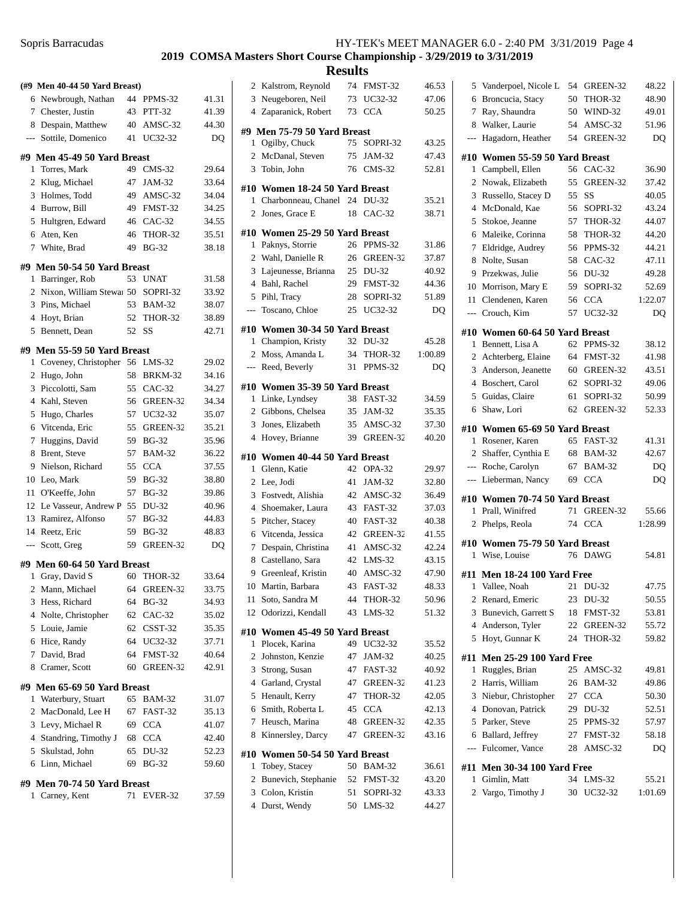## **2019 COMSA Masters Short Course Championship - 3/29/2019 to 3/31/2019**

|                          | (#9 Men 40-44 50 Yard Breast)      |    |               |       |
|--------------------------|------------------------------------|----|---------------|-------|
|                          | 6 Newbrough, Nathan                |    | 44 PPMS-32    | 41.31 |
|                          | 7 Chester, Justin                  | 43 | <b>PTT-32</b> | 41.39 |
|                          | 8 Despain, Matthew                 |    | 40 AMSC-32    | 44.30 |
|                          | --- Sottile, Domenico              | 41 | UC32-32       | DQ    |
|                          | #9 Men 45-49 50 Yard Breast        |    |               |       |
| 1                        | Torres, Mark                       | 49 | $CMS-32$      | 29.64 |
|                          | 2 Klug, Michael                    | 47 | JAM-32        | 33.64 |
|                          | 3 Holmes, Todd                     | 49 | AMSC-32       | 34.04 |
|                          | 4 Burrow, Bill                     |    | 49 FMST-32    | 34.25 |
|                          | 5 Hultgren, Edward                 |    | 46 CAC-32     | 34.55 |
|                          | 6 Aten, Ken                        | 46 | THOR-32       | 35.51 |
| $7^{\circ}$              | White, Brad                        | 49 | <b>BG-32</b>  | 38.18 |
|                          |                                    |    |               |       |
|                          | #9  Men 50-54 50 Yard Breast       |    |               |       |
| 1                        | Barringer, Rob                     | 53 | <b>UNAT</b>   | 31.58 |
|                          | 2 Nixon, William Stewa 50 SOPRI-32 |    |               | 33.92 |
|                          | 3 Pins, Michael                    | 53 | <b>BAM-32</b> | 38.07 |
|                          | 4 Hoyt, Brian                      |    | 52 THOR-32    | 38.89 |
| 5                        | Bennett, Dean                      | 52 | SS            | 42.71 |
|                          | #9 Men 55-59 50 Yard Breast        |    |               |       |
| 1                        | Coveney, Christopher               |    | 56 LMS-32     | 29.02 |
| $\overline{2}$           | Hugo, John                         | 58 | BRKM-32       | 34.16 |
|                          | 3 Piccolotti, Sam                  |    | 55 CAC-32     | 34.27 |
|                          | 4 Kahl, Steven                     | 56 | GREEN-32      | 34.34 |
|                          | 5 Hugo, Charles                    | 57 | UC32-32       | 35.07 |
| 6                        | Vitcenda, Eric                     | 55 | GREEN-32      | 35.21 |
| 7                        | Huggins, David                     | 59 | <b>BG-32</b>  | 35.96 |
| 8                        | Brent, Steve                       | 57 | <b>BAM-32</b> | 36.22 |
| 9                        | Nielson, Richard                   | 55 | <b>CCA</b>    | 37.55 |
| 10                       | Leo, Mark                          | 59 | <b>BG-32</b>  | 38.80 |
|                          | 11 O'Keeffe, John                  | 57 | <b>BG-32</b>  | 39.86 |
|                          | 12 Le Vasseur, Andrew P 55         |    | DU-32         | 40.96 |
|                          | 13 Ramirez, Alfonso                | 57 | <b>BG-32</b>  | 44.83 |
|                          | 14 Reetz, Eric                     | 59 | <b>BG-32</b>  | 48.83 |
| $\overline{\phantom{a}}$ | Scott, Greg                        | 59 | GREEN-32      | DQ    |
|                          | #9 Men 60-64 50 Yard Breast        |    |               |       |
| 1                        | Gray, David S                      | 60 | THOR-32       | 33.64 |
| 2                        | Mann, Michael                      | 64 | GREEN-32      | 33.75 |
|                          | 3 Hess, Richard                    | 64 | <b>BG-32</b>  | 34.93 |
|                          | 4 Nolte, Christopher               |    | 62 CAC-32     | 35.02 |
|                          | 5 Louie, Jamie                     |    | 62 CSST-32    | 35.35 |
|                          | 6 Hice, Randy                      |    | 64 UC32-32    | 37.71 |
|                          | 7 David, Brad                      |    | 64 FMST-32    | 40.64 |
| 8                        | Cramer, Scott                      | 60 | GREEN-32      | 42.91 |
|                          | #9 Men 65-69 50 Yard Breast        |    |               |       |
|                          | 1 Waterbury, Stuart                | 65 | <b>BAM-32</b> | 31.07 |
| 2                        | MacDonald, Lee H                   |    | 67 FAST-32    | 35.13 |
|                          | 3 Levy, Michael R                  |    | 69 CCA        | 41.07 |
|                          | 4 Standring, Timothy J             |    | 68 CCA        | 42.40 |
|                          | 5 Skulstad, John                   | 65 | DU-32         | 52.23 |
|                          | 6 Linn, Michael                    | 69 | <b>BG-32</b>  | 59.60 |
|                          |                                    |    |               |       |
|                          | #9 Men 70-74 50 Yard Breast        |    |               |       |
|                          | 1 Carney, Kent                     | 71 | EVER-32       | 37.59 |
|                          |                                    |    |               |       |

|                | 2 Kalstrom, Reynold                    | 74       | FMST-32              | 46.53          |
|----------------|----------------------------------------|----------|----------------------|----------------|
|                | 3 Neugeboren, Neil                     | 73       | UC32-32              | 47.06          |
|                | 4 Zaparanick, Robert                   | 73       | <b>CCA</b>           | 50.25          |
|                |                                        |          |                      |                |
|                | #9  Men 75-79 50 Yard Breast           |          |                      |                |
| 1              | Ogilby, Chuck                          | 75       | SOPRI-32             | 43.25          |
| $\overline{2}$ | McDanal, Steven                        | 75       | JAM-32               | 47.43          |
| 3              | Tobin, John                            | 76       | $CMS-32$             | 52.81          |
|                |                                        |          |                      |                |
|                | #10 Women 18-24 50 Yard Breast         |          |                      |                |
| 1              | Charbonneau, Chanel 24                 |          | DU-32                | 35.21          |
| 2              | Jones, Grace E                         | 18       | $CAC-32$             | 38.71          |
| #10            | Women 25-29 50 Yard Breast             |          |                      |                |
| 1              | Paknys, Storrie                        | 26       | PPMS-32              | 31.86          |
| 2              | Wahl, Danielle R                       |          | 26 GREEN-32          | 37.87          |
| 3              | Lajeunesse, Brianna                    | 25       | DU-32                | 40.92          |
| $\overline{4}$ | Bahl, Rachel                           | 29       | FMST-32              | 44.36          |
| 5              | Pihl, Tracy                            | 28       | SOPRI-32             | 51.89          |
| ---            | Toscano, Chloe                         | 25       | UC32-32              | DO             |
|                |                                        |          |                      |                |
|                | #10  Women 30-34 50 Yard Breast        |          |                      |                |
| $\mathbf{1}$   | Champion, Kristy                       | 32       | DU-32                | 45.28          |
| $\overline{2}$ | Moss, Amanda L                         | 34       | THOR-32              | 1:00.89        |
| $\cdots$       | Reed, Beverly                          | 31       | PPMS-32              | DO             |
|                | #10 Women 35-39 50 Yard Breast         |          |                      |                |
| 1              | Linke, Lyndsey                         | 38       | FAST-32              | 34.59          |
|                | 2 Gibbons, Chelsea                     | 35       | JAM-32               | 35.35          |
| 3              | Jones, Elizabeth                       | 35       | AMSC-32              | 37.30          |
| $\overline{4}$ | Hovey, Brianne                         | 39       | GREEN-32             | 40.20          |
|                |                                        |          |                      |                |
|                |                                        |          |                      |                |
| #10            | Women 40-44 50 Yard Breast             |          |                      |                |
| 1              | Glenn, Katie                           | 42       | OPA-32               | 29.97          |
|                | 2 Lee, Jodi                            | 41       | JAM-32               | 32.80          |
| 3              | Fostvedt, Alishia                      | 42       | AMSC-32              | 36.49          |
| $\overline{4}$ | Shoemaker, Laura                       | 43       | FAST-32              | 37.03          |
| 5              | Pitcher, Stacey                        | 40       | FAST-32              | 40.38          |
| 6              | Vitcenda, Jessica                      | 42       | GREEN-32             | 41.55          |
| 7              |                                        | 41       | AMSC-32              | 42.24          |
| 8              | Despain, Christina<br>Castellano, Sara | 42       | $LMS-32$             |                |
|                | 9 Greenleaf, Kristin                   | 40       | AMSC-32              | 43.15<br>47.90 |
|                |                                        |          | 43 FAST-32           |                |
|                | 10 Martin, Barbara                     | 44       |                      | 48.33          |
| 11             | Soto, Sandra M                         |          | THOR-32              | 50.96          |
| 12             | Odorizzi, Kendall                      | 43       | LMS-32               | 51.32          |
|                | #10 Women 45-49 50 Yard Breast         |          |                      |                |
| 1              | Plocek, Karina                         |          | 49 UC32-32           | 35.52          |
| $\overline{2}$ | Johnston, Kenzie                       | 47       | JAM-32               | 40.25          |
| 3              | Strong, Susan                          | 47       | FAST-32              | 40.92          |
| $\overline{4}$ | Garland, Crystal                       | 47       | GREEN-32             | 41.23          |
| 5              | Henault, Kerry                         | 47       | THOR-32              | 42.05          |
| 6              | Smith, Roberta L                       | 45       | <b>CCA</b>           | 42.13          |
| 7              | Heusch, Marina                         | 48       | GREEN-32             | 42.35          |
| 8              | Kinnersley, Darcy                      | 47       | GREEN-32             | 43.16          |
|                |                                        |          |                      |                |
|                | #10 Women 50-54 50 Yard Breast         |          |                      |                |
| 1              | Tobey, Stacey                          |          | 50 BAM-32            | 36.61          |
| 2              | Bunevich, Stephanie                    |          | 52 FMST-32           | 43.20          |
| 3<br>4         | Colon, Kristin<br>Durst, Wendy         | 51<br>50 | SOPRI-32<br>$LMS-32$ | 43.33<br>44.27 |

| 5              | Vanderpoel, Nicole L                              | 54 | GREEN-32      | 48.22   |
|----------------|---------------------------------------------------|----|---------------|---------|
| 6              | Broncucia, Stacy                                  | 50 | THOR-32       | 48.90   |
| 7              | Ray, Shaundra                                     | 50 | WIND-32       | 49.01   |
| 8              | Walker, Laurie                                    | 54 | AMSC-32       | 51.96   |
| $\overline{a}$ | Hagadorn, Heather                                 | 54 | GREEN-32      | DQ      |
| #10            | Women 55-59 50 Yard Breast                        |    |               |         |
| 1              | Campbell, Ellen                                   | 56 | $CAC-32$      | 36.90   |
| 2              | Nowak, Elizabeth                                  | 55 | GREEN-32      | 37.42   |
| 3              | Russello, Stacey D                                | 55 | SS            | 40.05   |
| $\overline{4}$ | McDonald, Kae                                     | 56 | SOPRI-32      | 43.24   |
| 5              | Stokoe, Jeanne                                    | 57 | THOR-32       | 44.07   |
| 6              | Maleike, Corinna                                  | 58 | THOR-32       | 44.20   |
| 7              | Eldridge, Audrey                                  | 56 | PPMS-32       | 44.21   |
| 8              | Nolte, Susan                                      | 58 | $CAC-32$      | 47.11   |
| 9              | Przekwas, Julie                                   | 56 | DU-32         | 49.28   |
| 10             | Morrison, Mary E                                  | 59 | SOPRI-32      | 52.69   |
| 11             | Clendenen. Karen                                  | 56 | <b>CCA</b>    | 1:22.07 |
| ---            | Crouch, Kim                                       | 57 | UC32-32       | DQ      |
|                |                                                   |    |               |         |
|                | #10 Women 60-64 50 Yard Breast                    |    |               |         |
| 1              | Bennett, Lisa A                                   | 62 | PPMS-32       | 38.12   |
| 2              | Achterberg, Elaine                                | 64 | FMST-32       | 41.98   |
| 3              | Anderson, Jeanette                                | 60 | GREEN-32      | 43.51   |
| $\overline{4}$ | Boschert, Carol                                   | 62 | SOPRI-32      | 49.06   |
| 5              | Guidas, Claire<br>Shaw, Lori                      | 61 | SOPRI-32      | 50.99   |
| 6              |                                                   | 62 | GREEN-32      | 52.33   |
| #10            | Women 65-69 50 Yard Breast                        |    |               |         |
| 1              | Rosener, Karen                                    | 65 | FAST-32       | 41.31   |
|                |                                                   |    |               |         |
| 2              | Shaffer, Cynthia E                                | 68 | <b>BAM-32</b> | 42.67   |
| ---            | Roche, Carolyn                                    | 67 | <b>BAM-32</b> | DQ      |
| ---            | Lieberman, Nancy                                  | 69 | <b>CCA</b>    | DQ      |
|                |                                                   |    |               |         |
| 1              | #10 Women 70-74 50 Yard Breast<br>Prall, Winifred | 71 | GREEN-32      | 55.66   |
| 2              | Phelps, Reola                                     | 74 | <b>CCA</b>    | 1:28.99 |
|                |                                                   |    |               |         |
| #10            | Women 75-79 50 Yard Breast                        |    |               |         |
| 1              | Wise, Louise                                      | 76 | <b>DAWG</b>   | 54.81   |
|                | #11 Men 18-24 100 Yard Free                       |    |               |         |
|                | 1 Vallee, Noah                                    |    | 21 DU-32      | 47.75   |
| 2              | Renard, Emeric                                    | 23 | DU-32         | 50.55   |
| 3              | Bunevich, Garrett S                               |    | 18 FMST-32    | 53.81   |
| 4              | Anderson, Tyler                                   | 22 | GREEN-32      | 55.72   |
| 5              | Hoyt, Gunnar K                                    | 24 | THOR-32       | 59.82   |
| #11            | <b>Men 25-29 100 Yard Free</b>                    |    |               |         |
| 1              | Ruggles, Brian                                    |    | 25 AMSC-32    | 49.81   |
| 2              | Harris, William                                   |    | 26 BAM-32     | 49.86   |
| 3              | Niebur, Christopher                               |    | 27 CCA        | 50.30   |
| 4              | Donovan, Patrick                                  |    | 29 DU-32      | 52.51   |
| 5              | Parker, Steve                                     |    | 25 PPMS-32    | 57.97   |
| 6              | Ballard, Jeffrey                                  |    | 27 FMST-32    | 58.18   |
| ---            | Fulcomer, Vance                                   |    | 28 AMSC-32    | DQ      |
|                |                                                   |    |               |         |
| 1              | #11 Men 30-34 100 Yard Free<br>Gimlin, Matt       | 34 | $LMS-32$      | 55.21   |
| 2              | Vargo, Timothy J                                  | 30 | UC32-32       | 1:01.69 |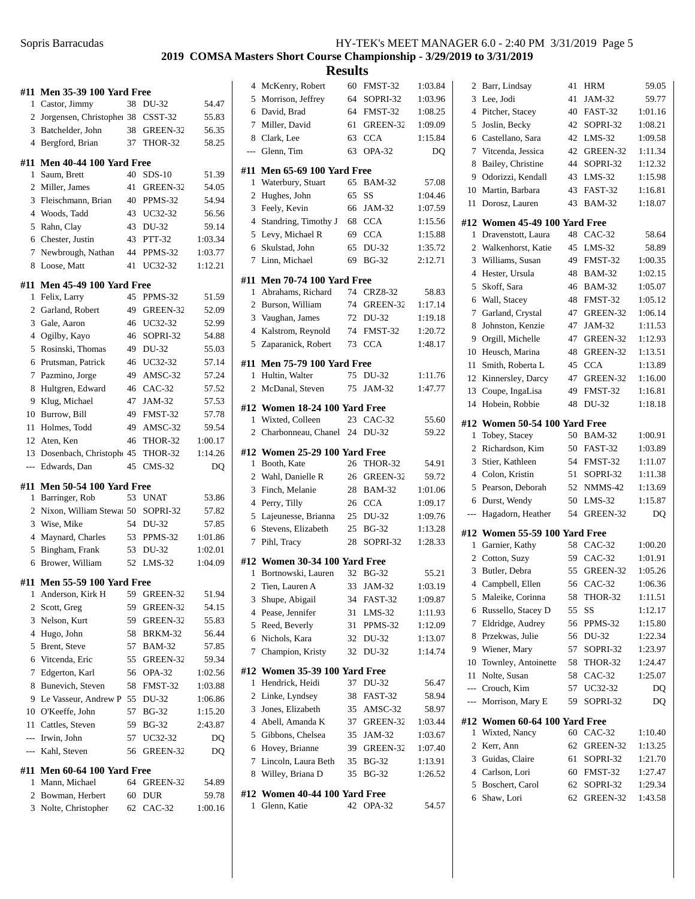|                | #11 Men 35-39 100 Yard Free               |    |                         |                  |
|----------------|-------------------------------------------|----|-------------------------|------------------|
| 1              | Castor, Jimmy                             | 38 | DU-32                   | 54.47            |
| $\overline{2}$ | Jorgensen, Christophe: 38 CSST-32         |    |                         | 55.83            |
|                | 3 Batchelder, John                        |    | 38 GREEN-32             | 56.35            |
|                | 4 Bergford, Brian                         | 37 | <b>THOR-32</b>          | 58.25            |
| #11            | <b>Men 40-44 100 Yard Free</b>            |    |                         |                  |
| 1              | Saum, Brett                               | 40 | $SDS-10$                | 51.39            |
|                | 2 Miller, James                           | 41 | GREEN-32                | 54.05            |
| 3              | Fleischmann, Brian                        |    | 40 PPMS-32              | 54.94            |
|                | 4 Woods, Tadd                             | 43 | UC32-32                 | 56.56            |
| 5              | Rahn, Clay                                | 43 | DU-32                   | 59.14            |
|                | 6 Chester, Justin                         | 43 | <b>PTT-32</b>           | 1:03.34          |
| 7              | Newbrough, Nathan                         | 44 | PPMS-32                 | 1:03.77          |
| 8              | Loose, Matt                               | 41 | UC32-32                 | 1:12.21          |
| #11            | <b>Men 45-49 100 Yard Free</b>            |    |                         |                  |
| 1              | Felix, Larry                              | 45 | PPMS-32                 | 51.59            |
|                | 2 Garland, Robert                         |    | 49 GREEN-32             | 52.09            |
|                | 3 Gale, Aaron                             | 46 | UC32-32                 | 52.99            |
| $\overline{4}$ | Ogilby, Kayo                              | 46 | SOPRI-32                | 54.88            |
| 5              | Rosinski, Thomas                          | 49 | DU-32                   | 55.03            |
| 6              | Prutsman, Patrick                         | 46 | UC32-32                 | 57.14            |
| 7              | Pazmino, Jorge                            | 49 | AMSC-32                 | 57.24            |
| 8              | Hultgren, Edward                          | 46 | $CAC-32$                | 57.52            |
| 9              | Klug, Michael                             | 47 | JAM-32                  | 57.53            |
| 10             | Burrow, Bill                              | 49 | FMST-32                 | 57.78            |
| 11             | Holmes, Todd                              | 49 | AMSC-32                 | 59.54            |
|                | 12 Aten, Ken                              | 46 | THOR-32                 | 1:00.17          |
|                | 13 Dosenbach, Christoph 45                |    | <b>THOR-32</b>          | 1:14.26          |
| $\overline{a}$ | Edwards, Dan                              | 45 | $CMS-32$                | DQ               |
| #11            | <b>Men 50-54 100 Yard Free</b>            |    |                         |                  |
| 1              | Barringer, Rob                            | 53 | <b>UNAT</b>             | 53.86            |
|                |                                           |    |                         |                  |
|                |                                           |    |                         |                  |
| 2              | Nixon, William Stewa 50 SOPRI-32          |    |                         | 57.82            |
| 3              | Wise, Mike                                |    | 54 DU-32                | 57.85            |
| $\overline{4}$ | Maynard, Charles                          | 53 | PPMS-32                 | 1:01.86          |
| 5              | Bingham, Frank                            | 53 | DU-32                   | 1:02.01          |
| 6              | Brower, William                           | 52 | $LMS-32$                | 1:04.09          |
|                | #11 Men 55-59 100 Yard Free               |    |                         |                  |
| 1              | Anderson, Kirk H                          | 59 | GREEN-32                | 51.94            |
| 2              | Scott, Greg                               | 59 | GREEN-32                | 54.15            |
| 3              | Nelson, Kurt                              | 59 | GREEN-32                | 55.83            |
| 4              | Hugo, John                                | 58 | BRKM-32                 | 56.44            |
| 5              | Brent, Steve                              | 57 | <b>BAM-32</b>           | 57.85            |
| 6              | Vitcenda, Eric                            | 55 | GREEN-32                | 59.34            |
| 7              | Edgerton, Karl                            | 56 | OPA-32                  | 1:02.56          |
| 8              | Bunevich, Steven                          | 58 | FMST-32                 | 1:03.88          |
| 9              | Le Vasseur, Andrew P 55                   |    | DU-32                   | 1:06.86          |
| 10             | O'Keeffe, John                            | 57 | <b>BG-32</b>            | 1:15.20          |
| 11             | Cattles, Steven                           | 59 | <b>BG-32</b>            | 2:43.87          |
|                | --- Irwin, John                           | 57 | UC32-32                 | DQ               |
| $---$          | Kahl, Steven                              | 56 | GREEN-32                | DQ               |
| #11            | <b>Men 60-64 100 Yard Free</b>            |    |                         |                  |
| 1              | Mann, Michael                             | 64 | GREEN-32                | 54.89            |
|                | 2 Bowman, Herbert<br>3 Nolte, Christopher | 60 | <b>DUR</b><br>62 CAC-32 | 59.78<br>1:00.16 |

|                | 4 McKenry, Robert             | 60 | FMST-32                           | 1:03.84 |
|----------------|-------------------------------|----|-----------------------------------|---------|
| 5              | Morrison, Jeffrey             | 64 | SOPRI-32                          | 1:03.96 |
|                | 6 David, Brad                 | 64 | FMST-32                           | 1:08.25 |
|                | 7 Miller, David               | 61 | GREEN-32                          | 1:09.09 |
|                | 8 Clark, Lee                  | 63 | <b>CCA</b>                        | 1:15.84 |
| $---$          | Glenn, Tim                    | 63 | OPA-32                            | DQ      |
|                | #11 Men 65-69 100 Yard Free   |    |                                   |         |
| 1              | Waterbury, Stuart             | 65 | <b>BAM-32</b>                     | 57.08   |
| $\overline{c}$ | Hughes, John                  | 65 | SS                                | 1:04.46 |
| 3              | Feely, Kevin                  |    | 66 JAM-32                         | 1:07.59 |
|                | 4 Standring, Timothy J        |    | 68 CCA                            | 1:15.56 |
| 5              | Levy, Michael R               |    | 69 CCA                            | 1:15.88 |
| 6              | Skulstad, John                | 65 | DU-32                             | 1:35.72 |
| $\tau$         | Linn, Michael                 | 69 | <b>BG-32</b>                      | 2:12.71 |
|                | #11 Men 70-74 100 Yard Free   |    |                                   |         |
|                | 1 Abrahams, Richard           |    | 74 CRZ8-32                        | 58.83   |
|                | 2 Burson, William             |    | 74 GREEN-32                       | 1:17.14 |
|                | 3 Vaughan, James              |    | 72 DU-32                          | 1:19.18 |
|                | 4 Kalstrom, Reynold           |    | 74 FMST-32                        | 1:20.72 |
| 5              | Zaparanick, Robert            |    | 73 CCA                            | 1:48.17 |
|                |                               |    |                                   |         |
|                | #11 Men 75-79 100 Yard Free   |    |                                   |         |
| 1              | Hultin, Walter                | 75 | DU-32                             | 1:11.76 |
|                | 2 McDanal, Steven             | 75 | <b>JAM-32</b>                     | 1:47.77 |
|                | #12 Women 18-24 100 Yard Free |    |                                   |         |
| 1              | Wixted, Colleen               |    | 23 CAC-32                         | 55.60   |
| 2              | Charbonneau, Chanel 24        |    | DU-32                             | 59.22   |
|                | #12 Women 25-29 100 Yard Free |    |                                   |         |
| 1              | Booth, Kate                   | 26 | THOR-32                           | 54.91   |
|                | 2 Wahl, Danielle R            | 26 | GREEN-32                          | 59.72   |
| 3              | Finch, Melanie                |    | 28 BAM-32                         | 1:01.06 |
|                | 4 Perry, Tilly                |    | 26 CCA                            | 1:09.17 |
| 5              | Lajeunesse, Brianna           |    | 25 DU-32                          | 1:09.76 |
| 6              | Stevens, Elizabeth            | 25 | $\mathbf{B} \mathbf{G}\text{-32}$ | 1:13.28 |
| 7              | Pihl, Tracy                   | 28 | SOPRI-32                          | 1:28.33 |
|                | #12 Women 30-34 100 Yard Free |    |                                   |         |
| 1              | Bortnowski, Lauren            | 32 | <b>BG-32</b>                      | 55.21   |
|                | 2 Tien, Lauren A              |    | 33 JAM-32                         | 1:03.19 |
| 3              | Shupe, Abigail                |    | 34 FAST-32                        | 1:09.87 |
|                | 4 Pease, Jennifer             | 31 | $LMS-32$                          | 1:11.93 |
|                | 5 Reed, Beverly               | 31 | PPMS-32                           | 1:12.09 |
| 6              | Nichols, Kara                 |    | 32 DU-32                          | 1:13.07 |
| 7              | Champion, Kristy              | 32 | DU-32                             | 1:14.74 |
|                | #12 Women 35-39 100 Yard Free |    |                                   |         |
| 1              | Hendrick, Heidi               | 37 | DU-32                             | 56.47   |
|                | 2 Linke, Lyndsey              |    | 38 FAST-32                        | 58.94   |
| 3              | Jones, Elizabeth              |    | 35 AMSC-32                        | 58.97   |
|                | 4 Abell, Amanda K             |    | 37 GREEN-32                       | 1:03.44 |
| 5              | Gibbons, Chelsea              |    | 35 JAM-32                         | 1:03.67 |
| 6              | Hovey, Brianne                |    | 39 GREEN-32                       | 1:07.40 |
| 7              | Lincoln, Laura Beth           |    | 35 BG-32                          | 1:13.91 |
| 8              | Willey, Briana D              | 35 | <b>BG-32</b>                      | 1:26.52 |
|                |                               |    |                                   |         |
|                | #12 Women 40-44 100 Yard Free |    |                                   |         |
| 1              | Glenn, Katie                  | 42 | OPA-32                            | 54.57   |
|                |                               |    |                                   |         |
|                |                               |    |                                   |         |

| 2              | Barr, Lindsay                     | 41       | HRM                  | 59.05   |
|----------------|-----------------------------------|----------|----------------------|---------|
| 3              | Lee, Jodi                         | 41       | JAM-32               | 59.77   |
| $\overline{4}$ | Pitcher, Stacey                   | 40       | FAST-32              | 1:01.16 |
| 5              | Joslin, Becky                     | 42       | SOPRI-32             | 1:08.21 |
| 6              | Castellano, Sara                  | 42       | $LMS-32$             | 1:09.58 |
| 7              | Vitcenda, Jessica                 | 42       | GREEN-32             | 1:11.34 |
| 8              | Bailey, Christine                 | 44       | SOPRI-32             | 1:12.32 |
| 9              | Odorizzi, Kendall                 | 43       | $LMS-32$             | 1:15.98 |
| 10             | Martin, Barbara                   | 43       | FAST-32              | 1:16.81 |
| 11             | Dorosz, Lauren                    | 43       | <b>BAM-32</b>        | 1:18.07 |
|                | #12 Women 45-49 100 Yard Free     |          |                      |         |
| 1              | Dravenstott, Laura                | 48       | $CAC-32$             | 58.64   |
| 2              | Walkenhorst, Katie                | 45       | $LMS-32$             | 58.89   |
| 3              | Williams, Susan                   | 49       | FMST-32              | 1:00.35 |
| 4              | Hester, Ursula                    | 48       | <b>BAM-32</b>        | 1:02.15 |
| 5              | Skoff, Sara                       | 46       | <b>BAM-32</b>        | 1:05.07 |
| 6              | Wall, Stacey                      | 48       | FMST-32              | 1:05.12 |
| 7              | Garland, Crystal                  | 47       | GREEN-32             | 1:06.14 |
| 8              | Johnston, Kenzie                  | 47       | JAM-32               | 1:11.53 |
| 9              | Orgill, Michelle                  | 47       | GREEN-32             | 1:12.93 |
| 10             | Heusch, Marina                    | 48       | GREEN-32             | 1:13.51 |
| 11             | Smith, Roberta L                  | 45       | <b>CCA</b>           | 1:13.89 |
| 12             | Kinnersley, Darcy                 | 47       | GREEN-32             | 1:16.00 |
| 13             | Coupe, IngaLisa                   | 49       | FMST-32              | 1:16.81 |
| 14             | Hobein, Robbie                    | 48       | DU-32                | 1:18.18 |
| #12            | Women 50-54 100 Yard Free         |          |                      |         |
| 1              | Tobey, Stacey                     | 50       | <b>BAM-32</b>        | 1:00.91 |
|                |                                   |          |                      |         |
|                |                                   |          |                      |         |
| 2              | Richardson, Kim                   | 50       | FAST-32              | 1:03.89 |
| 3              | Stier, Kathleen                   | 54       | FMST-32              | 1:11.07 |
| $\overline{4}$ | Colon, Kristin                    | 51       | SOPRI-32             | 1:11.38 |
| 5              | Pearson, Deborah                  | 52       | NMMS-42              | 1:13.69 |
| 6<br>$---$     | Durst, Wendy<br>Hagadorn, Heather | 50<br>54 | $LMS-32$<br>GREEN-32 | 1:15.87 |
|                |                                   |          |                      | DQ      |
| #12            | Women 55-59 100 Yard Free         |          |                      |         |
| 1              | Garnier, Kathy                    | 58       | $CAC-32$             | 1:00.20 |
| 2              | Cotton, Suzy                      | 59       | $CAC-32$             | 1:01.91 |
| 3              | Butler, Debra                     | 55       | GREEN-32             | 1:05.26 |
|                | 4 Campbell, Ellen                 | 56       | $CAC-32$             | 1:06.36 |
| 5              | Maleike, Corinna                  | 58       | THOR-32              | 1:11.51 |
| 6              | Russello, Stacey D                | 55       | SS                   | 1:12.17 |
| 7              | Eldridge, Audrey                  | 56       | PPMS-32              | 1:15.80 |
| 8              | Przekwas, Julie                   | 56       | DU-32                | 1:22.34 |
| 9              | Wiener, Mary                      | 57       | SOPRI-32             | 1:23.97 |
| 10             | Townley, Antoinette               | 58       | THOR-32              | 1:24.47 |
| 11             | Nolte, Susan                      | 58       | $CAC-32$             | 1:25.07 |
| ---            | Crouch, Kim                       | 57       | UC32-32              | DQ      |
| ---            | Morrison, Mary E                  | 59       | SOPRI-32             | DQ      |
| #12            | Women 60-64 100 Yard Free         |          |                      |         |
| 1              | Wixted, Nancy                     |          | 60 CAC-32            | 1:10.40 |
| 2              | Kerr, Ann                         | 62       | GREEN-32             | 1:13.25 |
| 3              | Guidas, Claire                    | 61       | SOPRI-32             | 1:21.70 |
| 4              | Carlson, Lori                     | 60       | FMST-32              | 1:27.47 |
| 5              | Boschert, Carol                   | 62       | SOPRI-32             | 1:29.34 |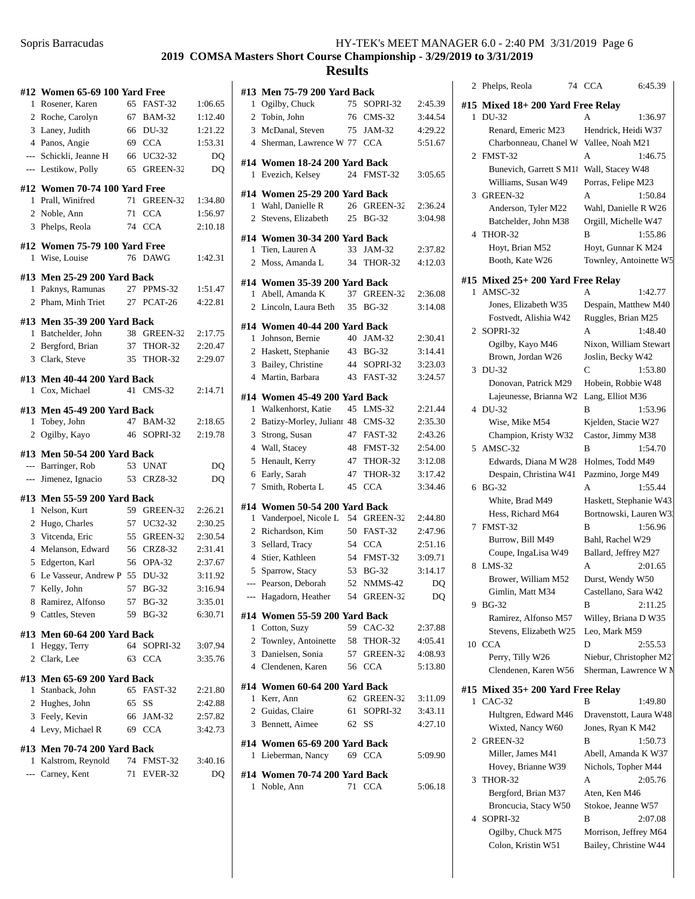## **2019 COMSA Masters Short Course Championship - 3/29/2019 to 3/31/2019**

### **Results**

| 1                        | #12 Women 65-69 100 Yard Free |    |                |         |
|--------------------------|-------------------------------|----|----------------|---------|
|                          | Rosener, Karen                | 65 | FAST-32        | 1:06.65 |
|                          | 2 Roche, Carolyn              |    | 67 BAM-32      | 1:12.40 |
|                          | 3 Laney, Judith               | 66 | DU-32          | 1:21.22 |
|                          | 4 Panos, Angie                |    | 69 CCA         | 1:53.31 |
|                          | --- Schickli, Jeanne H        |    | 66 UC32-32     | DQ      |
|                          | --- Lestikow, Polly           | 65 | GREEN-32       | DQ      |
|                          | #12 Women 70-74 100 Yard Free |    |                |         |
| 1                        | Prall, Winifred               | 71 | GREEN-32       | 1:34.80 |
|                          | 2 Noble, Ann                  | 71 | <b>CCA</b>     | 1:56.97 |
| 3                        | Phelps, Reola                 | 74 | <b>CCA</b>     | 2:10.18 |
|                          | #12 Women 75-79 100 Yard Free |    |                |         |
| 1                        | Wise, Louise                  | 76 | <b>DAWG</b>    | 1:42.31 |
|                          | #13 Men 25-29 200 Yard Back   |    |                |         |
| 1                        | Paknys, Ramunas               | 27 | PPMS-32        | 1:51.47 |
| 2                        | Pham, Minh Triet              |    | 27 PCAT-26     | 4:22.81 |
|                          | #13 Men 35-39 200 Yard Back   |    |                |         |
| 1                        | Batchelder, John              |    | 38 GREEN-32    | 2:17.75 |
|                          | 2 Bergford, Brian             |    | 37 THOR-32     | 2:20.47 |
|                          | 3 Clark, Steve                | 35 | <b>THOR-32</b> | 2:29.07 |
|                          | #13 Men 40-44 200 Yard Back   |    |                |         |
| 1                        | Cox, Michael                  | 41 | $CMS-32$       | 2:14.71 |
|                          | #13 Men 45-49 200 Yard Back   |    |                |         |
| 1                        | Tobey, John                   | 47 | <b>BAM-32</b>  | 2:18.65 |
| 2                        | Ogilby, Kayo                  | 46 | SOPRI-32       | 2:19.78 |
|                          | #13 Men 50-54 200 Yard Back   |    |                |         |
|                          | --- Barringer, Rob            | 53 | <b>UNAT</b>    | DQ      |
| $\overline{\phantom{a}}$ | Jimenez, Ignacio              |    | 53 CRZ8-32     | DQ      |
|                          | #13 Men 55-59 200 Yard Back   |    |                |         |
|                          |                               |    |                |         |
| $\mathbf{1}$             | Nelson, Kurt                  |    | 59 GREEN-32    | 2:26.21 |
|                          | 2 Hugo, Charles               |    | 57 UC32-32     | 2:30.25 |
|                          | 3 Vitcenda, Eric              |    | 55 GREEN-32    | 2:30.54 |
|                          | 4 Melanson, Edward            |    | 56 CRZ8-32     | 2:31.41 |
|                          | 5 Edgerton, Karl              |    | 56 OPA-32      | 2:37.67 |
| 6                        | Le Vasseur, Andrew P 55 DU-32 |    |                | 3:11.92 |
| $\overline{7}$           | Kelly, John                   |    | 57 BG-32       | 3:16.94 |
|                          | 8 Ramirez, Alfonso            | 57 | <b>BG-32</b>   | 3:35.01 |
| 9                        | Cattles, Steven               | 59 | <b>BG-32</b>   | 6:30.71 |
|                          | #13 Men 60-64 200 Yard Back   |    |                |         |
| 1                        | Heggy, Terry                  | 64 | SOPRI-32       | 3:07.94 |
| 2                        | Clark, Lee                    | 63 | <b>CCA</b>     | 3:35.76 |
|                          | #13 Men 65-69 200 Yard Back   |    |                |         |
| $\mathbf{1}$             | Stanback, John                | 65 | FAST-32        | 2:21.80 |
|                          | 2 Hughes, John                |    | 65 SS          | 2:42.88 |
|                          | 3 Feely, Kevin                |    | 66 JAM-32      | 2:57.82 |
|                          | 4 Levy, Michael R             |    | 69 CCA         | 3:42.73 |
|                          | #13 Men 70-74 200 Yard Back   |    |                |         |
|                          | 1 Kalstrom, Reynold           |    | 74 FMST-32     | 3:40.16 |
|                          | --- Carney, Kent              |    | 71 EVER-32     | DQ      |

|                | #13 Men 75-79 200 Yard Back                         |    |              |         |
|----------------|-----------------------------------------------------|----|--------------|---------|
| $\mathbf{1}$   | Ogilby, Chuck                                       | 75 | SOPRI-32     | 2:45.39 |
|                | 2 Tobin, John                                       | 76 | $CMS-32$     | 3:44.54 |
|                | 3 McDanal, Steven                                   |    | 75 JAM-32    | 4:29.22 |
|                | 4 Sherman, Lawrence W 77 CCA                        |    |              | 5:51.67 |
| 1              | #14 Women 18-24 200 Yard Back<br>Evezich, Kelsey    |    | 24 FMST-32   | 3:05.65 |
|                |                                                     |    |              |         |
| 1              | #14 Women 25-29 200 Yard Back<br>Wahl, Danielle R   |    | 26 GREEN-32  | 2:36.24 |
| $\overline{c}$ | Stevens, Elizabeth                                  | 25 | <b>BG-32</b> | 3:04.98 |
|                | #14 Women 30-34 200 Yard Back<br>1 Tien, Lauren A   | 33 | JAM-32       | 2:37.82 |
|                | 2 Moss, Amanda L                                    | 34 | THOR-32      | 4:12.03 |
|                | #14 Women 35-39 200 Yard Back                       |    |              |         |
| 1              | Abell, Amanda K                                     |    | 37 GREEN-32  | 2:36.08 |
| 2              | Lincoln, Laura Beth                                 | 35 | <b>BG-32</b> | 3:14.08 |
|                | #14 Women 40-44 200 Yard Back                       |    |              |         |
| $\mathbf{1}$   | Johnson, Bernie                                     |    | 40 JAM-32    | 2:30.41 |
|                | 2 Haskett, Stephanie                                |    | 43 BG-32     | 3:14.41 |
|                | 3 Bailey, Christine                                 |    | 44 SOPRI-32  | 3:23.03 |
|                | 4 Martin, Barbara                                   |    | 43 FAST-32   | 3:24.57 |
|                | #14 Women 45-49 200 Yard Back                       |    |              |         |
| $\mathbf{1}$   | Walkenhorst, Katie                                  |    | 45 LMS-32    | 2:21.44 |
|                | 2 Batizy-Morley, Julianr 48 CMS-32                  |    |              | 2:35.30 |
| 3              | Strong, Susan                                       |    | 47 FAST-32   | 2:43.26 |
|                | 4 Wall, Stacey                                      | 48 | FMST-32      | 2:54.00 |
| 5              | Henault, Kerry                                      |    | 47 THOR-32   | 3:12.08 |
|                | 6 Early, Sarah                                      | 47 | THOR-32      | 3:17.42 |
| 7              | Smith, Roberta L                                    | 45 | <b>CCA</b>   | 3:34.46 |
|                | #14 Women 50-54 200 Yard Back                       |    |              |         |
| 1              | Vanderpoel, Nicole L 54 GREEN-32                    |    |              | 2:44.80 |
|                | 2 Richardson, Kim                                   |    | 50 FAST-32   | 2:47.96 |
|                | 3 Sellard, Tracy                                    |    | 54 CCA       | 2:51.16 |
|                | 4 Stier, Kathleen                                   |    | 54 FMST-32   | 3:09.71 |
|                | 5 Sparrow, Stacy                                    |    | 53 BG-32     | 3:14.17 |
|                | --- Pearson, Deborah                                |    | 52 NMMS-42   | DQ      |
|                | --- Hagadorn, Heather 54 GREEN-32                   |    |              | DQ      |
|                | #14 Women 55-59 200 Yard Back                       |    |              |         |
|                | 1 Cotton, Suzy                                      |    | 59 CAC-32    | 2:37.88 |
|                | 2 Townley, Antoinette                               |    | 58 THOR-32   | 4:05.41 |
|                | 3 Danielsen, Sonia                                  |    | 57 GREEN-32  | 4:08.93 |
|                | 4 Clendenen, Karen                                  |    | 56 CCA       | 5:13.80 |
|                | #14 Women 60-64 200 Yard Back                       |    |              |         |
|                | 1 Kerr, Ann                                         |    | 62 GREEN-32  | 3:11.09 |
|                | 2 Guidas, Claire                                    |    | 61 SOPRI-32  | 3:43.11 |
|                | 3 Bennett, Aimee                                    |    | 62 SS        | 4:27.10 |
|                | #14 Women 65-69 200 Yard Back<br>1 Lieberman, Nancy |    | 69 CCA       | 5:09.90 |
|                | #14 Women 70-74 200 Yard Back                       |    |              |         |
|                | 1 Noble, Ann                                        |    | 71 CCA       | 5:06.18 |
|                |                                                     |    |              |         |

| 2              | Phelps, Reola                         | 6:45.39<br>74 CCA                            |
|----------------|---------------------------------------|----------------------------------------------|
| #15            | Mixed 18+200 Yard Free Relay          |                                              |
| 1              | DU-32                                 | 1:36.97<br>А                                 |
|                | Renard, Emeric M23                    | Hendrick, Heidi W37                          |
|                | Charbonneau, Chanel W                 | Vallee, Noah M21                             |
| 2              | FMST-32                               | 1:46.75<br>А                                 |
|                | Bunevich, Garrett S M1                | Wall, Stacey W48                             |
|                | Williams, Susan W49                   | Porras, Felipe M23                           |
| 3              | GREEN-32                              | 1:50.84<br>А                                 |
|                | Anderson, Tyler M22                   | Wahl, Danielle R W26                         |
|                | Batchelder, John M38                  | Orgill, Michelle W47                         |
| $\overline{4}$ | THOR-32                               | B<br>1:55.86                                 |
|                | Hoyt, Brian M52<br>Booth, Kate W26    | Hoyt, Gunnar K M24<br>Townley, Antoinette W5 |
|                |                                       |                                              |
|                | #15 Mixed 25+ 200 Yard Free Relay     |                                              |
| 1              | AMSC-32                               | 1:42.77<br>А                                 |
|                | Jones, Elizabeth W35                  | Despain, Matthew M40                         |
|                | Fostvedt, Alishia W42                 | Ruggles, Brian M25                           |
| 2              | SOPRI-32                              | A<br>1:48.40                                 |
|                | Ogilby, Kayo M46<br>Brown, Jordan W26 | Nixon, William Stewart<br>Joslin, Becky W42  |
| 3              | DU-32                                 | C<br>1:53.80                                 |
|                | Donovan, Patrick M29                  | Hobein, Robbie W48                           |
|                | Lajeunesse, Brianna W2                | Lang, Elliot M36                             |
|                | 4 DU-32                               | B<br>1:53.96                                 |
|                | Wise, Mike M54                        | Kjelden, Stacie W27                          |
|                | Champion, Kristy W32                  | Castor, Jimmy M38                            |
| 5              | AMSC-32                               | B<br>1:54.70                                 |
|                | Edwards, Diana M W28                  | Holmes, Todd M49                             |
|                | Despain, Christina W41                | Pazmino, Jorge M49                           |
| 6              | <b>BG-32</b>                          | 1:55.44<br>А                                 |
|                | White, Brad M49                       | Haskett, Stephanie W43                       |
|                | Hess, Richard M64                     | Bortnowski, Lauren W3                        |
| 7              | FMST-32                               | 1:56.96<br>в                                 |
|                | Burrow, Bill M49                      | Bahl, Rachel W29                             |
|                | Coupe, IngaLisa W49                   | Ballard, Jeffrey M27                         |
| 8              | $LMS-32$                              | A<br>2:01.65                                 |
|                | Brower, William M52                   | Durst, Wendy W50                             |
| 9              | Gimlin, Matt M34<br><b>BG-32</b>      | Castellano, Sara W42<br>2:11.25<br>В         |
|                | Ramirez, Alfonso M57                  | Willey, Briana D W35                         |
|                | Stevens, Elizabeth W25                | Leo, Mark M59                                |
| 10             | <b>CCA</b>                            | D<br>2:55.53                                 |
|                | Perry, Tilly W26                      | Niebur, Christopher M2                       |
|                | Clendenen, Karen W56                  | Sherman, Lawrence W M                        |
|                | #15 Mixed 35+ 200 Yard Free Relay     |                                              |
| 1              | $CAC-32$                              | в<br>1:49.80                                 |
|                | Hultgren, Edward M46                  | Dravenstott, Laura W48                       |
|                | Wixted, Nancy W60                     | Jones, Ryan K M42                            |
| 2              | GREEN-32                              | в<br>1:50.73                                 |
|                | Miller, James M41                     | Abell, Amanda K W37                          |
|                | Hovey, Brianne W39                    | Nichols, Topher M44                          |
| 3              | THOR-32                               | А<br>2:05.76                                 |
|                | Bergford, Brian M37                   | Aten, Ken M46                                |
|                | Broncucia, Stacy W50                  | Stokoe, Jeanne W57                           |
|                | 4 SOPRI-32                            | 2:07.08<br>B                                 |

Ogilby, Chuck M75 Morrison, Jeffrey M64 Colon, Kristin W51 Bailey, Christine W44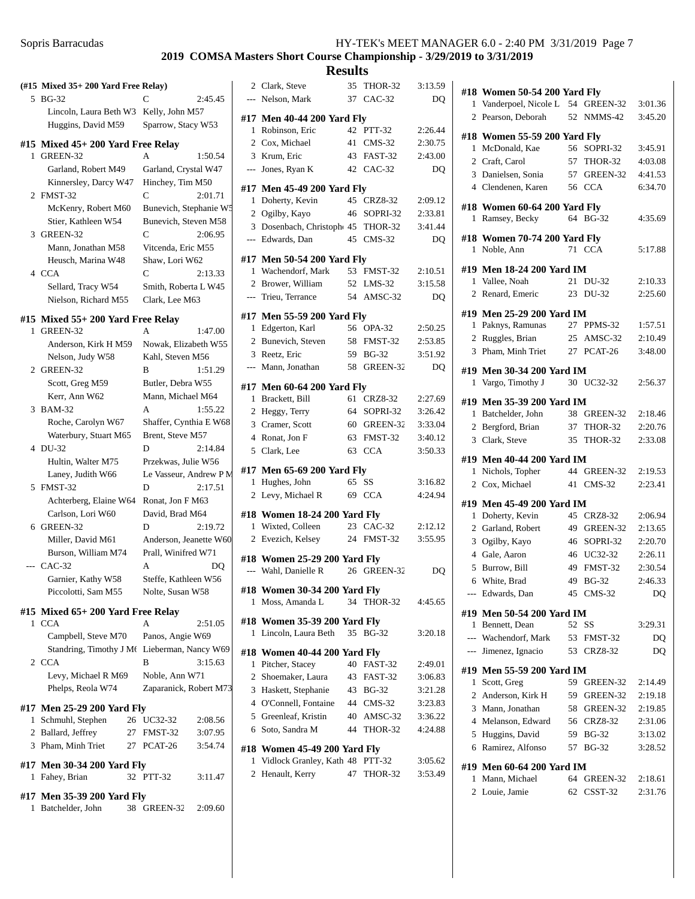|              |                                                     | 2019 COMSA                                    |         |
|--------------|-----------------------------------------------------|-----------------------------------------------|---------|
| 5            | (#15 Mixed 35+ 200 Yard Free Relay)<br><b>BG-32</b> | 2:45.45                                       |         |
|              | Lincoln, Laura Beth W3                              | Kelly, John M57                               |         |
|              | Huggins, David M59                                  | Sparrow, Stacy W53                            |         |
|              |                                                     |                                               |         |
|              | #15 Mixed 45+ 200 Yard Free Relay                   |                                               |         |
| 1.           | GREEN-32                                            | A                                             | 1:50.54 |
|              | Garland, Robert M49                                 | Garland, Crystal W47                          |         |
|              | Kinnersley, Darcy W47                               | Hinchey, Tim M50                              |         |
|              | 2 FMST-32                                           | C<br>2:01.71                                  |         |
|              | McKenry, Robert M60                                 | Bunevich, Stephanie W5                        |         |
|              | Stier, Kathleen W54                                 | Bunevich, Steven M58                          |         |
| 3            | GREEN-32                                            | C                                             | 2:06.95 |
|              | Mann, Jonathan M58                                  | Vitcenda, Eric M55                            |         |
|              | Heusch, Marina W48                                  | Shaw, Lori W62                                |         |
| 4            | <b>CCA</b>                                          | C<br>2:13.33                                  |         |
|              | Sellard, Tracy W54                                  | Smith, Roberta L W45                          |         |
|              | Nielson, Richard M55                                | Clark, Lee M63                                |         |
|              | #15 Mixed 55+ 200 Yard Free Relay                   |                                               |         |
| 1            | GREEN-32                                            | A                                             | 1:47.00 |
|              | Anderson, Kirk H M59                                | Nowak, Elizabeth W55                          |         |
|              | Nelson, Judy W58                                    | Kahl, Steven M56                              |         |
| $\mathbf{2}$ | GREEN-32                                            | B                                             | 1:51.29 |
|              | Scott, Greg M59                                     | Butler, Debra W55                             |         |
|              | Kerr, Ann W62                                       | Mann, Michael M64                             |         |
| 3            | <b>BAM-32</b>                                       | А                                             | 1:55.22 |
|              | Roche, Carolyn W67                                  | Shaffer, Cynthia E W68                        |         |
|              | Waterbury, Stuart M65<br>DU-32                      | Brent, Steve M57                              |         |
| 4            |                                                     | 2:14.84<br>D                                  |         |
|              | Hultin, Walter M75<br>Laney, Judith W66             | Przekwas, Julie W56<br>Le Vasseur, Andrew P M |         |
| 5            | FMST-32                                             | 2:17.51<br>D                                  |         |
|              | Achterberg, Elaine W64                              | Ronat, Jon F M63                              |         |
|              | Carlson, Lori W60                                   | David, Brad M64                               |         |
| 6            | GREEN-32                                            | 2:19.72<br>D                                  |         |
|              | Miller, David M61                                   | Anderson, Jeanette W60                        |         |
|              | Burson, William M74                                 | Prall, Winifred W71                           |         |
|              | --- CAC-32                                          | А                                             | DQ      |
|              | Garnier, Kathy W58                                  | Steffe, Kathleen W56                          |         |
|              | Piccolotti, Sam M55                                 | Nolte, Susan W58                              |         |
|              | #15 Mixed 65+ 200 Yard Free Relay                   |                                               |         |
| 1            | <b>CCA</b>                                          | А<br>2:51.05                                  |         |
|              | Campbell, Steve M70                                 | Panos, Angie W69                              |         |
|              | Standring, Timothy J Mt Lieberman, Nancy W69        |                                               |         |
| $\mathbf{2}$ | <b>CCA</b>                                          | В                                             | 3:15.63 |
|              | Levy, Michael R M69                                 | Noble, Ann W71                                |         |
|              | Phelps, Reola W74                                   | Zaparanick, Robert M73                        |         |
|              | #17 Men 25-29 200 Yard Fly                          |                                               |         |
| 1            | Schmuhl, Stephen                                    | 26 UC32-32<br>2:08.56                         |         |
|              | 2 Ballard, Jeffrey<br>27                            | FMST-32<br>3:07.95                            |         |
|              | 3 Pham, Minh Triet                                  | 27 PCAT-26                                    | 3:54.74 |
|              |                                                     |                                               |         |
| 1            | #17 Men 30-34 200 Yard Fly<br>Fahey, Brian<br>32    | PTT-32<br>3:11.47                             |         |
|              |                                                     |                                               |         |
|              | #17 Men 35-39 200 Yard Fly                          |                                               |         |
| 1            | Batchelder, John<br>38                              | 2:09.60<br>GREEN-32                           |         |
|              |                                                     |                                               |         |
|              |                                                     |                                               |         |

|   | <b>Results</b>                                                    |    |             |         |
|---|-------------------------------------------------------------------|----|-------------|---------|
|   | 2 Clark, Steve                                                    |    | 35 THOR-32  | 3:13.59 |
|   | --- Nelson, Mark                                                  | 37 | CAC-32      | DQ      |
|   | #17 Men 40-44 200 Yard Fly                                        |    |             |         |
|   | 1 Robinson, Eric                                                  |    | 42 PTT-32   | 2:26.44 |
|   | 2 Cox, Michael                                                    |    | 41 CMS-32   | 2:30.75 |
|   | 3 Krum, Eric                                                      |    | 43 FAST-32  | 2:43.00 |
|   | --- Jones, Ryan K                                                 |    | 42 CAC-32   | DQ      |
|   |                                                                   |    |             |         |
|   | #17 Men 45-49 200 Yard Fly                                        |    |             |         |
|   | 1 Doherty, Kevin                                                  |    | 45 CRZ8-32  | 2:09.12 |
|   | 2 Ogilby, Kayo                                                    |    | 46 SOPRI-32 | 2:33.81 |
|   | 3 Dosenbach, Christoph 45 THOR-32                                 |    |             | 3:41.44 |
|   | --- Edwards, Dan                                                  |    | 45 CMS-32   | DQ      |
|   | #17 Men 50-54 200 Yard Fly                                        |    |             |         |
|   | 1 Wachendorf, Mark                                                |    | 53 FMST-32  | 2:10.51 |
|   | 2 Brower, William                                                 |    | 52 LMS-32   | 3:15.58 |
|   | --- Trieu, Terrance                                               |    | 54 AMSC-32  | DQ      |
|   |                                                                   |    |             |         |
|   | #17 Men 55-59 200 Yard Fly<br>1 Edgerton, Karl                    |    | 56 OPA-32   | 2:50.25 |
|   | 2 Bunevich, Steven                                                |    | 58 FMST-32  | 2:53.85 |
|   | 3 Reetz, Eric                                                     |    | 59 BG-32    | 3:51.92 |
|   | --- Mann. Jonathan                                                |    | 58 GREEN-32 | DQ      |
|   |                                                                   |    |             |         |
|   | #17 Men 60-64 200 Yard Fly                                        |    |             |         |
|   | 1 Brackett, Bill                                                  |    | 61 CRZ8-32  | 2:27.69 |
|   | 2 Heggy, Terry                                                    |    | 64 SOPRI-32 | 3:26.42 |
|   | 3 Cramer, Scott                                                   |    | 60 GREEN-32 | 3:33.04 |
|   | 4 Ronat, Jon F                                                    |    | 63 FMST-32  | 3:40.12 |
|   | 5 Clark, Lee                                                      |    | 63 CCA      | 3:50.33 |
|   | #17 Men 65-69 200 Yard Fly                                        |    |             |         |
|   | 1 Hughes, John                                                    | 65 | SS          | 3:16.82 |
|   | 2 Levy, Michael R                                                 | 69 | CCA         | 4:24.94 |
|   |                                                                   |    |             |         |
|   | #18 Women 18-24 200 Yard Fly                                      |    |             |         |
|   | 1 Wixted, Colleen                                                 |    | 23 CAC-32   | 2:12.12 |
|   | 2 Evezich, Kelsey                                                 |    | 24 FMST-32  | 3:55.95 |
|   | #18 Women 25-29 200 Yard Fly                                      |    |             |         |
|   | --- Wahl, Danielle R 26 GREEN-32                                  |    |             | DQ      |
|   | #18  Women 30-34 200 Yard Fly                                     |    |             |         |
|   | 1 Moss, Amanda L                                                  |    | 34 THOR-32  | 4:45.65 |
|   |                                                                   |    |             |         |
|   | #18 Women 35-39 200 Yard Fly                                      |    |             |         |
| 1 | Lincoln, Laura Beth                                               |    | 35 BG-32    | 3:20.18 |
|   | #18 Women 40-44 200 Yard Fly                                      |    |             |         |
|   | 1 Pitcher, Stacey                                                 |    | 40 FAST-32  | 2:49.01 |
|   | 2 Shoemaker, Laura                                                |    | 43 FAST-32  | 3:06.83 |
|   | 3 Haskett, Stephanie                                              |    | 43 BG-32    | 3:21.28 |
|   | 4 O'Connell, Fontaine                                             |    | 44 CMS-32   | 3:23.83 |
|   | 5 Greenleaf, Kristin                                              |    | 40 AMSC-32  | 3:36.22 |
|   | 6 Soto, Sandra M                                                  |    | 44 THOR-32  | 4:24.88 |
|   |                                                                   |    |             |         |
|   | #18 Women 45-49 200 Yard Fly<br>1 Vidlock Granley, Kath 48 PTT-32 |    |             | 3:05.62 |
|   |                                                                   |    | 47 THOR-32  | 3:53.49 |
|   | 2 Henault, Kerry                                                  |    |             |         |
|   |                                                                   |    |             |         |

|              | #18 Women 50-54 200 Yard Fly                  |    |                |         |
|--------------|-----------------------------------------------|----|----------------|---------|
| 1            | Vanderpoel, Nicole L 54                       |    | GREEN-32       | 3:01.36 |
| 2            | Pearson, Deborah                              | 52 | NMMS-42        | 3:45.20 |
|              |                                               |    |                |         |
|              | #18 Women 55-59 200 Yard Fly                  |    |                |         |
| 1            | McDonald, Kae                                 | 56 | SOPRI-32       | 3:45.91 |
| 2            | Craft, Carol                                  | 57 | THOR-32        | 4:03.08 |
| 3            | Danielsen, Sonia                              | 57 | GREEN-32       | 4:41.53 |
|              | 4 Clendenen, Karen                            | 56 | <b>CCA</b>     | 6:34.70 |
| 1            | #18 Women 60-64 200 Yard Fly<br>Ramsey, Becky | 64 | <b>BG-32</b>   | 4:35.69 |
|              | #18 Women 70-74 200 Yard Fly                  |    |                |         |
| 1            | Noble, Ann                                    |    | 71 CCA         | 5:17.88 |
|              | #19 Men 18-24 200 Yard IM                     |    |                |         |
| 1            | Vallee, Noah                                  | 21 | DU-32          | 2:10.33 |
| 2            | Renard, Emeric                                | 23 | DU-32          | 2:25.60 |
|              | #19 Men 25-29 200 Yard IM                     |    |                |         |
| 1            | Paknys, Ramunas                               | 27 | PPMS-32        | 1:57.51 |
| 2            | Ruggles, Brian                                | 25 | AMSC-32        | 2:10.49 |
| 3            | Pham, Minh Triet                              |    | 27 PCAT-26     | 3:48.00 |
|              |                                               |    |                |         |
|              | #19 Men 30-34 200 Yard IM                     |    |                |         |
| 1            | Vargo, Timothy J                              | 30 | UC32-32        | 2:56.37 |
|              | #19 Men 35-39 200 Yard IM                     |    |                |         |
| $\mathbf{1}$ | Batchelder, John                              | 38 | GREEN-32       | 2:18.46 |
| 2            | Bergford, Brian                               | 37 | THOR-32        | 2:20.76 |
| 3            | Clark, Steve                                  | 35 | <b>THOR-32</b> | 2:33.08 |
| #19          | <b>Men 40-44 200 Yard IM</b>                  |    |                |         |
| 1            | Nichols, Topher                               | 44 | GREEN-32       | 2:19.53 |
| 2            | Cox, Michael                                  | 41 | $CMS-32$       | 2:23.41 |
|              | #19 Men 45-49 200 Yard IM                     |    |                |         |
| 1            | Doherty, Kevin                                | 45 | CRZ8-32        | 2:06.94 |
| 2            | Garland, Robert                               | 49 | GREEN-32       | 2:13.65 |
| 3            | Ogilby, Kayo                                  |    | 46 SOPRI-32    | 2:20.70 |
|              | 4 Gale, Aaron                                 |    | 46 UC32-32     | 2:26.11 |
| 5            |                                               |    | FMST-32        | 2:30.54 |
|              | Burrow, Bill                                  | 49 |                |         |
| 6            | White, Brad                                   | 49 | <b>BG-32</b>   | 2:46.33 |
| ---          | Edwards, Dan                                  |    | 45 CMS-32      | DQ      |
|              | #19 Men 50-54 200 Yard IM                     |    |                |         |
|              | 1 Bennett, Dean                               | 52 | SS             | 3:29.31 |
|              | --- Wachendorf, Mark                          |    | 53 FMST-32     | DQ      |
|              | --- Jimenez, Ignacio                          |    | 53 CRZ8-32     | DQ      |
|              | #19 Men 55-59 200 Yard IM                     |    |                |         |
| $\mathbf{1}$ | Scott, Greg                                   | 59 | GREEN-32       | 2:14.49 |
|              | 2 Anderson, Kirk H                            |    | 59 GREEN-32    | 2:19.18 |
|              | 3 Mann, Jonathan                              |    | 58 GREEN-32    | 2:19.85 |
|              | 4 Melanson, Edward                            |    | 56 CRZ8-32     | 2:31.06 |
| 5            | Huggins, David                                |    | 59 BG-32       | 3:13.02 |
| 6            | Ramirez, Alfonso                              |    | 57 BG-32       | 3:28.52 |
|              |                                               |    |                |         |
|              | #19 Men 60-64 200 Yard IM                     |    |                |         |
| 1            | Mann, Michael                                 | 64 | GREEN-32       | 2:18.61 |
|              | 2 Louie, Jamie                                | 62 | CSST-32        | 2:31.76 |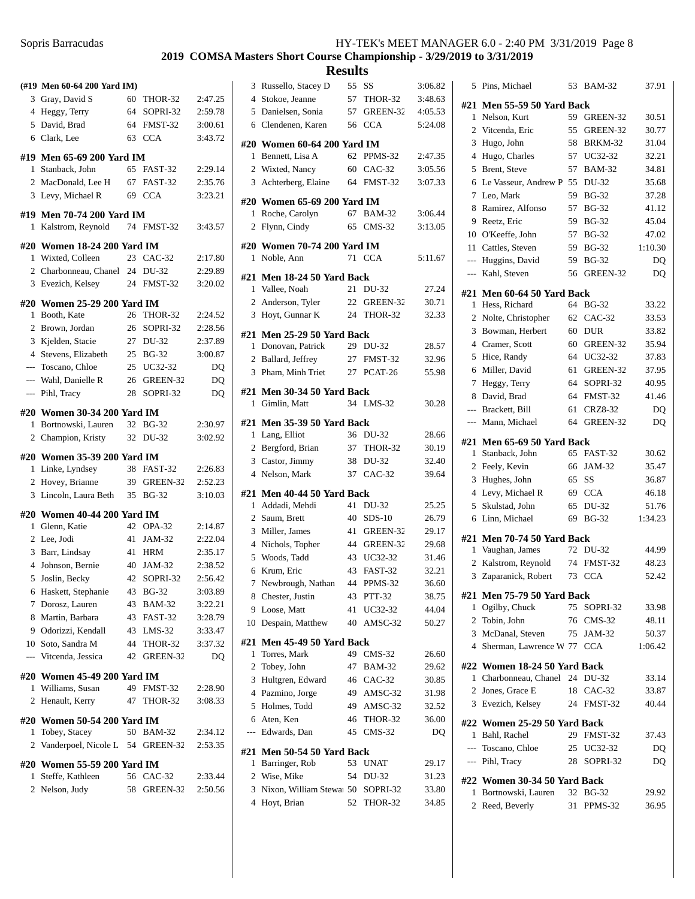### **2019 COMSA Masters Short Course Championship - 3/29/2019 to 3/31/2019**

|                | (#19 Men 60-64 200 Yard IM)      |    |               |                |
|----------------|----------------------------------|----|---------------|----------------|
| 3              | Gray, David S                    | 60 | THOR-32       | 2:47.25        |
| $\overline{4}$ | Heggy, Terry                     | 64 | SOPRI-32      | 2:59.78        |
|                | 5 David, Brad                    | 64 | FMST-32       | 3:00.61        |
| 6              | Clark, Lee                       | 63 | <b>CCA</b>    | 3:43.72        |
|                | #19 Men 65-69 200 Yard IM        |    |               |                |
| 1              | Stanback, John                   | 65 | FAST-32       | 2:29.14        |
|                | 2 MacDonald, Lee H               | 67 | FAST-32       | 2:35.76        |
|                | 3 Levy, Michael R                | 69 | <b>CCA</b>    | 3:23.21        |
|                | #19  Men 70-74 200 Yard IM       |    |               |                |
| 1              | Kalstrom, Reynold                | 74 | FMST-32       | 3:43.57        |
|                | #20 Women 18-24 200 Yard IM      |    |               |                |
| 1              | Wixted, Colleen                  | 23 | $CAC-32$      | 2:17.80        |
|                | 2 Charbonneau, Chanel 24         |    | DU-32         | 2:29.89        |
|                | 3 Evezich, Kelsey                | 24 | FMST-32       | 3:20.02        |
|                | #20 Women 25-29 200 Yard IM      |    |               |                |
| 1              | Booth, Kate                      |    | 26 THOR-32    | 2:24.52        |
| 2              | Brown, Jordan                    |    | 26 SOPRI-32   | 2:28.56        |
| 3              | Kjelden, Stacie                  |    | 27 DU-32      | 2:37.89        |
|                | 4 Stevens, Elizabeth             | 25 | $BG-32$       | 3:00.87        |
|                | --- Toscano, Chloe               |    | 25 UC32-32    | DQ             |
| $---$          | Wahl, Danielle R                 |    | 26 GREEN-32   | DQ             |
| $\overline{a}$ | Pihl, Tracy                      | 28 | SOPRI-32      | D <sub>O</sub> |
|                | #20 Women 30-34 200 Yard IM      |    |               |                |
| 1              | Bortnowski, Lauren               | 32 | <b>BG-32</b>  | 2:30.97        |
| $\overline{2}$ | Champion, Kristy                 | 32 | DU-32         | 3:02.92        |
|                | #20 Women 35-39 200 Yard IM      |    |               |                |
| 1              | Linke, Lyndsey                   | 38 | FAST-32       | 2:26.83        |
| 2              | Hovey, Brianne                   | 39 | GREEN-32      | 2:52.23        |
| 3              | Lincoln, Laura Beth              | 35 | <b>BG-32</b>  | 3:10.03        |
|                | #20 Women 40-44 200 Yard IM      |    |               |                |
| 1              | Glenn, Katie                     |    | 42 OPA-32     | 2:14.87        |
| $\overline{c}$ | Lee, Jodi                        | 41 | JAM-32        | 2:22.04        |
| 3              | Barr, Lindsay                    |    | 41 HRM        | 2:35.17        |
|                | 4 Johnson, Bernie                | 40 | <b>JAM-32</b> | 2:38.52        |
| 5              | Joslin, Becky                    | 42 |               |                |
|                |                                  |    | SOPRI-32      | 2:56.42        |
| 6              | Haskett, Stephanie               | 43 | <b>BG-32</b>  | 3:03.89        |
| 7              | Dorosz, Lauren                   | 43 | BAM-32        | 3:22.21        |
| 8              | Martin, Barbara                  |    | 43 FAST-32    | 3:28.79        |
|                | 9 Odorizzi, Kendall              |    | 43 LMS-32     | 3:33.47        |
|                | 10 Soto, Sandra M                |    | 44 THOR-32    | 3:37.32        |
| $---$          | Vitcenda, Jessica                | 42 | GREEN-32      | DO             |
|                | #20 Women 45-49 200 Yard IM      |    |               |                |
| 1              | Williams, Susan                  | 49 | FMST-32       | 2:28.90        |
| 2              | Henault, Kerry                   | 47 | THOR-32       | 3:08.33        |
|                | #20 Women 50-54 200 Yard IM      |    |               |                |
| 1              | Tobey, Stacey                    |    | 50 BAM-32     | 2:34.12        |
| 2              | Vanderpoel, Nicole L 54 GREEN-32 |    |               | 2:53.35        |
|                | #20 Women 55-59 200 Yard IM      |    |               |                |
| 1              | Steffe, Kathleen                 | 56 | $CAC-32$      | 2:33.44        |
| 2              | Nelson, Judy                     | 58 | GREEN-32      | 2:50.56        |

|    | 3 Russello, Stacey D                |    | 55 SS         | 3:06.82 |
|----|-------------------------------------|----|---------------|---------|
|    | 4 Stokoe, Jeanne                    |    | 57 THOR-32    | 3:48.63 |
|    | 5 Danielsen, Sonia                  |    | 57 GREEN-32   | 4:05.53 |
|    | 6 Clendenen, Karen                  |    | 56 CCA        | 5:24.08 |
|    |                                     |    |               |         |
|    | #20 Women 60-64 200 Yard IM         |    |               |         |
|    | 1 Bennett, Lisa A                   |    | 62 PPMS-32    | 2:47.35 |
|    | 2 Wixted, Nancy                     |    | 60 CAC-32     | 3:05.56 |
|    | 3 Achterberg, Elaine                |    | 64 FMST-32    | 3:07.33 |
|    | #20 Women 65-69 200 Yard IM         |    |               |         |
| 1  | Roche, Carolyn                      | 67 | <b>BAM-32</b> | 3:06.44 |
| 2  | Flynn, Cindy                        | 65 | $CMS-32$      | 3:13.05 |
|    | #20 Women 70-74 200 Yard IM         |    |               |         |
| 1  | Noble, Ann                          |    | 71 CCA        | 5:11.67 |
|    |                                     |    |               |         |
|    | #21 Men 18-24 50 Yard Back          |    |               |         |
|    | 1 Vallee, Noah                      |    | 21 DU-32      | 27.24   |
|    | 2 Anderson, Tyler                   |    | 22 GREEN-32   | 30.71   |
|    | 3 Hoyt, Gunnar K                    |    | 24 THOR-32    | 32.33   |
|    | #21 Men 25-29 50 Yard Back          |    |               |         |
|    | 1 Donovan, Patrick                  |    | 29 DU-32      | 28.57   |
|    | 2 Ballard, Jeffrey                  |    | 27 FMST-32    | 32.96   |
|    | 3 Pham, Minh Triet                  |    | 27 PCAT-26    | 55.98   |
|    | #21 Men 30-34 50 Yard Back          |    |               |         |
| 1  | Gimlin, Matt                        | 34 | $LMS-32$      | 30.28   |
|    |                                     |    |               |         |
|    | #21 Men 35-39 50 Yard Back          |    |               |         |
|    | 1 Lang, Elliot                      |    | 36 DU-32      | 28.66   |
|    | 2 Bergford, Brian                   |    | 37 THOR-32    | 30.19   |
|    | 3 Castor, Jimmy                     |    | 38 DU-32      | 32.40   |
|    | 4 Nelson, Mark                      |    | 37 CAC-32     | 39.64   |
|    | #21 Men 40-44 50 Yard Back          |    |               |         |
|    | 1 Addadi, Mehdi                     | 41 | DU-32         | 25.25   |
|    | 2 Saum, Brett                       |    | 40 SDS-10     | 26.79   |
|    | 3 Miller, James                     |    | 41 GREEN-32   | 29.17   |
|    | 4 Nichols, Topher                   |    | 44 GREEN-32   | 29.68   |
|    | 5 Woods, Tadd                       |    | 43 UC32-32    | 31.46   |
|    | 6 Krum, Eric                        |    | 43 FAST-32    | 32.21   |
|    | 7 Newbrough, Nathan                 |    | 44 PPMS-32    | 36.60   |
|    | 8 Chester, Justin                   |    | 43 PTT-32     | 38.75   |
|    | 9 Loose, Matt                       | 41 | UC32-32       | 44.04   |
| 10 | Despain, Matthew                    |    | 40 AMSC-32    | 50.27   |
|    |                                     |    |               |         |
|    | #21 Men 45-49 50 Yard Back          |    |               |         |
| 1  | Torres, Mark                        |    | 49 CMS-32     | 26.60   |
|    | 2 Tobey, John                       |    | 47 BAM-32     | 29.62   |
| 3  | Hultgren, Edward                    |    | 46 CAC-32     | 30.85   |
|    | 4 Pazmino, Jorge                    |    | 49 AMSC-32    | 31.98   |
|    | 5 Holmes, Todd                      |    | 49 AMSC-32    | 32.52   |
|    | 6 Aten, Ken                         |    | 46 THOR-32    | 36.00   |
|    | --- Edwards, Dan                    | 45 | $CMS-32$      | DQ      |
|    | #21  Men 50-54 50 Yard Back         |    |               |         |
|    | 1 Barringer, Rob                    | 53 | UNAT          | 29.17   |
|    | 2 Wise, Mike                        |    | 54 DU-32      | 31.23   |
|    | 3 Nixon, William Stewar 50 SOPRI-32 |    |               | 33.80   |
| 4  | Hoyt, Brian                         |    | 52 THOR-32    | 34.85   |
|    |                                     |    |               |         |

| 5              | Pins, Michael                               | 53 | <b>BAM-32</b>  | 37.91   |
|----------------|---------------------------------------------|----|----------------|---------|
|                | #21 Men 55-59 50 Yard Back                  |    |                |         |
| 1              | Nelson, Kurt                                | 59 | GREEN-32       | 30.51   |
| 2              | Vitcenda, Eric                              | 55 | GREEN-32       | 30.77   |
| 3              | Hugo, John                                  | 58 | BRKM-32        | 31.04   |
| 4              | Hugo, Charles                               | 57 | UC32-32        | 32.21   |
| 5              | Brent, Steve                                | 57 | <b>BAM-32</b>  | 34.81   |
| 6              | Le Vasseur, Andrew P                        | 55 | DU-32          | 35.68   |
| 7              | Leo, Mark                                   | 59 | <b>BG-32</b>   | 37.28   |
| 8              | Ramirez, Alfonso                            | 57 | <b>BG-32</b>   | 41.12   |
| 9              | Reetz, Eric                                 | 59 | <b>BG-32</b>   | 45.04   |
|                | 10 O'Keeffe, John                           | 57 | <b>BG-32</b>   | 47.02   |
|                | 11 Cattles, Steven                          | 59 | <b>BG-32</b>   | 1:10.30 |
|                | --- Huggins, David                          | 59 | <b>BG-32</b>   | DQ      |
|                | --- Kahl, Steven                            | 56 | GREEN-32       | DQ      |
|                |                                             |    |                |         |
| 1              | #21 Men 60-64 50 Yard Back<br>Hess, Richard | 64 | <b>BG-32</b>   | 33.22   |
|                |                                             | 62 |                | 33.53   |
| 2              | Nolte, Christopher                          |    | $CAC-32$       |         |
| 3              | Bowman, Herbert                             | 60 | <b>DUR</b>     | 33.82   |
|                | 4 Cramer, Scott                             | 60 | GREEN-32       | 35.94   |
|                | 5 Hice, Randy                               | 64 | UC32-32        | 37.83   |
| 6              | Miller, David                               | 61 | GREEN-32       | 37.95   |
| 7              | Heggy, Terry                                | 64 | SOPRI-32       | 40.95   |
| 8              | David, Brad                                 | 64 | FMST-32        | 41.46   |
|                | --- Brackett, Bill                          | 61 | <b>CRZ8-32</b> | DQ      |
|                | --- Mann, Michael                           | 64 | GREEN-32       | DQ      |
|                | #21 Men 65-69 50 Yard Back                  |    |                |         |
| 1              | Stanback, John                              | 65 | FAST-32        | 30.62   |
|                | 2 Feely, Kevin                              | 66 | JAM-32         | 35.47   |
| 3              | Hughes, John                                | 65 | SS             | 36.87   |
|                | 4 Levy, Michael R                           | 69 | <b>CCA</b>     | 46.18   |
| 5              | Skulstad, John                              | 65 | DU-32          | 51.76   |
| 6              | Linn, Michael                               | 69 | <b>BG-32</b>   | 1:34.23 |
|                | #21 Men 70-74 50 Yard Back                  |    |                |         |
| 1              | Vaughan, James                              | 72 | DU-32          | 44.99   |
| 2              | Kalstrom, Reynold                           | 74 | FMST-32        | 48.23   |
| 3              | Zaparanick, Robert                          | 73 | <b>CCA</b>     | 52.42   |
| #21            | <b>Men 75-79 50 Yard Back</b>               |    |                |         |
| $\mathbf{1}$   | Ogilby, Chuck                               |    | 75 SOPRI-32    | 33.98   |
| $\overline{2}$ | Tobin, John                                 |    | 76 CMS-32      | 48.11   |
|                | 3 McDanal, Steven                           |    | 75 JAM-32      | 50.37   |
|                | 4 Sherman, Lawrence W 77 CCA                |    |                | 1:06.42 |
|                | #22 Women 18-24 50 Yard Back                |    |                |         |
| 1              | Charbonneau, Chanel                         |    | 24 DU-32       | 33.14   |
|                | 2 Jones, Grace E                            |    | 18 CAC-32      | 33.87   |
|                | 3 Evezich, Kelsey                           |    | 24 FMST-32     | 40.44   |
|                | #22 Women 25-29 50 Yard Back                |    |                |         |
| 1              | Bahl, Rachel                                |    | 29 FMST-32     | 37.43   |
|                | --- Toscano, Chloe                          |    | 25 UC32-32     | DQ      |
|                | --- Pihl, Tracy                             |    | 28 SOPRI-32    | DQ      |
|                | #22 Women 30-34 50 Yard Back                |    |                |         |
| 1              | Bortnowski, Lauren                          |    | 32 BG-32       | 29.92   |
| 2              | Reed, Beverly                               | 31 | PPMS-32        | 36.95   |
|                |                                             |    |                |         |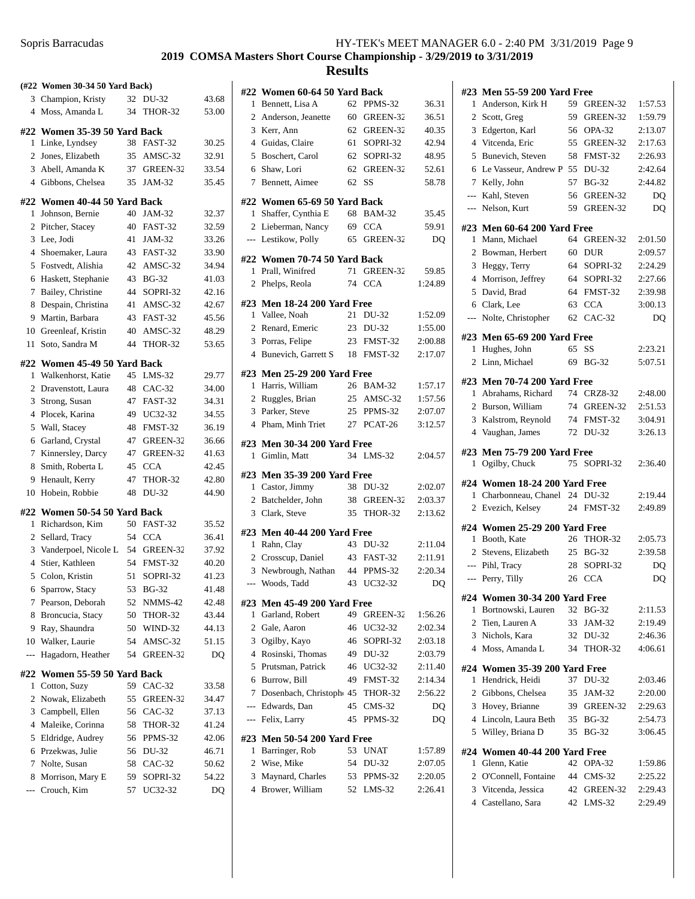| Sopris Barracudas | HY-TEK's MEET MANAGER 6.0 - 2:40 PM 3/31/2019 Page 9 |
|-------------------|------------------------------------------------------|
|-------------------|------------------------------------------------------|

|                | (#22 Women 30-34 50 Yard Back) |    |                |       |
|----------------|--------------------------------|----|----------------|-------|
|                | 3 Champion, Kristy             | 32 | DU-32          | 43.68 |
| $\overline{4}$ | Moss, Amanda L                 | 34 | <b>THOR-32</b> | 53.00 |
|                | #22 Women 35-39 50 Yard Back   |    |                |       |
| 1              | Linke, Lyndsey                 | 38 | FAST-32        | 30.25 |
| 2              | Jones, Elizabeth               | 35 | AMSC-32        | 32.91 |
|                | 3 Abell, Amanda K              |    | 37 GREEN-32    | 33.54 |
| $\overline{4}$ | Gibbons, Chelsea               | 35 | JAM-32         | 35.45 |
| #22            | Women 40-44 50 Yard Back       |    |                |       |
| 1              | Johnson, Bernie                | 40 | JAM-32         | 32.37 |
| 2              | Pitcher, Stacey                | 40 | FAST-32        | 32.59 |
| 3              | Lee, Jodi                      | 41 | JAM-32         | 33.26 |
| $\overline{4}$ | Shoemaker, Laura               | 43 | FAST-32        | 33.90 |
| 5              | Fostvedt, Alishia              |    | 42 AMSC-32     | 34.94 |
| 6              | Haskett, Stephanie             |    | 43 BG-32       | 41.03 |
| 7              | Bailey, Christine              |    | 44 SOPRI-32    | 42.16 |
| 8              | Despain, Christina             | 41 | AMSC-32        | 42.67 |
| 9              | Martin, Barbara                | 43 | FAST-32        | 45.56 |
| 10             | Greenleaf, Kristin             | 40 | AMSC-32        | 48.29 |
| 11             | Soto, Sandra M                 | 44 | THOR-32        | 53.65 |
|                | #22 Women 45-49 50 Yard Back   |    |                |       |
| 1              | Walkenhorst, Katie             |    | 45 LMS-32      | 29.77 |
| 2              | Dravenstott, Laura             | 48 | $CAC-32$       | 34.00 |
| 3              | Strong, Susan                  | 47 | FAST-32        | 34.31 |
| 4              | Plocek, Karina                 | 49 | UC32-32        | 34.55 |
| 5              | Wall, Stacey                   | 48 | FMST-32        | 36.19 |
| 6              | Garland, Crystal               | 47 | GREEN-32       | 36.66 |
| 7              | Kinnersley, Darcy              | 47 | GREEN-32       | 41.63 |
| 8              | Smith, Roberta L               | 45 | <b>CCA</b>     | 42.45 |
| 9              | Henault, Kerry                 | 47 | THOR-32        | 42.80 |
| 10             | Hobein, Robbie                 | 48 | DU-32          | 44.90 |
|                | #22 Women 50-54 50 Yard Back   |    |                |       |
| 1              | Richardson, Kim                |    | 50 FAST-32     | 35.52 |
| 2              | Sellard, Tracy                 |    | 54 CCA         | 36.41 |
|                | 3 Vanderpoel, Nicole L         |    | 54 GREEN-32    | 37.92 |
| $\overline{4}$ | Stier, Kathleen                |    | 54 FMST-32     | 40.20 |
| 5              | Colon, Kristin                 | 51 | SOPRI-32       | 41.23 |
|                | 6 Sparrow, Stacy               |    | 53 BG-32       | 41.48 |
| 7              | Pearson, Deborah               | 52 | NMMS-42        | 42.48 |
| 8              | Broncucia, Stacy               | 50 | <b>THOR-32</b> | 43.44 |
| 9              | Ray, Shaundra                  | 50 | WIND-32        | 44.13 |
| 10             | Walker, Laurie                 | 54 | AMSC-32        | 51.15 |
| $\overline{a}$ | Hagadorn, Heather              | 54 | GREEN-32       | DQ    |
| #22            | Women 55-59 50 Yard Back       |    |                |       |
| 1              | Cotton, Suzy                   | 59 | CAC-32         | 33.58 |
| 2              | Nowak, Elizabeth               | 55 | GREEN-32       | 34.47 |
| 3              | Campbell, Ellen                | 56 | $CAC-32$       | 37.13 |
| 4              | Maleike, Corinna               | 58 | THOR-32        | 41.24 |
| 5              | Eldridge, Audrey               | 56 | PPMS-32        | 42.06 |
| 6              | Przekwas, Julie                | 56 | DU-32          | 46.71 |
| 7              | Nolte, Susan                   | 58 | $CAC-32$       | 50.62 |
| 8              | Morrison, Mary E               | 59 | SOPRI-32       | 54.22 |
| ---            | Crouch, Kim                    | 57 | UC32-32        | DQ    |

|                | #22 Women 60-64 50 Yard Back                     |    |             |         |
|----------------|--------------------------------------------------|----|-------------|---------|
| 1              | Bennett, Lisa A                                  | 62 | PPMS-32     | 36.31   |
|                | 2 Anderson, Jeanette                             |    | 60 GREEN-32 | 36.51   |
|                | 3 Kerr, Ann                                      |    | 62 GREEN-32 | 40.35   |
|                | 4 Guidas, Claire                                 |    | 61 SOPRI-32 | 42.94   |
|                | 5 Boschert, Carol                                |    | 62 SOPRI-32 | 48.95   |
| 6              | Shaw, Lori                                       | 62 | GREEN-32    | 52.61   |
| $7^{\circ}$    | Bennett, Aimee                                   | 62 | SS          | 58.78   |
|                | #22 Women 65-69 50 Yard Back                     |    |             |         |
| 1              | Shaffer, Cynthia E                               |    | 68 BAM-32   | 35.45   |
|                | 2 Lieberman, Nancy                               |    | 69 CCA      | 59.91   |
|                | --- Lestikow, Polly                              |    | 65 GREEN-32 | DQ      |
|                |                                                  |    |             |         |
|                | #22 Women 70-74 50 Yard Back                     |    |             |         |
|                | 1 Prall, Winifred                                | 71 | GREEN-32    | 59.85   |
| $\overline{c}$ | Phelps, Reola                                    | 74 | <b>CCA</b>  | 1:24.89 |
|                | #23 Men 18-24 200 Yard Free                      |    |             |         |
|                | 1 Vallee, Noah                                   |    | 21 DU-32    | 1:52.09 |
|                | 2 Renard, Emeric                                 |    | 23 DU-32    | 1:55.00 |
|                | 3 Porras, Felipe                                 |    | 23 FMST-32  | 2:00.88 |
|                | 4 Bunevich, Garrett S                            | 18 | FMST-32     | 2:17.07 |
|                |                                                  |    |             |         |
|                | #23 Men 25-29 200 Yard Free<br>1 Harris, William |    | 26 BAM-32   | 1:57.17 |
|                | 2 Ruggles, Brian                                 |    | 25 AMSC-32  | 1:57.56 |
|                | 3 Parker, Steve                                  |    | 25 PPMS-32  | 2:07.07 |
|                | 4 Pham, Minh Triet                               |    | 27 PCAT-26  | 3:12.57 |
|                |                                                  |    |             |         |
|                | #23 Men 30-34 200 Yard Free                      |    |             |         |
| 1              | Gimlin, Matt                                     | 34 | $LMS-32$    | 2:04.57 |
|                | #23 Men 35-39 200 Yard Free                      |    |             |         |
|                | 1 Castor, Jimmy                                  |    | 38 DU-32    | 2:02.07 |
|                | 2 Batchelder, John                               |    | 38 GREEN-32 | 2:03.37 |
|                | 3 Clark, Steve                                   |    | 35 THOR-32  | 2:13.62 |
|                |                                                  |    |             |         |
|                | #23 Men 40-44 200 Yard Free<br>1 Rahn, Clay      |    | 43 DU-32    | 2:11.04 |
|                | 2 Crosscup, Daniel                               |    | 43 FAST-32  | 2:11.91 |
|                | 3 Newbrough, Nathan                              |    | 44 PPMS-32  | 2:20.34 |
|                | --- Woods, Tadd                                  | 43 | UC32-32     | DQ      |
|                |                                                  |    |             |         |
|                | #23 Men 45-49 200 Yard Free                      |    |             |         |
| 1              | Garland, Robert                                  | 49 | GREEN-32    | 1:56.26 |
|                | 2 Gale, Aaron                                    | 46 | UC32-32     | 2:02.34 |
|                | 3 Ogilby, Kayo                                   | 46 | SOPRI-32    | 2:03.18 |
|                | 4 Rosinski, Thomas                               |    | 49 DU-32    | 2:03.79 |
|                | 5 Prutsman, Patrick                              | 46 | UC32-32     | 2:11.40 |
| 6              | Burrow, Bill                                     | 49 | FMST-32     | 2:14.34 |
| 7              | Dosenbach, Christoph 45 THOR-32                  |    |             | 2:56.22 |
| ---            | Edwards, Dan                                     | 45 | $CMS-32$    | DQ      |
|                | --- Felix, Larry                                 | 45 | PPMS-32     | DQ      |
|                | #23 Men 50-54 200 Yard Free                      |    |             |         |
| 1              | Barringer, Rob                                   | 53 | <b>UNAT</b> | 1:57.89 |
| $\overline{c}$ | Wise, Mike                                       | 54 | DU-32       | 2:07.05 |
| 3              | Maynard, Charles                                 |    | 53 PPMS-32  | 2:20.05 |
| $\overline{4}$ | Brower, William                                  | 52 | $LMS-32$    | 2:26.41 |
|                |                                                  |    |             |         |

|                | #23 Men 55-59 200 Yard Free                         |          |                      |                    |  |
|----------------|-----------------------------------------------------|----------|----------------------|--------------------|--|
| 1              | Anderson, Kirk H                                    | 59       | GREEN-32             | 1:57.53            |  |
| 2              | Scott, Greg                                         | 59       | GREEN-32             | 1:59.79            |  |
| 3              | Edgerton, Karl                                      | 56       | OPA-32               | 2:13.07            |  |
| 4              | Vitcenda, Eric                                      | 55       | GREEN-32             | 2:17.63            |  |
| 5              | Bunevich, Steven                                    | 58       | FMST-32              | 2:26.93            |  |
| 6              | Le Vasseur, Andrew P 55                             |          | DU-32                | 2:42.64            |  |
| 7              | Kelly, John                                         | 57       | <b>BG-32</b>         | 2:44.82            |  |
| $---$          | Kahl, Steven                                        | 56       | GREEN-32             | DQ                 |  |
| $---$          | Nelson, Kurt                                        | 59       | GREEN-32             | DQ                 |  |
|                | #23 Men 60-64 200 Yard Free                         |          |                      |                    |  |
| $\mathbf{1}$   | Mann, Michael                                       | 64       | GREEN-32             | 2:01.50            |  |
| 2              | Bowman, Herbert                                     | 60       | <b>DUR</b>           | 2:09.57            |  |
| 3              | Heggy, Terry                                        | 64       | SOPRI-32             | 2:24.29            |  |
| 4              | Morrison, Jeffrey                                   | 64       | SOPRI-32             | 2:27.66            |  |
| 5              | David, Brad                                         | 64       | FMST-32              | 2:39.98            |  |
| 6              | Clark, Lee                                          | 63       | <b>CCA</b>           | 3:00.13            |  |
| ---            | Nolte, Christopher                                  | 62       | $CAC-32$             | DQ                 |  |
|                | #23 Men 65-69 200 Yard Free                         |          |                      |                    |  |
| 1              | Hughes, John                                        | 65       | SS                   | 2:23.21            |  |
| 2              | Linn, Michael                                       |          | 69 BG-32             | 5:07.51            |  |
|                | #23 Men 70-74 200 Yard Free                         |          |                      |                    |  |
| 1              | Abrahams, Richard                                   |          | 74 CRZ8-32           | 2:48.00            |  |
| 2              | Burson, William                                     | 74       | GREEN-32             | 2:51.53            |  |
| 3              | Kalstrom, Reynold                                   | 74       | FMST-32              | 3:04.91            |  |
| $\overline{4}$ | Vaughan, James                                      | 72       | DU-32                | 3:26.13            |  |
|                |                                                     |          |                      |                    |  |
|                |                                                     |          |                      |                    |  |
|                | #23 Men 75-79 200 Yard Free                         |          |                      |                    |  |
| $\mathbf{1}$   | Ogilby, Chuck                                       | 75       | SOPRI-32             | 2:36.40            |  |
|                | #24 Women 18-24 200 Yard Free                       |          |                      |                    |  |
| 1              | Charbonneau, Chanel 24                              |          | DU-32                | 2:19.44            |  |
| $\overline{2}$ | Evezich, Kelsey                                     | 24       | FMST-32              | 2:49.89            |  |
|                | #24 Women 25-29 200 Yard Free                       |          |                      |                    |  |
| $\mathbf{1}$   | Booth, Kate                                         |          | 26 THOR-32           | 2:05.73            |  |
| $\overline{2}$ | Stevens, Elizabeth                                  | 25       | <b>BG-32</b>         | 2:39.58            |  |
|                | --- Pihl, Tracy                                     | 28       | SOPRI-32             | DQ                 |  |
| $---$          | Perry, Tilly                                        | 26       | <b>CCA</b>           | DQ                 |  |
| #24            |                                                     |          |                      |                    |  |
| 1              | Women 30-34 200 Yard Free<br>Bortnowski, Lauren     | 32       | <b>BG-32</b>         | 2:11.53            |  |
| 2              | Tien, Lauren A                                      | 33       | JAM-32               | 2:19.49            |  |
| 3              | Nichols, Kara                                       | 32       | DU-32                | 2:46.36            |  |
| 4              | Moss, Amanda L                                      | 34       | THOR-32              | 4:06.61            |  |
|                |                                                     |          |                      |                    |  |
| #24<br>1       | <b>Women 35-39 200 Yard Free</b><br>Hendrick, Heidi | 37       | DU-32                | 2:03.46            |  |
| 2              | Gibbons, Chelsea                                    | 35       | JAM-32               | 2:20.00            |  |
| 3              | Hovey, Brianne                                      | 39       | GREEN-32             | 2:29.63            |  |
| 4              | Lincoln, Laura Beth                                 | 35       | <b>BG-32</b>         | 2:54.73            |  |
| 5              | Willey, Briana D                                    | 35       | <b>BG-32</b>         | 3:06.45            |  |
|                |                                                     |          |                      |                    |  |
|                | #24 Women 40-44 200 Yard Free                       |          |                      |                    |  |
| 1              | Glenn, Katie                                        | 42<br>44 | OPA-32               | 1:59.86            |  |
| 2<br>3         | O'Connell, Fontaine<br>Vitcenda, Jessica            | 42       | $CMS-32$<br>GREEN-32 | 2:25.22<br>2:29.43 |  |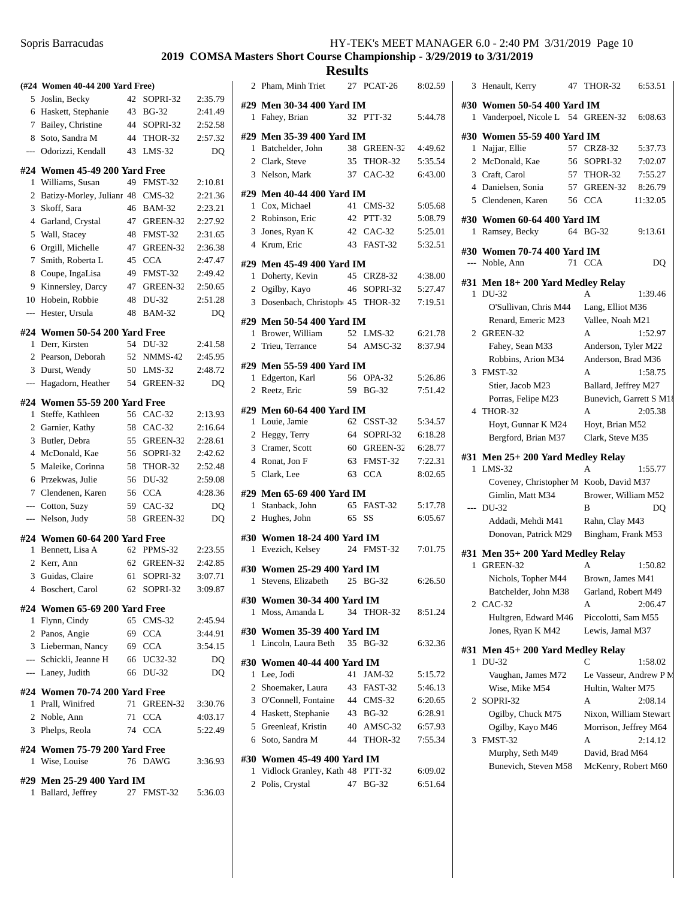#### **2019 COMSA Masters Short Course Championship - 3/29/2019 to 3/31/2019**

|                          | (#24 Women 40-44 200 Yard Free)  |    |               |                |
|--------------------------|----------------------------------|----|---------------|----------------|
|                          | 5 Joslin, Becky                  | 42 | SOPRI-32      | 2:35.79        |
|                          | 6 Haskett, Stephanie             | 43 | <b>BG-32</b>  | 2:41.49        |
|                          | 7 Bailey, Christine              |    | 44 SOPRI-32   | 2:52.58        |
| 8                        | Soto, Sandra M                   |    | 44 THOR-32    | 2:57.32        |
| $---$                    | Odorizzi, Kendall                | 43 | $LMS-32$      | D <sub>O</sub> |
|                          |                                  |    |               |                |
|                          | #24 Women 45-49 200 Yard Free    |    |               |                |
| 1                        | Williams, Susan                  | 49 | FMST-32       | 2:10.81        |
| 2                        | Batizy-Morley, Julianr 48 CMS-32 |    |               | 2:21.36        |
| 3                        | Skoff, Sara                      | 46 | <b>BAM-32</b> | 2:23.21        |
| $\overline{4}$           | Garland, Crystal                 | 47 | GREEN-32      | 2:27.92        |
| 5                        | Wall, Stacey                     | 48 | FMST-32       | 2:31.65        |
| 6                        | Orgill, Michelle                 | 47 | GREEN-32      | 2:36.38        |
| 7                        | Smith, Roberta L                 | 45 | <b>CCA</b>    | 2:47.47        |
| 8                        | Coupe, IngaLisa                  | 49 | FMST-32       | 2:49.42        |
| 9                        | Kinnersley, Darcy                | 47 | GREEN-32      | 2:50.65        |
| 10                       | Hobein. Robbie                   | 48 | DU-32         | 2:51.28        |
| $\overline{a}$           | Hester, Ursula                   | 48 | <b>BAM-32</b> | DQ             |
|                          | #24 Women 50-54 200 Yard Free    |    |               |                |
| 1                        | Derr, Kirsten                    | 54 | DU-32         | 2:41.58        |
|                          | 2 Pearson, Deborah               | 52 | NMMS-42       | 2:45.95        |
| 3                        | Durst, Wendy                     | 50 | $LMS-32$      | 2:48.72        |
| $\overline{\phantom{a}}$ | Hagadorn, Heather                | 54 | GREEN-32      | D <sub>O</sub> |
|                          |                                  |    |               |                |
|                          | #24 Women 55-59 200 Yard Free    |    |               |                |
| 1                        | Steffe, Kathleen                 | 56 | $CAC-32$      | 2:13.93        |
|                          | 2 Garnier, Kathy                 | 58 | CAC-32        | 2:16.64        |
| 3                        | Butler, Debra                    | 55 | GREEN-32      | 2:28.61        |
| $\overline{4}$           | McDonald, Kae                    | 56 | SOPRI-32      | 2:42.62        |
| 5                        | Maleike, Corinna                 | 58 | THOR-32       | 2:52.48        |
| 6                        | Przekwas, Julie                  | 56 | DU-32         | 2:59.08        |
| 7                        | Clendenen, Karen                 | 56 | <b>CCA</b>    | 4:28.36        |
| ---                      | Cotton, Suzy                     | 59 | $CAC-32$      | DQ             |
| $---$                    | Nelson, Judy                     | 58 | GREEN-32      | DQ             |
|                          | #24 Women 60-64 200 Yard Free    |    |               |                |
| 1                        | Bennett, Lisa A                  | 62 | PPMS-32       | 2:23.55        |
|                          | 2 Kerr, Ann                      | 62 | GREEN-32      | 2:42.85        |
| 3                        | Guidas, Claire                   | 61 | SOPRI-32      | 3:07.71        |
|                          | 4 Boschert, Carol                |    | 62 SOPRI-32   | 3:09.87        |
|                          | #24 Women 65-69 200 Yard Free    |    |               |                |
|                          | 1 Flynn, Cindy                   |    | 65 CMS-32     | 2:45.94        |
|                          | 2 Panos, Angie                   |    | 69 CCA        | 3:44.91        |
|                          | 3 Lieberman, Nancy               |    | 69 CCA        | 3:54.15        |
|                          | --- Schickli, Jeanne H           |    | 66 UC32-32    |                |
|                          | --- Laney, Judith                |    | 66 DU-32      | DQ<br>DQ       |
|                          |                                  |    |               |                |
|                          | #24 Women 70-74 200 Yard Free    |    |               |                |
|                          | 1 Prall, Winifred                | 71 | GREEN-32      | 3:30.76        |
|                          | 2 Noble, Ann                     |    | 71 CCA        | 4:03.17        |
|                          | 3 Phelps, Reola                  | 74 | <b>CCA</b>    | 5:22.49        |
|                          | #24 Women 75-79 200 Yard Free    |    |               |                |
| 1                        | Wise, Louise                     | 76 | DAWG          | 3:36.93        |
|                          |                                  |    |               |                |
|                          | #29 Men 25-29 400 Yard IM        |    |               |                |
| 1                        | Ballard, Jeffrey                 | 27 | FMST-32       | 5:36.03        |
|                          |                                  |    |               |                |

| 2            | Pham, Minh Triet                  | 27 | PCAT-26              | 8:02.59            |
|--------------|-----------------------------------|----|----------------------|--------------------|
|              | #29 Men 30-34 400 Yard IM         |    |                      |                    |
| 1            | Fahey, Brian                      |    | 32 PTT-32            | 5:44.78            |
|              | #29 Men 35-39 400 Yard IM         |    |                      |                    |
|              | 1 Batchelder, John                |    | 38 GREEN-32          | 4:49.62            |
|              | 2 Clark, Steve                    |    | 35 THOR-32           | 5:35.54            |
|              | 3 Nelson, Mark                    |    | 37 CAC-32            | 6:43.00            |
|              |                                   |    |                      |                    |
|              | #29 Men 40-44 400 Yard IM         |    |                      |                    |
|              | 1 Cox, Michael                    |    | 41 CMS-32            | 5:05.68            |
|              | 2 Robinson, Eric                  |    | 42 PTT-32            | 5:08.79            |
|              | 3 Jones, Ryan K                   |    | 42 CAC-32            | 5:25.01            |
|              | 4 Krum, Eric                      |    | 43 FAST-32           | 5:32.51            |
|              | #29 Men 45-49 400 Yard IM         |    |                      |                    |
|              | 1 Doherty, Kevin                  |    | 45 CRZ8-32           | 4:38.00            |
|              | 2 Ogilby, Kayo                    |    | 46 SOPRI-32          | 5:27.47            |
|              | 3 Dosenbach, Christoph 45 THOR-32 |    |                      | 7:19.51            |
|              | #29 Men 50-54 400 Yard IM         |    |                      |                    |
|              | 1 Brower, William                 |    | 52 LMS-32            | 6:21.78            |
|              | 2 Trieu, Terrance                 |    | 54 AMSC-32           | 8:37.94            |
|              | #29 Men 55-59 400 Yard IM         |    |                      |                    |
| 1            | Edgerton, Karl                    | 56 | OPA-32               | 5:26.86            |
|              | 2 Reetz, Eric                     |    | 59 BG-32             | 7:51.42            |
|              |                                   |    |                      |                    |
|              | #29 Men 60-64 400 Yard IM         |    |                      |                    |
|              | 1 Louie, Jamie                    |    | 62 CSST-32           | 5:34.57            |
|              | 2 Heggy, Terry                    |    | 64 SOPRI-32          | 6:18.28            |
|              | 3 Cramer, Scott                   |    | 60 GREEN-32          | 6:28.77            |
|              | 4 Ronat, Jon F<br>5 Clark, Lee    |    | 63 FMST-32<br>63 CCA | 7:22.31<br>8:02.65 |
|              |                                   |    |                      |                    |
|              | #29 Men 65-69 400 Yard IM         |    |                      |                    |
|              | 1 Stanback, John                  |    | 65 FAST-32           | 5:17.78            |
|              | 2 Hughes, John                    | 65 | SS                   | 6:05.67            |
|              | #30 Women 18-24 400 Yard IM       |    |                      |                    |
| $\mathbf{1}$ | Evezich, Kelsey                   |    | 24 FMST-32           | 7:01.75            |
|              | #30 Women 25-29 400 Yard IM       |    |                      |                    |
| 1            | Stevens, Elizabeth 25 BG-32       |    |                      | 6:26.50            |
|              |                                   |    |                      |                    |
|              | #30 Women 30-34 400 Yard IM       |    |                      |                    |
| 1            | Moss, Amanda L                    |    | 34 THOR-32           | 8:51.24            |
|              | #30 Women 35-39 400 Yard IM       |    |                      |                    |
| 1            | Lincoln, Laura Beth               | 35 | <b>BG-32</b>         | 6:32.36            |
|              | #30 Women 40-44 400 Yard IM       |    |                      |                    |
|              | 1 Lee, Jodi                       |    | 41 JAM-32            | 5:15.72            |
|              | 2 Shoemaker, Laura                |    | 43 FAST-32           | 5:46.13            |
|              | 3 O'Connell, Fontaine             |    | 44 CMS-32            | 6:20.65            |
|              | 4 Haskett, Stephanie              |    | 43 BG-32             | 6:28.91            |
|              | 5 Greenleaf, Kristin              |    | 40 AMSC-32           | 6:57.93            |
|              | 6 Soto, Sandra M                  |    | 44 THOR-32           | 7:55.34            |
|              | #30 Women 45-49 400 Yard IM       |    |                      |                    |
|              | 1 Vidlock Granley, Kath 48 PTT-32 |    |                      | 6:09.02            |
|              | 2 Polis, Crystal                  |    | 47 BG-32             | 6:51.64            |

| 3              | Henault, Kerry                         | 47 | THOR-32                 | 6:53.51  |
|----------------|----------------------------------------|----|-------------------------|----------|
|                | #30 Women 50-54 400 Yard IM            |    |                         |          |
| 1              | Vanderpoel, Nicole L 54 GREEN-32       |    |                         | 6:08.63  |
|                | #30 Women 55-59 400 Yard IM            |    |                         |          |
|                | 1 Najjar, Ellie                        |    | 57 CRZ8-32              | 5:37.73  |
|                | 2 McDonald, Kae                        | 56 | SOPRI-32                | 7:02.07  |
|                | 3 Craft, Carol                         |    | 57 THOR-32              | 7:55.27  |
|                | 4 Danielsen, Sonia                     |    | 57 GREEN-32             | 8:26.79  |
|                | 5 Clendenen, Karen                     |    | 56 CCA                  | 11:32.05 |
|                |                                        |    |                         |          |
|                | #30 Women 60-64 400 Yard IM            |    |                         |          |
| 1              | Ramsey, Becky                          |    | 64 BG-32                | 9:13.61  |
|                | #30 Women 70-74 400 Yard IM            |    |                         |          |
|                | --- Noble, Ann                         |    | 71 CCA                  | DQ       |
|                | #31 Men 18+200 Yard Medley Relay       |    |                         |          |
| $\mathbf{1}$   | DU-32                                  |    | A                       | 1:39.46  |
|                | O'Sullivan, Chris M44                  |    | Lang, Elliot M36        |          |
|                | Renard, Emeric M23                     |    | Vallee, Noah M21        |          |
|                | 2 GREEN-32                             |    | A                       | 1:52.97  |
|                | Fahey, Sean M33                        |    | Anderson, Tyler M22     |          |
|                | Robbins, Arion M34                     |    | Anderson, Brad M36      |          |
| 3              | FMST-32                                |    | A                       | 1:58.75  |
|                | Stier, Jacob M23                       |    | Ballard, Jeffrey M27    |          |
|                | Porras, Felipe M23                     |    | Bunevich, Garrett S M18 |          |
| 4              | THOR-32                                |    | A                       | 2:05.38  |
|                | Hoyt, Gunnar K M24                     |    | Hoyt, Brian M52         |          |
|                | Bergford, Brian M37                    |    | Clark, Steve M35        |          |
|                | #31 Men 25+200 Yard Medley Relay       |    |                         |          |
| 1              | $LMS-32$                               |    | А                       | 1:55.77  |
|                | Coveney, Christopher M Koob, David M37 |    |                         |          |
|                | Gimlin, Matt M34                       |    | Brower, William M52     |          |
|                | $-$ DU-32                              |    | B                       | DO       |
|                | Addadi, Mehdi M41                      |    | Rahn, Clay M43          |          |
|                | Donovan, Patrick M29                   |    | Bingham, Frank M53      |          |
|                | #31 Men 35+200 Yard Medley Relay       |    |                         |          |
| 1              | GREEN-32                               |    | A                       | 1:50.82  |
|                | Nichols, Topher M44                    |    | Brown, James M41        |          |
|                | Batchelder, John M38                   |    | Garland, Robert M49     |          |
| $\overline{2}$ | $CAC-32$                               |    | А                       | 2:06.47  |
|                | Hultgren, Edward M46                   |    | Piccolotti, Sam M55     |          |
|                | Jones, Ryan K M42                      |    | Lewis, Jamal M37        |          |
|                | #31 Men 45+ 200 Yard Medley Relay      |    |                         |          |
| 1              | DU-32                                  |    | C                       | 1:58.02  |
|                | Vaughan, James M72                     |    | Le Vasseur, Andrew P N. |          |
|                | Wise, Mike M54                         |    | Hultin, Walter M75      |          |
| 2              | SOPRI-32                               |    | А                       | 2:08.14  |
|                | Ogilby, Chuck M75                      |    | Nixon, William Stewart  |          |
|                | Ogilby, Kayo M46                       |    | Morrison, Jeffrey M64   |          |
| 3              | FMST-32                                |    | А                       | 2:14.12  |
|                | Murphy, Seth M49                       |    | David, Brad M64         |          |
|                | Bunevich, Steven M58                   |    | McKenry, Robert M60     |          |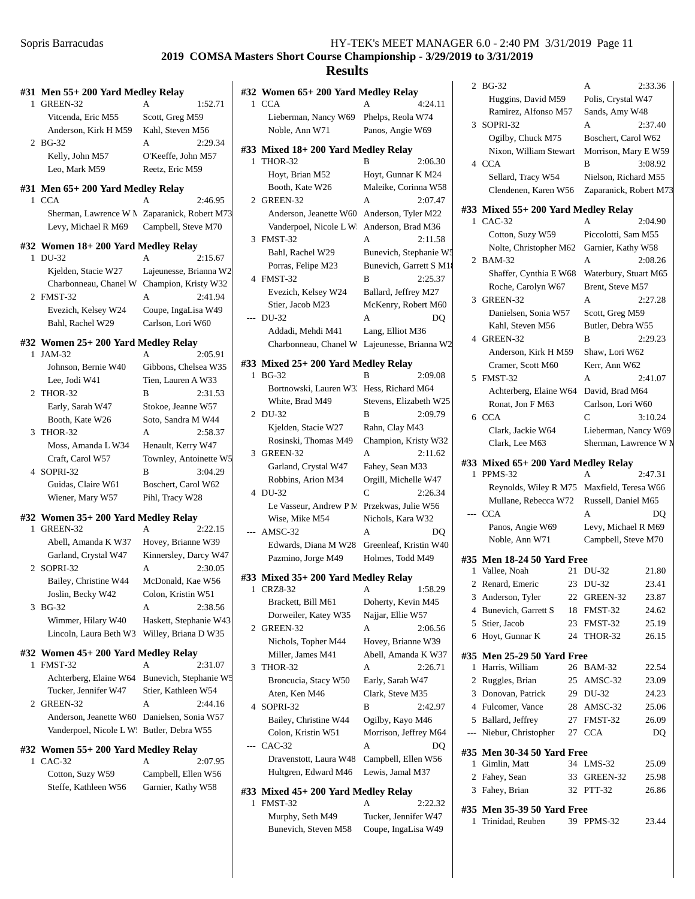|              | #31 Men 55+ 200 Yard Medley Relay           |                        |
|--------------|---------------------------------------------|------------------------|
| $\mathbf{1}$ | GREEN-32                                    | 1:52.71<br>A           |
|              | Vitcenda, Eric M55                          | Scott, Greg M59        |
|              | Anderson, Kirk H M59                        | Kahl, Steven M56       |
| 2            | $BG-32$                                     | A<br>2:29.34           |
|              | Kelly, John M57                             | O'Keeffe, John M57     |
|              | Leo, Mark M59                               | Reetz, Eric M59        |
|              | #31 Men 65+ 200 Yard Medley Relay           |                        |
| $\mathbf{1}$ | <b>CCA</b>                                  | 2:46.95                |
|              | Sherman, Lawrence W M                       | Zaparanick, Robert M73 |
|              | Levy, Michael R M69                         | Campbell, Steve M70    |
|              | #32 Women 18+ 200 Yard Medley Relay         |                        |
| 1            | DU-32                                       | A<br>2:15.67           |
|              | Kjelden, Stacie W27                         | Lajeunesse, Brianna W2 |
|              | Charbonneau, Chanel W                       | Champion, Kristy W32   |
|              | 2 FMST-32                                   | A<br>2:41.94           |
|              | Evezich, Kelsey W24                         | Coupe, IngaLisa W49    |
|              | Bahl, Rachel W29                            | Carlson, Lori W60      |
|              | #32 Women 25+ 200 Yard Medley Relay         |                        |
| 1            | JAM-32                                      | A<br>2:05.91           |
|              | Johnson, Bernie W40                         | Gibbons, Chelsea W35   |
|              | Lee, Jodi W41                               | Tien, Lauren A W33     |
|              | 2 THOR-32                                   | 2:31.53<br>B           |
|              | Early, Sarah W47                            | Stokoe, Jeanne W57     |
|              | Booth, Kate W26                             | Soto, Sandra M W44     |
| 3            | THOR-32                                     | A<br>2:58.37           |
|              | Moss, Amanda L W34                          | Henault, Kerry W47     |
|              | Craft, Carol W57                            | Townley, Antoinette W5 |
| 4            | SOPRI-32                                    | B<br>3:04.29           |
|              | Guidas, Claire W61                          | Boschert, Carol W62    |
|              | Wiener, Mary W57                            | Pihl, Tracy W28        |
|              | #32 Women 35+ 200 Yard Medley Relay         |                        |
| 1            | GREEN-32                                    | A<br>2:22.15           |
|              | Abell, Amanda K W37                         | Hovey, Brianne W39     |
|              | Garland, Crystal W47                        | Kinnersley, Darcy W47  |
| 2            | SOPRI-32                                    | 2:30.05<br>A           |
|              | Bailey, Christine W44                       | McDonald, Kae W56      |
|              | Joslin, Becky W42                           | Colon, Kristin W51     |
| 3            | <b>BG-32</b>                                | А<br>2:38.56           |
|              | Wimmer, Hilary W40                          | Haskett, Stephanie W43 |
|              | Lincoln, Laura Beth W3                      | Willey, Briana D W35   |
| #32          | Women 45+200 Yard Medley Relay              |                        |
| 1            | FMST-32                                     | А<br>2:31.07           |
|              | Achterberg, Elaine W64                      | Bunevich, Stephanie W5 |
|              | Tucker, Jennifer W47                        | Stier, Kathleen W54    |
| 2            | GREEN-32                                    | 2:44.16<br>А           |
|              | Anderson, Jeanette W60 Danielsen, Sonia W57 |                        |
|              | Vanderpoel, Nicole L W Butler, Debra W55    |                        |
|              | #32 Women 55+ 200 Yard Medley Relay         |                        |
| 1            | $CAC-32$                                    | 2:07.95<br>А           |
|              | Cotton, Suzy W59                            | Campbell, Ellen W56    |
|              | Steffe, Kathleen W56                        | Garnier, Kathy W58     |

|       | #32  Women 65+ 200 Yard Medley Relay        |                        |
|-------|---------------------------------------------|------------------------|
| 1     | <b>CCA</b>                                  | 4:24.11<br>А           |
|       | Lieberman, Nancy W69                        | Phelps, Reola W74      |
|       | Noble, Ann W71                              | Panos, Angie W69       |
|       | #33 Mixed 18+200 Yard Medley Relay          |                        |
| 1     | THOR-32                                     | 2:06.30<br>В           |
|       | Hoyt, Brian M52                             | Hoyt, Gunnar K M24     |
|       | Booth, Kate W26                             | Maleike, Corinna W58   |
| 2     | GREEN-32                                    | 2:07.47<br>A           |
|       | Anderson, Jeanette W60                      | Anderson, Tyler M22    |
|       | Vanderpoel, Nicole LW:                      | Anderson, Brad M36     |
| 3     |                                             | A                      |
|       | FMST-32                                     | 2:11.58                |
|       | Bahl, Rachel W29                            | Bunevich, Stephanie W5 |
|       | Porras, Felipe M23                          | Bunevich, Garrett S M1 |
| 4     | FMST-32                                     | 2:25.37<br>В           |
|       | Evezich, Kelsey W24                         | Ballard, Jeffrey M27   |
|       | Stier, Jacob M23                            | McKenry, Robert M60    |
| ---   | DU-32                                       | A<br>DO                |
|       | Addadi, Mehdi M41                           | Lang, Elliot M36       |
|       | Charbonneau, Chanel W                       | Lajeunesse, Brianna W2 |
|       |                                             |                        |
|       | #33 Mixed 25+ 200 Yard Medley Relay         |                        |
| 1     | $BG-32$                                     | 2:09.08<br>в           |
|       | Bortnowski, Lauren W3.                      | Hess, Richard M64      |
|       | White, Brad M49                             | Stevens, Elizabeth W25 |
| 2     | DU-32                                       | B<br>2:09.79           |
|       | Kjelden, Stacie W27                         | Rahn, Clay M43         |
|       | Rosinski, Thomas M49                        | Champion, Kristy W32   |
| 3     | GREEN-32                                    | A<br>2:11.62           |
|       |                                             |                        |
|       | Garland, Crystal W47                        | Fahey, Sean M33        |
|       | Robbins, Arion M34                          | Orgill, Michelle W47   |
| 4     | DU-32                                       | C<br>2:26.34           |
|       | Le Vasseur, Andrew P.M. Przekwas, Julie W56 |                        |
|       | Wise, Mike M54                              | Nichols, Kara W32      |
| $---$ | $AMSC-32$                                   | A<br>DO                |
|       | Edwards, Diana M W28                        | Greenleaf, Kristin W40 |
|       | Pazmino, Jorge M49                          | Holmes, Todd M49       |
|       |                                             |                        |
|       | #33 Mixed 35+ 200 Yard Medley Relay         |                        |
| 1     | CRZ8-32                                     | 1:58.29<br>Α           |
|       | Brackett, Bill M61                          | Doherty, Kevin M45     |
|       | Dorweiler, Katey W35                        | Najjar, Ellie W57      |
| 2     | GREEN-32                                    | А<br>2:06.56           |
|       | Nichols, Topher M44                         | Hovey, Brianne W39     |
|       | Miller, James M41                           | Abell, Amanda K W37    |
| 3     | THOR-32                                     | 2:26.71<br>А           |
|       | Broncucia, Stacy W50                        | Early, Sarah W47       |
|       | Aten, Ken M46                               | Clark, Steve M35       |
| 4     | SOPRI-32                                    | B<br>2:42.97           |
|       | Bailey, Christine W44                       |                        |
|       |                                             | Ogilby, Kayo M46       |
|       | Colon, Kristin W51                          | Morrison, Jeffrey M64  |
|       | $CAC-32$                                    | А<br>DQ                |
|       | Dravenstott, Laura W48                      | Campbell, Ellen W56    |
|       | Hultgren, Edward M46                        | Lewis, Jamal M37       |
|       |                                             |                        |
|       | #33 Mixed 45+200 Yard Medley Relay          |                        |
| 1     | FMST-32                                     | А<br>2:22.32           |
|       | Murphy, Seth M49                            | Tucker, Jennifer W47   |
|       | Bunevich, Steven M58                        | Coupe, IngaLisa W49    |

| 2                        | <b>BG-32</b>                        |    | А                      | 2:33.36 |
|--------------------------|-------------------------------------|----|------------------------|---------|
|                          | Huggins, David M59                  |    | Polis, Crystal W47     |         |
|                          | Ramirez, Alfonso M57                |    | Sands, Amy W48         |         |
| 3                        | SOPRI-32                            |    | A                      | 2:37.40 |
|                          | Ogilby, Chuck M75                   |    | Boschert, Carol W62    |         |
|                          | Nixon, William Stewart              |    | Morrison, Mary E W59   |         |
| 4                        | <b>CCA</b>                          |    | в                      | 3:08.92 |
|                          |                                     |    |                        |         |
|                          | Sellard, Tracy W54                  |    | Nielson, Richard M55   |         |
|                          | Clendenen, Karen W56                |    | Zaparanick, Robert M73 |         |
|                          | #33 Mixed 55+200 Yard Medley Relay  |    |                        |         |
| 1                        | $CAC-32$                            |    | А                      | 2:04.90 |
|                          | Cotton, Suzy W59                    |    | Piccolotti, Sam M55    |         |
|                          | Nolte, Christopher M62              |    | Garnier, Kathy W58     |         |
| 2                        | <b>BAM-32</b>                       |    | A                      | 2:08.26 |
|                          | Shaffer, Cynthia E W68              |    | Waterbury, Stuart M65  |         |
|                          |                                     |    |                        |         |
|                          | Roche, Carolyn W67                  |    | Brent, Steve M57       |         |
| 3                        | GREEN-32                            |    | А                      | 2:27.28 |
|                          | Danielsen, Sonia W57                |    | Scott, Greg M59        |         |
|                          | Kahl, Steven M56                    |    | Butler, Debra W55      |         |
|                          | 4 GREEN-32                          |    | B                      | 2:29.23 |
|                          | Anderson, Kirk H M59                |    | Shaw, Lori W62         |         |
|                          | Cramer, Scott M60                   |    | Kerr, Ann W62          |         |
| 5                        | FMST-32                             |    | A                      | 2:41.07 |
|                          | Achterberg, Elaine W64              |    | David, Brad M64        |         |
|                          | Ronat, Jon F M63                    |    | Carlson, Lori W60      |         |
| 6                        | <b>CCA</b>                          |    | C                      | 3:10.24 |
|                          | Clark, Jackie W64                   |    | Lieberman, Nancy W69   |         |
|                          | Clark, Lee M63                      |    | Sherman, Lawrence W M  |         |
|                          |                                     |    |                        |         |
|                          | #33 Mixed 65+ 200 Yard Medley Relay |    |                        |         |
| 1                        | PPMS-32                             |    | A                      | 2:47.31 |
|                          | Reynolds, Wiley R M75               |    | Maxfield, Teresa W66   |         |
|                          | Mullane, Rebecca W72                |    | Russell, Daniel M65    |         |
| $---$                    | <b>CCA</b>                          |    | A                      | DQ      |
|                          | Panos, Angie W69                    |    | Levy, Michael R M69    |         |
|                          | Noble, Ann W71                      |    | Campbell, Steve M70    |         |
|                          |                                     |    |                        |         |
|                          | #35 Men 18-24 50 Yard Free          |    |                        |         |
| 1                        | Vallee, Noah                        | 21 | DU-32                  | 21.80   |
| 2                        | Renard, Emeric                      | 23 | DU-32                  | 23.41   |
| 3                        | Anderson, Tyler                     | 22 | GREEN-32               | 23.87   |
| $\overline{4}$           | Bunevich, Garrett S                 | 18 | FMST-32                | 24.62   |
|                          | 5 Stier, Jacob                      | 23 | FMST-32                | 25.19   |
| 6                        | Hoyt, Gunnar K                      | 24 | THOR-32                | 26.15   |
|                          |                                     |    |                        |         |
|                          | #35 Men 25-29 50 Yard Free          |    |                        |         |
| 1                        | Harris, William                     | 26 | <b>BAM-32</b>          | 22.54   |
| 2                        | Ruggles, Brian                      |    | 25 AMSC-32             | 23.09   |
| 3                        | Donovan, Patrick                    |    | 29 DU-32               | 24.23   |
|                          | 4 Fulcomer, Vance                   |    | 28 AMSC-32             | 25.06   |
| 5                        | Ballard, Jeffrey                    |    | 27 FMST-32             | 26.09   |
| $\overline{\phantom{a}}$ | Niebur, Christopher                 |    | 27 CCA                 | DQ      |
|                          | #35 Men 30-34 50 Yard Free          |    |                        |         |
|                          |                                     | 34 |                        |         |
| 1                        | Gimlin, Matt                        |    | $LMS-32$               | 25.09   |
| 2                        | Fahey, Sean                         | 33 | GREEN-32               | 25.98   |
| 3                        | Fahey, Brian                        | 32 | <b>PTT-32</b>          | 26.86   |
|                          | #35 Men 35-39 50 Yard Free          |    |                        |         |
|                          |                                     |    |                        |         |
| 1                        | Trinidad, Reuben                    | 39 | PPMS-32                | 23.44   |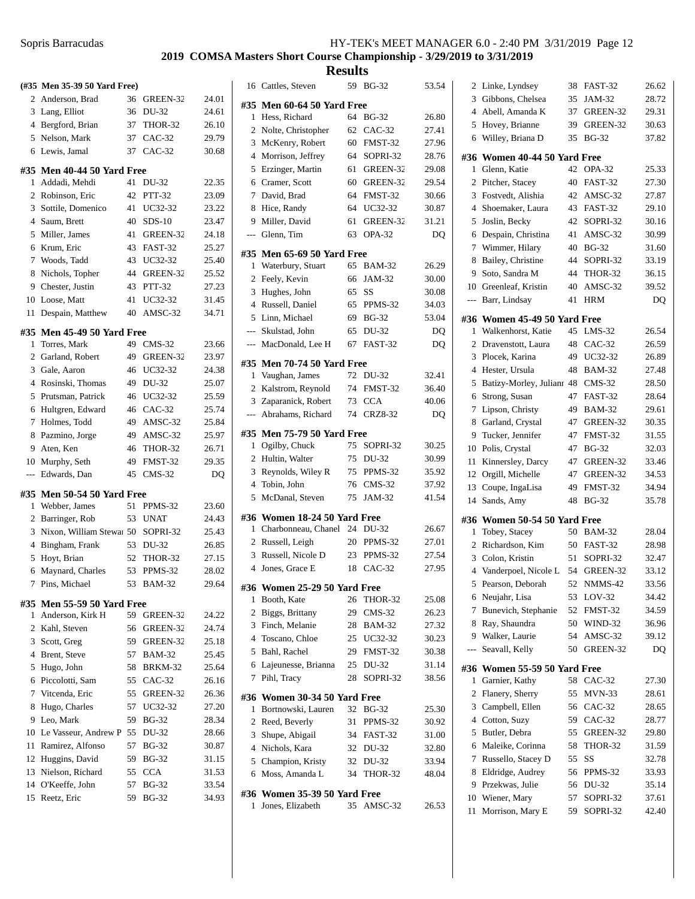|                | (#35 Men 35-39 50 Yard Free)     |    |               |       |
|----------------|----------------------------------|----|---------------|-------|
|                | 2 Anderson, Brad                 | 36 | GREEN-32      | 24.01 |
|                | 3 Lang, Elliot                   | 36 | DU-32         | 24.61 |
|                | 4 Bergford, Brian                |    | 37 THOR-32    | 26.10 |
|                | 5 Nelson, Mark                   | 37 | <b>CAC-32</b> | 29.79 |
| 6              | Lewis, Jamal                     | 37 | $CAC-32$      | 30.68 |
|                | #35 Men 40-44 50 Yard Free       |    |               |       |
| 1              | Addadi, Mehdi                    | 41 | DU-32         | 22.35 |
|                | 2 Robinson, Eric                 | 42 | PTT-32        | 23.09 |
| 3              | Sottile, Domenico                | 41 | UC32-32       | 23.22 |
|                | 4 Saum, Brett                    | 40 | $SDS-10$      | 23.47 |
| 5              | Miller, James                    | 41 | GREEN-32      | 24.18 |
| 6              | Krum, Eric                       |    | 43 FAST-32    | 25.27 |
| 7              | Woods, Tadd                      | 43 | UC32-32       | 25.40 |
| 8              | Nichols, Topher                  |    | 44 GREEN-32   | 25.52 |
| 9              | Chester, Justin                  | 43 | <b>PTT-32</b> | 27.23 |
|                | 10 Loose, Matt                   | 41 | UC32-32       | 31.45 |
| 11             | Despain, Matthew                 | 40 | AMSC-32       | 34.71 |
|                |                                  |    |               |       |
|                | #35 Men 45-49 50 Yard Free       |    |               |       |
| 1              | Torres, Mark                     | 49 | $CMS-32$      | 23.66 |
|                | 2 Garland, Robert                | 49 | GREEN-32      | 23.97 |
|                | 3 Gale, Aaron                    | 46 | UC32-32       | 24.38 |
| $\overline{4}$ | Rosinski, Thomas                 | 49 | DU-32         | 25.07 |
| 5              | Prutsman, Patrick                | 46 | UC32-32       | 25.59 |
| 6              | Hultgren, Edward                 | 46 | $CAC-32$      | 25.74 |
| 7              | Holmes, Todd                     | 49 | AMSC-32       | 25.84 |
| 8              | Pazmino, Jorge                   | 49 | AMSC-32       | 25.97 |
| 9              | Aten, Ken                        | 46 | THOR-32       | 26.71 |
| 10             | Murphy, Seth                     | 49 | FMST-32       | 29.35 |
| $---$          | Edwards, Dan                     | 45 | $CMS-32$      | DQ    |
|                | #35 Men 50-54 50 Yard Free       |    |               |       |
| 1              | Webber, James                    | 51 | PPMS-32       | 23.60 |
| $\overline{2}$ | Barringer, Rob                   | 53 | <b>UNAT</b>   | 24.43 |
| 3              | Nixon, William Stewa 50 SOPRI-32 |    |               | 25.43 |
|                | 4 Bingham, Frank                 |    | 53 DU-32      | 26.85 |
| 5              | Hoyt, Brian                      | 52 | THOR-32       | 27.15 |
| 6              | Maynard, Charles                 | 53 | PPMS-32       | 28.02 |
| 7              | Pins, Michael                    | 53 | BAM-32        | 29.64 |
|                | #35 Men 55-59 50 Yard Free       |    |               |       |
| 1              | Anderson, Kirk H                 | 59 | GREEN-32      | 24.22 |
| $\overline{c}$ | Kahl, Steven                     | 56 | GREEN-32      | 24.74 |
| 3              | Scott, Greg                      | 59 | GREEN-32      | 25.18 |
|                | 4 Brent, Steve                   | 57 | <b>BAM-32</b> | 25.45 |
| 5              | Hugo, John                       | 58 | BRKM-32       | 25.64 |
| 6              | Piccolotti, Sam                  | 55 | $CAC-32$      | 26.16 |
| 7              | Vitcenda, Eric                   | 55 | GREEN-32      | 26.36 |
| 8              | Hugo, Charles                    | 57 | UC32-32       | 27.20 |
| 9              | Leo, Mark                        | 59 | <b>BG-32</b>  | 28.34 |
| 10             | Le Vasseur, Andrew P             | 55 | DU-32         | 28.66 |
| 11             | Ramirez, Alfonso                 | 57 | <b>BG-32</b>  | 30.87 |
| 12             | Huggins, David                   | 59 | <b>BG-32</b>  | 31.15 |
| 13             | Nielson, Richard                 | 55 | <b>CCA</b>    | 31.53 |
|                | 14 O'Keeffe, John                | 57 | <b>BG-32</b>  | 33.54 |
|                | 15 Reetz, Eric                   | 59 | BG-32         | 34.93 |

|                | <b>Results</b>                    |    |                |       |
|----------------|-----------------------------------|----|----------------|-------|
|                | 16 Cattles, Steven                | 59 | <b>BG-32</b>   | 53.54 |
|                | #35 Men 60-64 50 Yard Free        |    |                |       |
| $\mathbf{1}$   | Hess, Richard                     | 64 | <b>BG-32</b>   | 26.80 |
| 2              | Nolte, Christopher                | 62 | $CAC-32$       | 27.41 |
| 3              | McKenry, Robert                   | 60 | FMST-32        | 27.96 |
| 4              | Morrison, Jeffrey                 | 64 | SOPRI-32       | 28.76 |
| 5              | Erzinger, Martin                  | 61 | GREEN-32       | 29.08 |
| 6              | Cramer, Scott                     | 60 | GREEN-32       | 29.54 |
| 7              | David, Brad                       | 64 | FMST-32        | 30.66 |
| 8              | Hice, Randy                       | 64 | UC32-32        | 30.87 |
| 9              | Miller, David                     | 61 | GREEN-32       | 31.21 |
| ---            | Glenn, Tim                        | 63 | OPA-32         | DQ    |
|                | #35 Men 65-69 50 Yard Free        |    |                |       |
| 1              | Waterbury, Stuart                 | 65 | <b>BAM-32</b>  | 26.29 |
| 2              | Feely, Kevin                      | 66 | JAM-32         | 30.00 |
| 3              | Hughes, John                      | 65 | <b>SS</b>      | 30.08 |
| 4              | Russell, Daniel                   | 65 | PPMS-32        | 34.03 |
|                | 5 Linn, Michael                   | 69 | <b>BG-32</b>   | 53.04 |
| $\cdots$       | Skulstad, John                    | 65 | DU-32          | DQ    |
| $\overline{a}$ | MacDonald, Lee H                  | 67 | <b>FAST-32</b> | DQ    |
|                | #35 Men 70-74 50 Yard Free        |    |                |       |
| $\mathbf{1}$   | Vaughan, James                    | 72 | DU-32          | 32.41 |
| 2              | Kalstrom, Reynold                 | 74 | FMST-32        | 36.40 |
| 3              | Zaparanick, Robert                | 73 | <b>CCA</b>     | 40.06 |
| $---$          | Abrahams, Richard                 | 74 | <b>CRZ8-32</b> | DQ    |
|                |                                   |    |                |       |
| 1              | #35 Men 75-79 50 Yard Free        | 75 | SOPRI-32       | 30.25 |
|                | Ogilby, Chuck<br>2 Hultin, Walter | 75 | DU-32          | 30.99 |
|                | 3 Reynolds, Wiley R               | 75 | PPMS-32        | 35.92 |
|                | 4 Tobin, John                     | 76 | $CMS-32$       | 37.92 |
| 5              | McDanal, Steven                   | 75 | JAM-32         | 41.54 |
|                |                                   |    |                |       |
|                | #36 Women 18-24 50 Yard Free      |    |                |       |
| $\mathbf{1}$   | Charbonneau, Chanel 24 DU-32      |    |                | 26.67 |
|                | 2 Russell, Leigh                  |    | 20 PPMS-32     | 27.01 |
| 3              | Russell, Nicole D                 |    | 23 PPMS-32     | 27.54 |
| $\overline{4}$ | Jones, Grace E                    | 18 | $CAC-32$       | 27.95 |
|                | #36 Women 25-29 50 Yard Free      |    |                |       |
| 1              | Booth, Kate                       | 26 | THOR-32        | 25.08 |
| 2              | Biggs, Brittany                   | 29 | CMS-32         | 26.23 |
|                | 3 Finch, Melanie                  |    | 28 BAM-32      | 27.32 |
|                | 4 Toscano, Chloe                  |    | 25 UC32-32     | 30.23 |
|                | 5 Bahl, Rachel                    |    | 29 FMST-32     | 30.38 |
| 6              | Lajeunesse, Brianna               |    | 25 DU-32       | 31.14 |
| 7              | Pihl, Tracy                       | 28 | SOPRI-32       | 38.56 |
| #36            | Women 30-34 50 Yard Free          |    |                |       |
| 1              | Bortnowski, Lauren                | 32 | <b>BG-32</b>   | 25.30 |
| 2              | Reed, Beverly                     |    | 31 PPMS-32     | 30.92 |
| 3              | Shupe, Abigail                    |    | 34 FAST-32     | 31.00 |
|                | 4 Nichols, Kara                   |    | 32 DU-32       | 32.80 |
|                | 5 Champion, Kristy                | 32 | DU-32          | 33.94 |
| 6              | Moss, Amanda L                    | 34 | THOR-32        | 48.04 |
|                | #36 Women 35-39 50 Yard Free      |    |                |       |
| 1              | Jones, Elizabeth                  |    | 35 AMSC-32     | 26.53 |
|                |                                   |    |                |       |
|                |                                   |    |                |       |

| 2              | Linke, Lyndsey                   | 38 | FAST-32              | 26.62          |
|----------------|----------------------------------|----|----------------------|----------------|
| 3              | Gibbons, Chelsea                 | 35 | JAM-32               | 28.72          |
| $\overline{4}$ | Abell, Amanda K                  | 37 | GREEN-32             | 29.31          |
| 5              | Hovey, Brianne                   | 39 | GREEN-32             | 30.63          |
| 6              | Willey, Briana D                 | 35 | $BG-32$              | 37.82          |
|                |                                  |    |                      |                |
| #36            | Women 40-44 50 Yard Free         |    |                      |                |
| 1              | Glenn, Katie                     | 42 | OPA-32               | 25.33          |
| 2              | Pitcher, Stacey                  | 40 | <b>FAST-32</b>       | 27.30          |
| 3              | Fostvedt, Alishia                | 42 | AMSC-32              | 27.87          |
| $\overline{4}$ | Shoemaker, Laura                 | 43 | FAST-32              | 29.10          |
| 5              | Joslin, Becky                    | 42 | SOPRI-32             | 30.16          |
| 6              | Despain, Christina               | 41 | AMSC-32              | 30.99          |
| 7              | Wimmer, Hilary                   | 40 | <b>BG-32</b>         | 31.60          |
| 8              | Bailey, Christine                | 44 | SOPRI-32             | 33.19          |
| 9              | Soto, Sandra M                   | 44 | THOR-32              | 36.15          |
| 10             | Greenleaf, Kristin               | 40 | AMSC-32              | 39.52          |
| $---$          | Barr, Lindsay                    | 41 | <b>HRM</b>           | DO             |
|                | #36 Women 45-49 50 Yard Free     |    |                      |                |
| 1              | Walkenhorst, Katie               | 45 | $LMS-32$             | 26.54          |
| 2              | Dravenstott, Laura               | 48 | $CAC-32$             | 26.59          |
| 3              | Plocek, Karina                   | 49 | UC32-32              | 26.89          |
| $\overline{4}$ | Hester, Ursula                   | 48 | <b>BAM-32</b>        | 27.48          |
| 5              | Batizy-Morley, Julianr 48        |    | $CMS-32$             | 28.50          |
| 6              | Strong, Susan                    | 47 | FAST-32              | 28.64          |
| 7              | Lipson, Christy                  | 49 | <b>BAM-32</b>        | 29.61          |
| 8              | Garland, Crystal                 | 47 | GREEN-32             | 30.35          |
| 9              | Tucker, Jennifer                 | 47 | FMST-32              | 31.55          |
| 10             | Polis, Crystal                   | 47 | $BG-32$              | 32.03          |
| 11             | Kinnersley, Darcy                | 47 | GREEN-32             | 33.46          |
| 12             | Orgill, Michelle                 | 47 | GREEN-32             | 34.53          |
| 13             | Coupe, IngaLisa                  | 49 | FMST-32              | 34.94          |
| 14             | Sands, Amy                       | 48 | <b>BG-32</b>         | 35.78          |
| #36            | Women 50-54 50 Yard Free         |    |                      |                |
| 1              | Tobey, Stacey                    |    | 50 BAM-32            | 28.04          |
| 2              | Richardson, Kim                  | 50 | FAST-32              | 28.98          |
| 3              | Colon, Kristin                   | 51 | SOPRI-32             | 32.47          |
| $\overline{4}$ | Vanderpoel, Nicole L             | 54 | GREEN-32             | 33.12          |
| 5              | Pearson, Deborah                 | 52 | NMMS-42              | 33.56          |
| 6              | Neujahr, Lisa                    | 53 | LOV-32               | 34.42          |
| 7              | Bunevich, Stephanie              | 52 | FMST-32              | 34.59          |
| 8              | Ray, Shaundra                    | 50 | WIND-32              | 36.96          |
| 9              | Walker, Laurie                   | 54 | AMSC-32              | 39.12          |
| ---            | Seavall, Kelly                   | 50 | GREEN-32             | DQ             |
| #36            | Women 55-59 50 Yard Free         |    |                      |                |
| 1              | Garnier, Kathy                   | 58 | $CAC-32$             | 27.30          |
| 2              | Flanery, Sherry                  | 55 | MVN-33               | 28.61          |
| 3              | Campbell, Ellen                  | 56 | $CAC-32$             | 28.65          |
| 4              | Cotton, Suzy                     | 59 | $CAC-32$             | 28.77          |
| 5              | Butler, Debra                    | 55 | GREEN-32             | 29.80          |
| 6              | Maleike, Corinna                 | 58 | THOR-32              | 31.59          |
| 7              |                                  |    |                      |                |
|                | Russello, Stacey D               | 55 | SS                   | 32.78          |
| 8              | Eldridge, Audrey                 | 56 | PPMS-32              | 33.93          |
| 9              | Przekwas, Julie                  | 56 | DU-32                | 35.14          |
| 10             | Wiener, Mary<br>Morrison, Mary E | 57 | SOPRI-32<br>SOPRI-32 | 37.61<br>42.40 |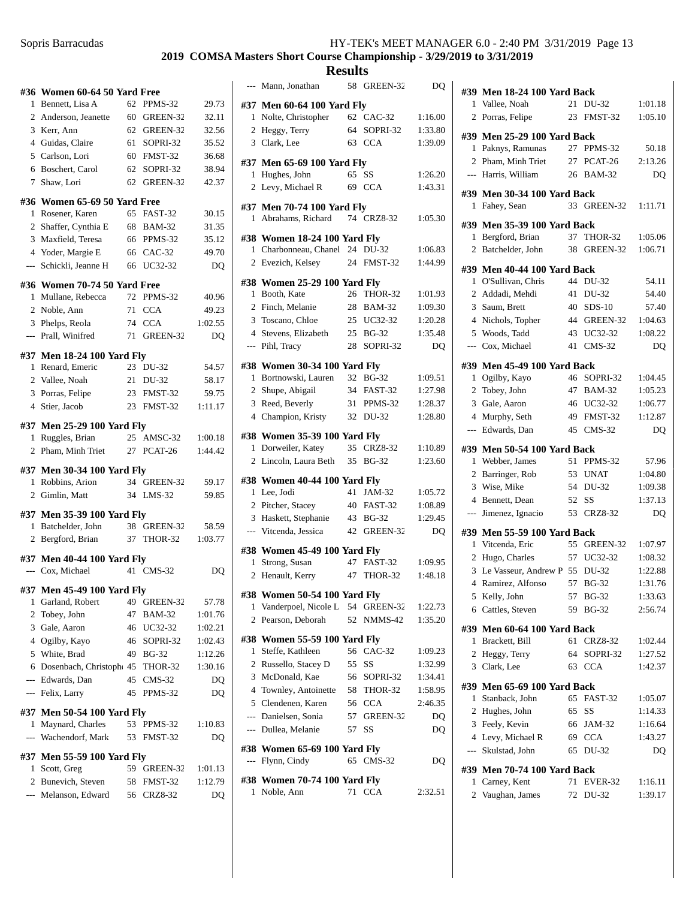## **2019 COMSA Masters Short Course Championship - 3/29/2019 to 3/31/2019**

|                | #36 Women 60-64 50 Yard Free                   |    |             |                |
|----------------|------------------------------------------------|----|-------------|----------------|
| 1              | Bennett, Lisa A                                | 62 | PPMS-32     | 29.73          |
|                | 2 Anderson, Jeanette                           |    | 60 GREEN-32 | 32.11          |
|                | 3 Kerr, Ann                                    |    | 62 GREEN-32 | 32.56          |
|                | 4 Guidas, Claire                               |    | 61 SOPRI-32 | 35.52          |
|                | 5 Carlson, Lori                                |    | 60 FMST-32  | 36.68          |
|                | 6 Boschert, Carol                              | 62 | SOPRI-32    | 38.94          |
|                | 7 Shaw, Lori                                   | 62 | GREEN-32    | 42.37          |
|                | #36 Women 65-69 50 Yard Free                   |    |             |                |
|                | 1 Rosener, Karen                               |    | 65 FAST-32  | 30.15          |
|                | 2 Shaffer, Cynthia E                           |    | 68 BAM-32   | 31.35          |
|                | 3 Maxfield, Teresa                             |    | 66 PPMS-32  | 35.12          |
|                | 4 Yoder, Margie E                              |    | 66 CAC-32   | 49.70          |
|                | --- Schickli, Jeanne H                         | 66 | UC32-32     | DQ             |
|                | #36 Women 70-74 50 Yard Free                   |    |             |                |
|                | 1 Mullane, Rebecca                             |    | 72 PPMS-32  | 40.96          |
|                | 2 Noble, Ann                                   |    | 71 CCA      | 49.23          |
|                | 3 Phelps, Reola                                |    | 74 CCA      | 1:02.55        |
|                | --- Prall, Winifred                            |    | 71 GREEN-32 | D <sub>O</sub> |
|                | #37 Men 18-24 100 Yard Fly                     |    |             |                |
|                | 1 Renard, Emeric                               |    | 23 DU-32    | 54.57          |
|                | 2 Vallee, Noah                                 |    | 21 DU-32    | 58.17          |
|                | 3 Porras, Felipe                               |    | 23 FMST-32  | 59.75          |
|                | 4 Stier, Jacob                                 |    | 23 FMST-32  | 1:11.17        |
|                |                                                |    |             |                |
|                | #37 Men 25-29 100 Yard Fly<br>1 Ruggles, Brian | 25 | AMSC-32     | 1:00.18        |
| $\overline{2}$ | Pham, Minh Triet                               |    | 27 PCAT-26  | 1:44.42        |
|                |                                                |    |             |                |
|                | #37 Men 30-34 100 Yard Fly                     |    |             |                |
| 1              | Robbins, Arion                                 |    | 34 GREEN-32 | 59.17          |
|                | 2 Gimlin, Matt                                 |    | 34 LMS-32   | 59.85          |
|                | #37 Men 35-39 100 Yard Fly                     |    |             |                |
|                | 1 Batchelder, John                             |    | 38 GREEN-32 | 58.59          |
|                | 2 Bergford, Brian                              |    | 37 THOR-32  | 1:03.77        |
|                | #37 Men 40-44 100 Yard Fly                     |    |             |                |
|                | --- Cox, Michael                               |    | 41 CMS-32   | DQ             |
|                | #37 Men 45-49 100 Yard Fly                     |    |             |                |
|                | 1 Garland, Robert                              |    | 49 GREEN-32 | 57.78          |
|                | 2 Tobey, John                                  |    | 47 BAM-32   | 1:01.76        |
|                | 3 Gale, Aaron                                  |    | 46 UC32-32  | 1:02.21        |
|                | 4 Ogilby, Kayo                                 |    | 46 SOPRI-32 | 1:02.43        |
|                | 5 White, Brad                                  |    | 49 BG-32    | 1:12.26        |
|                | 6 Dosenbach, Christoph 45 THOR-32              |    |             | 1:30.16        |
|                | --- Edwards, Dan                               |    | 45 CMS-32   | DQ             |
|                | --- Felix, Larry                               | 45 | PPMS-32     | DQ             |
|                |                                                |    |             |                |
|                | #37 Men 50-54 100 Yard Fly                     |    |             |                |
|                | 1 Maynard, Charles                             |    | 53 PPMS-32  | 1:10.83        |
|                | --- Wachendorf, Mark 53 FMST-32                |    |             | DQ             |
|                | #37 Men 55-59 100 Yard Fly                     |    |             |                |
|                | 1 Scott, Greg                                  |    | 59 GREEN-32 | 1:01.13        |
|                | 2 Bunevich, Steven                             |    | 58 FMST-32  | 1:12.79        |
|                | --- Melanson, Edward                           |    | 56 CRZ8-32  | DQ             |
|                |                                                |    |             |                |

|              | --- Mann, Jonathan                                 | 58 | GREEN-32    | DQ                 |
|--------------|----------------------------------------------------|----|-------------|--------------------|
|              | #37 Men 60-64 100 Yard Fly                         |    |             |                    |
|              | 1 Nolte, Christopher                               |    | 62 CAC-32   | 1:16.00            |
|              | 2 Heggy, Terry                                     | 64 | SOPRI-32    | 1:33.80            |
|              | 3 Clark, Lee                                       | 63 | <b>CCA</b>  | 1:39.09            |
|              | #37 Men 65-69 100 Yard Fly                         |    |             |                    |
|              | 1 Hughes, John                                     | 65 | <b>SS</b>   | 1:26.20            |
|              | 2 Levy, Michael R                                  |    | 69 CCA      | 1:43.31            |
|              | #37 Men 70-74 100 Yard Fly                         |    |             |                    |
| 1            | Abrahams, Richard                                  |    | 74 CRZ8-32  | 1:05.30            |
|              | #38 Women 18-24 100 Yard Fly                       |    |             |                    |
|              | 1 Charbonneau, Chanel 24 DU-32                     |    |             | 1:06.83            |
|              | 2 Evezich, Kelsey                                  |    | 24 FMST-32  | 1:44.99            |
|              | #38 Women 25-29 100 Yard Fly                       |    |             |                    |
|              | 1 Booth, Kate                                      |    | 26 THOR-32  | 1:01.93            |
|              | 2 Finch, Melanie                                   |    | 28 BAM-32   | 1:09.30            |
|              | 3 Toscano, Chloe                                   |    | 25 UC32-32  | 1:20.28            |
|              | 4 Stevens, Elizabeth                               |    | 25 BG-32    | 1:35.48            |
|              | --- Pihl, Tracy                                    |    | 28 SOPRI-32 | DQ                 |
|              | #38 Women 30-34 100 Yard Fly                       |    |             |                    |
|              | 1 Bortnowski, Lauren                               |    | 32 BG-32    | 1:09.51            |
|              | 2 Shupe, Abigail                                   |    | 34 FAST-32  | 1:27.98            |
|              | 3 Reed, Beverly                                    |    | 31 PPMS-32  | 1:28.37            |
|              | 4 Champion, Kristy                                 |    | 32 DU-32    | 1:28.80            |
|              |                                                    |    |             |                    |
|              | #38 Women 35-39 100 Yard Fly<br>1 Dorweiler, Katey |    | 35 CRZ8-32  | 1:10.89            |
|              | 2 Lincoln, Laura Beth                              |    | 35 BG-32    | 1:23.60            |
|              |                                                    |    |             |                    |
|              | #38 Women 40-44 100 Yard Fly<br>1 Lee, Jodi        |    | 41 JAM-32   |                    |
|              | 2 Pitcher, Stacey                                  |    | 40 FAST-32  | 1:05.72<br>1:08.89 |
|              | 3 Haskett, Stephanie                               |    | 43 BG-32    | 1:29.45            |
|              | --- Vitcenda, Jessica                              |    | 42 GREEN-32 | DQ                 |
|              |                                                    |    |             |                    |
|              | #38 Women 45-49 100 Yard Fly                       |    |             |                    |
| $\mathbf{1}$ | Strong, Susan<br>2 Henault, Kerry                  |    | 47 FAST-32  | 1:09.95            |
|              |                                                    |    | 47 THOR-32  | 1:48.18            |
|              | #38 Women 50-54 100 Yard Fly                       |    |             |                    |
|              | 1 Vanderpoel, Nicole L 54 GREEN-32                 |    |             | 1:22.73            |
|              | 2 Pearson, Deborah                                 | 52 | NMMS-42     | 1:35.20            |
|              | #38 Women 55-59 100 Yard Fly                       |    |             |                    |
| 1            | Steffe, Kathleen                                   |    | 56 CAC-32   | 1:09.23            |
|              | 2 Russello, Stacey D                               |    | 55 SS       | 1:32.99            |
|              | 3 McDonald, Kae                                    |    | 56 SOPRI-32 | 1:34.41            |
|              | 4 Townley, Antoinette                              |    | 58 THOR-32  | 1:58.95            |
|              | 5 Clendenen, Karen                                 |    | 56 CCA      | 2:46.35            |
|              | --- Danielsen, Sonia                               |    | 57 GREEN-32 | DQ                 |
|              | --- Dullea, Melanie                                | 57 | SS          | DQ                 |
|              | #38  Women 65-69 100 Yard Fly                      |    |             |                    |
|              | --- Flynn, Cindy                                   |    | 65 CMS-32   | DQ                 |
| #38          | <b>Women 70-74 100 Yard Fly</b>                    |    |             |                    |
| 1            | Noble, Ann                                         | 71 | <b>CCA</b>  | 2:32.51            |
|              |                                                    |    |             |                    |

|                | #39 Men 18-24 100 Yard Back       |          |                  |                    |  |  |
|----------------|-----------------------------------|----------|------------------|--------------------|--|--|
| $\mathbf{1}$   | Vallee, Noah                      | 21       | DU-32            | 1:01.18            |  |  |
| 2              | Porras, Felipe                    | 23       | FMST-32          | 1:05.10            |  |  |
|                | #39 Men 25-29 100 Yard Back       |          |                  |                    |  |  |
| 1              | Paknys, Ramunas                   | 27       | PPMS-32          | 50.18              |  |  |
| 2              | Pham, Minh Triet                  |          | 27 PCAT-26       | 2:13.26            |  |  |
|                | --- Harris, William               | 26       | <b>BAM-32</b>    | DO                 |  |  |
|                |                                   |          |                  |                    |  |  |
|                | #39 Men 30-34 100 Yard Back       |          |                  |                    |  |  |
| 1              | Fahey, Sean                       | 33       | GREEN-32         | 1:11.71            |  |  |
|                | #39 Men 35-39 100 Yard Back       |          |                  |                    |  |  |
| 1              | Bergford, Brian                   | 37       | THOR-32          | 1:05.06            |  |  |
| 2              | Batchelder, John                  | 38       | GREEN-32         | 1:06.71            |  |  |
|                | #39 Men 40-44 100 Yard Back       |          |                  |                    |  |  |
| 1              | O'Sullivan, Chris                 | 44       | DU-32            | 54.11              |  |  |
| 2              | Addadi, Mehdi                     | 41       | DU-32            | 54.40              |  |  |
| 3              | Saum, Brett                       |          | 40 SDS-10        | 57.40              |  |  |
| 4              | Nichols, Topher                   |          | 44 GREEN-32      | 1:04.63            |  |  |
| 5              | Woods, Tadd                       | 43       | UC32-32          | 1:08.22            |  |  |
| $\overline{a}$ | Cox, Michael                      | 41       | $CMS-32$         | DQ                 |  |  |
|                |                                   |          |                  |                    |  |  |
|                | #39 Men 45-49 100 Yard Back       |          |                  |                    |  |  |
| 1              | Ogilby, Kayo                      |          | 46 SOPRI-32      | 1:04.45            |  |  |
| 2              | Tobey, John                       | 47       | <b>BAM-32</b>    | 1:05.23            |  |  |
| 3              | Gale, Aaron                       | 46       | UC32-32          | 1:06.77            |  |  |
| 4              | Murphy, Seth                      | 49       | FMST-32          | 1:12.87            |  |  |
| ---            | Edwards, Dan                      | 45       | $CMS-32$         | DQ                 |  |  |
|                | #39 Men 50-54 100 Yard Back       |          |                  |                    |  |  |
|                |                                   |          |                  |                    |  |  |
| 1              | Webber, James                     | 51       | PPMS-32          | 57.96              |  |  |
| 2              | Barringer, Rob                    | 53       | <b>UNAT</b>      | 1:04.80            |  |  |
| 3              | Wise, Mike                        |          | 54 DU-32         | 1:09.38            |  |  |
| 4              |                                   | 52       | <b>SS</b>        | 1:37.13            |  |  |
| $---$          | Bennett, Dean<br>Jimenez, Ignacio | 53       | <b>CRZ8-32</b>   | DQ                 |  |  |
|                |                                   |          |                  |                    |  |  |
|                | #39 Men 55-59 100 Yard Back       |          |                  |                    |  |  |
| 1              | Vitcenda, Eric                    | 55       | GREEN-32         | 1:07.97            |  |  |
| 2              | Hugo, Charles                     | 57       | UC32-32          | 1:08.32            |  |  |
| 3              | Le Vasseur, Andrew P 55           |          | DU-32            | 1:22.88            |  |  |
| 4              | Ramirez, Alfonso                  | 57       | <b>BG-32</b>     | 1:31.76            |  |  |
|                | 5 Kelly, John                     | 57       | <b>BG-32</b>     | 1:33.63            |  |  |
| 6              | Cattles, Steven                   | 59       | <b>BG-32</b>     | 2:56.74            |  |  |
|                | #39 Men 60-64 100 Yard Back       |          |                  |                    |  |  |
| 1              | Brackett, Bill                    | 61       | <b>CRZ8-32</b>   | 1:02.44            |  |  |
| 2              | Heggy, Terry                      |          | 64 SOPRI-32      | 1:27.52            |  |  |
| 3              | Clark, Lee                        | 63       | <b>CCA</b>       | 1:42.37            |  |  |
|                | #39 Men 65-69 100 Yard Back       |          |                  |                    |  |  |
| 1              | Stanback, John                    | 65       | FAST-32          | 1:05.07            |  |  |
| 2              | Hughes, John                      | 65       | SS               | 1:14.33            |  |  |
| 3              | Feely, Kevin                      |          | 66 JAM-32        | 1:16.64            |  |  |
| 4              | Levy, Michael R                   |          | 69 CCA           | 1:43.27            |  |  |
| ---            | Skulstad, John                    | 65       | DU-32            | DQ                 |  |  |
|                |                                   |          |                  |                    |  |  |
|                | #39 Men 70-74 100 Yard Back       |          |                  |                    |  |  |
| 1<br>2         | Carney, Kent<br>Vaughan, James    | 71<br>72 | EVER-32<br>DU-32 | 1:16.11<br>1:39.17 |  |  |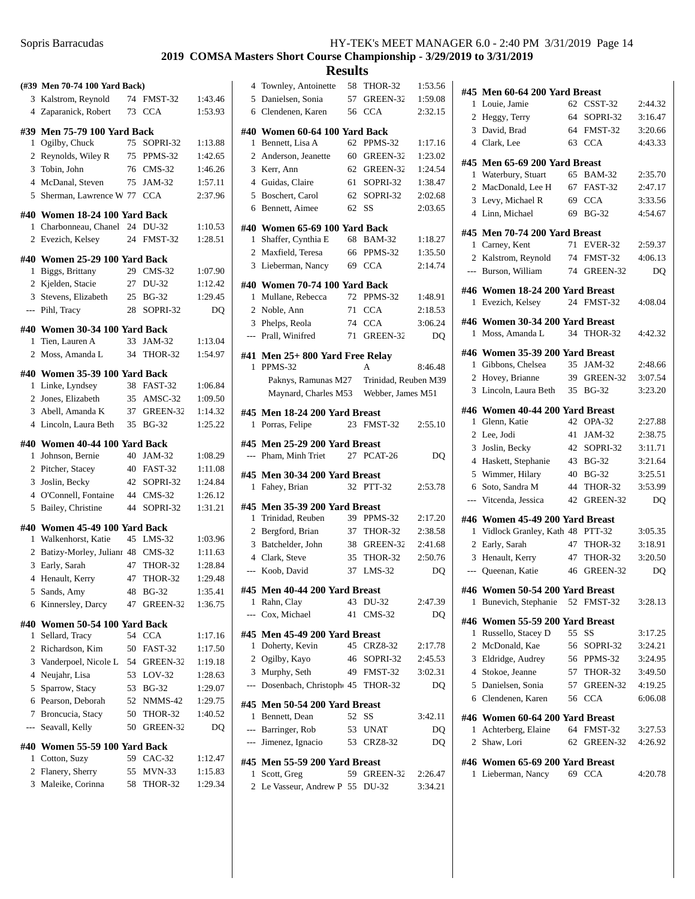## **2019 COMSA Masters Short Course Championship - 3/29/2019 to 3/31/2019**

|                          | (#39 Men 70-74 100 Yard Back)      |    |                |         |
|--------------------------|------------------------------------|----|----------------|---------|
| 3                        | Kalstrom, Reynold                  | 74 | FMST-32        | 1:43.46 |
|                          | 4 Zaparanick, Robert               | 73 | <b>CCA</b>     | 1:53.93 |
|                          | #39 Men 75-79 100 Yard Back        |    |                |         |
| 1                        | Ogilby, Chuck                      | 75 | SOPRI-32       | 1:13.88 |
|                          | 2 Reynolds, Wiley R                |    | 75 PPMS-32     | 1:42.65 |
| 3                        | Tobin, John                        |    | 76 CMS-32      | 1:46.26 |
|                          | 4 McDanal, Steven                  | 75 | JAM-32         | 1:57.11 |
| 5                        | Sherman, Lawrence W 77 CCA         |    |                | 2:37.96 |
|                          |                                    |    |                |         |
|                          | #40  Women 18-24 100 Yard Back     |    |                |         |
| 1                        | Charbonneau, Chanel 24 DU-32       |    |                | 1:10.53 |
| $\overline{c}$           | Evezich, Kelsey                    | 24 | FMST-32        | 1:28.51 |
|                          | #40  Women 25-29 100 Yard Back     |    |                |         |
| 1                        | Biggs, Brittany                    |    | 29 CMS-32      | 1:07.90 |
|                          | 2 Kjelden, Stacie                  |    | 27 DU-32       | 1:12.42 |
|                          | 3 Stevens, Elizabeth               |    | 25 BG-32       | 1:29.45 |
|                          | --- Pihl, Tracy                    | 28 | SOPRI-32       | DQ      |
|                          |                                    |    |                |         |
|                          | #40 Women 30-34 100 Yard Back      |    |                |         |
| $\mathbf{1}$             | Tien, Lauren A                     | 33 | JAM-32         | 1:13.04 |
| 2                        | Moss, Amanda L                     | 34 | THOR-32        | 1:54.97 |
|                          | #40 Women 35-39 100 Yard Back      |    |                |         |
| 1                        | Linke, Lyndsey                     | 38 | <b>FAST-32</b> | 1:06.84 |
| 2                        | Jones, Elizabeth                   | 35 | AMSC-32        | 1:09.50 |
|                          | 3 Abell, Amanda K                  |    | 37 GREEN-32    | 1:14.32 |
|                          | 4 Lincoln, Laura Beth              | 35 | <b>BG-32</b>   | 1:25.22 |
|                          | #40 Women 40-44 100 Yard Back      |    |                |         |
| 1                        | Johnson, Bernie                    |    | 40 JAM-32      | 1:08.29 |
| $\overline{c}$           | Pitcher, Stacey                    |    | 40 FAST-32     | 1:11.08 |
| 3                        | Joslin, Becky                      |    | 42 SOPRI-32    | 1:24.84 |
|                          | 4 O'Connell, Fontaine              |    | 44 CMS-32      | 1:26.12 |
| 5                        | Bailey, Christine                  | 44 | SOPRI-32       | 1:31.21 |
|                          |                                    |    |                |         |
|                          | #40 Women 45-49 100 Yard Back      |    |                |         |
| 1                        | Walkenhorst, Katie                 |    | 45 LMS-32      | 1:03.96 |
|                          | 2 Batizy-Morley, Julianr 48 CMS-32 |    |                | 1:11.63 |
|                          | 3 Early, Sarah                     |    | 47 THOR-32     | 1:28.84 |
| $\overline{4}$           | Henault, Kerry                     | 47 | <b>THOR-32</b> | 1:29.48 |
| 5                        | Sands, Amy                         | 48 | <b>BG-32</b>   | 1:35.41 |
| 6                        | Kinnersley, Darcy                  | 47 | GREEN-32       | 1:36.75 |
|                          | #40 Women 50-54 100 Yard Back      |    |                |         |
| 1                        | Sellard, Tracy                     | 54 | <b>CCA</b>     | 1:17.16 |
| 2                        | Richardson, Kim                    | 50 | FAST-32        | 1:17.50 |
| 3                        | Vanderpoel, Nicole L               |    | 54 GREEN-32    | 1:19.18 |
| 4                        | Neujahr, Lisa                      |    | 53 LOV-32      | 1:28.63 |
| 5                        | Sparrow, Stacy                     |    | 53 BG-32       | 1:29.07 |
| 6                        | Pearson, Deborah                   | 52 | NMMS-42        | 1:29.75 |
| 7                        | Broncucia, Stacy                   | 50 | THOR-32        | 1:40.52 |
| $\overline{\phantom{a}}$ | Seavall, Kelly                     | 50 | GREEN-32       | DQ      |
|                          |                                    |    |                |         |
|                          | #40 Women 55-59 100 Yard Back      |    |                |         |
| 1                        | Cotton, Suzy                       |    | 59 CAC-32      | 1:12.47 |
| 2                        | Flanery, Sherry                    | 55 | $MVN-33$       | 1:15.83 |
| 3                        | Maleike, Corinna                   | 58 | THOR-32        | 1:29.34 |
|                          |                                    |    |                |         |
|                          |                                    |    |                |         |

|                | 4 Townley, Antoinette                | 58 | THOR-32              | 1:53.56 |
|----------------|--------------------------------------|----|----------------------|---------|
|                | 5 Danielsen, Sonia                   | 57 | GREEN-32             | 1:59.08 |
| 6              | Clendenen, Karen                     | 56 | <b>CCA</b>           | 2:32.15 |
|                |                                      |    |                      |         |
|                | #40 Women 60-64 100 Yard Back        |    |                      |         |
| 1              | Bennett, Lisa A                      | 62 | PPMS-32              | 1:17.16 |
| 2              | Anderson, Jeanette                   | 60 | GREEN-32             | 1:23.02 |
| 3              | Kerr, Ann                            |    | 62 GREEN-32          | 1:24.54 |
|                | 4 Guidas, Claire                     | 61 | SOPRI-32             | 1:38.47 |
| 5              | Boschert, Carol                      | 62 | SOPRI-32             | 2:02.68 |
|                |                                      | 62 |                      | 2:03.65 |
| 6              | Bennett, Aimee                       |    | SS                   |         |
|                | #40 Women 65-69 100 Yard Back        |    |                      |         |
| 1              | Shaffer, Cynthia E                   | 68 | <b>BAM-32</b>        | 1:18.27 |
| $\overline{2}$ | Maxfield, Teresa                     | 66 | PPMS-32              | 1:35.50 |
| 3              | Lieberman, Nancy                     | 69 | <b>CCA</b>           | 2:14.74 |
|                |                                      |    |                      |         |
|                | #40 Women 70-74 100 Yard Back        |    |                      |         |
| 1              | Mullane, Rebecca                     | 72 | PPMS-32              | 1:48.91 |
|                | 2 Noble, Ann                         | 71 | <b>CCA</b>           | 2:18.53 |
|                | 3 Phelps, Reola                      | 74 | <b>CCA</b>           | 3:06.24 |
| $---$          | Prall, Winifred                      | 71 | GREEN-32             | DQ      |
|                |                                      |    |                      |         |
|                | #41 Men 25+ 800 Yard Free Relay      |    |                      |         |
| 1              | PPMS-32                              |    | A                    | 8:46.48 |
|                | Paknys, Ramunas M27                  |    | Trinidad, Reuben M39 |         |
|                | Maynard, Charles M53                 |    | Webber, James M51    |         |
|                |                                      |    |                      |         |
|                | #45 Men 18-24 200 Yard Breast        |    |                      |         |
| 1              | Porras, Felipe                       | 23 | FMST-32              | 2:55.10 |
|                |                                      |    |                      |         |
| #45            | Men 25-29 200 Yard Breast            |    |                      |         |
| $\overline{a}$ | Pham, Minh Triet                     | 27 | PCAT-26              | DQ      |
|                |                                      |    |                      |         |
|                | #45 Men 30-34 200 Yard Breast        |    |                      |         |
| 1              | Fahey, Brian                         | 32 | <b>PTT-32</b>        | 2:53.78 |
|                |                                      |    |                      |         |
| 1              | #45  Men 35-39 200 Yard Breast       |    |                      |         |
|                | Trinidad, Reuben                     |    | 39 PPMS-32           | 2:17.20 |
|                | 2 Bergford, Brian                    |    | 37 THOR-32           | 2:38.58 |
|                | 3 Batchelder, John                   |    | 38 GREEN-32          | 2:41.68 |
|                | 4 Clark, Steve                       |    | 35 THOR-32           | 2:50.76 |
| $\overline{a}$ | Koob, David                          | 37 | $LMS-32$             | DQ      |
|                |                                      |    |                      |         |
|                | #45 Men 40-44 200 Yard Breast        |    | 43 DU-32             | 2:47.39 |
|                | 1 Rahn, Clay<br>--- Cox, Michael     | 41 | CMS-32               | DO      |
|                |                                      |    |                      |         |
|                | #45 Men 45-49 200 Yard Breast        |    |                      |         |
|                | 1 Doherty, Kevin                     |    | 45 CRZ8-32           | 2:17.78 |
|                | 2 Ogilby, Kayo                       |    | 46 SOPRI-32          | 2:45.53 |
|                | 3 Murphy, Seth                       |    | 49 FMST-32           | 3:02.31 |
|                | --- Dosenbach, Christophe 45 THOR-32 |    |                      | DQ      |
|                |                                      |    |                      |         |
|                | #45 Men 50-54 200 Yard Breast        |    |                      |         |
|                | 1 Bennett, Dean                      | 52 | SS                   | 3:42.11 |
|                | --- Barringer, Rob                   |    | 53 UNAT              | DQ      |
|                | --- Jimenez, Ignacio                 |    | 53 CRZ8-32           | DQ      |
|                |                                      |    |                      |         |
|                | #45 Men 55-59 200 Yard Breast        |    |                      |         |
| 1              | Scott, Greg                          |    | 59 GREEN-32          | 2:26.47 |
|                | 2 Le Vasseur, Andrew P 55 DU-32      |    |                      | 3:34.21 |

| #45                 | Men 60-64 200 Yard Breast                       |       |                        |                    |
|---------------------|-------------------------------------------------|-------|------------------------|--------------------|
| 1                   | Louie, Jamie                                    | 62    | $C SST-32$             | 2:44.32            |
| 2                   | Heggy, Terry                                    | 64    | SOPRI-32               | 3:16.47            |
| 3                   | David, Brad                                     |       | 64 FMST-32             | 3:20.66            |
|                     | 4 Clark, Lee                                    |       | 63 CCA                 | 4:43.33            |
|                     |                                                 |       |                        |                    |
| 1                   | #45 Men 65-69 200 Yard Breast                   | 65    |                        | 2:35.70            |
|                     | Waterbury, Stuart                               |       | <b>BAM-32</b>          |                    |
| $\overline{2}$<br>3 | MacDonald, Lee H<br>Levy, Michael R             |       | 67 FAST-32<br>69 CCA   | 2:47.17<br>3:33.56 |
| $\overline{4}$      | Linn, Michael                                   |       | 69 BG-32               | 4:54.67            |
|                     |                                                 |       |                        |                    |
|                     | #45 Men 70-74 200 Yard Breast                   |       |                        |                    |
|                     | 1 Carney, Kent                                  | 71    | EVER-32                | 2:59.37            |
|                     | 2 Kalstrom, Reynold                             |       | 74 FMST-32             | 4:06.13            |
| ---                 | Burson, William                                 |       | 74 GREEN-32            | DQ                 |
|                     | #46 Women 18-24 200 Yard Breast                 |       |                        |                    |
| 1                   | Evezich, Kelsey                                 | 24    | FMST-32                | 4:08.04            |
|                     | #46 Women 30-34 200 Yard Breast                 |       |                        |                    |
| 1                   | Moss, Amanda L                                  |       | 34 THOR-32             | 4:42.32            |
|                     | #46 Women 35-39 200 Yard Breast                 |       |                        |                    |
| 1                   | Gibbons, Chelsea                                | 35    | JAM-32                 | 2:48.66            |
| $\overline{2}$      | Hovey, Brianne                                  |       | 39 GREEN-32            | 3:07.54            |
| 3                   | Lincoln, Laura Beth 35 BG-32                    |       |                        | 3:23.20            |
|                     |                                                 |       |                        |                    |
| 1                   | #46 Women 40-44 200 Yard Breast<br>Glenn, Katie | 42    | OPA-32                 | 2:27.88            |
| 2                   | Lee, Jodi                                       | 41    | JAM-32                 | 2:38.75            |
| 3                   | Joslin, Becky                                   |       | 42 SOPRI-32            | 3:11.71            |
| 4                   | Haskett, Stephanie                              |       | 43 BG-32               | 3:21.64            |
| 5                   | Wimmer, Hilary                                  | 40    | <b>BG-32</b>           | 3:25.51            |
| 6                   | Soto, Sandra M                                  | 44    | <b>THOR-32</b>         | 3:53.99            |
| ---                 | Vitcenda, Jessica                               | 42    | GREEN-32               | DQ                 |
|                     |                                                 |       |                        |                    |
| #46                 | Women 45-49 200 Yard Breast                     |       |                        |                    |
| 1                   | Vidlock Granley, Kath 48 PTT-32                 |       | 47 THOR-32             | 3:05.35<br>3:18.91 |
| $\overline{2}$      | Early, Sarah                                    |       |                        |                    |
| 3<br>$\overline{a}$ | Henault, Kerry<br>Queenan, Katie                | 47    | THOR-32<br>46 GREEN-32 | 3:20.50<br>DQ      |
|                     |                                                 |       |                        |                    |
|                     | #46 Women 50-54 200 Yard Breast                 |       |                        |                    |
| 1                   | Bunevich, Stephanie 52 FMST-32                  |       |                        | 3:28.13            |
|                     | #46 Women 55-59 200 Yard Breast                 |       |                        |                    |
| 1                   | Russello, Stacey D                              | 55 SS |                        | 3:17.25            |
|                     | 2 McDonald, Kae                                 |       | 56 SOPRI-32            | 3:24.21            |
|                     | 3 Eldridge, Audrey                              |       | 56 PPMS-32             | 3:24.95            |
| 4                   | Stokoe, Jeanne                                  |       | 57 THOR-32             | 3:49.50            |
| 5                   | Danielsen, Sonia                                |       | 57 GREEN-32            | 4:19.25            |
|                     | 6 Clendenen, Karen                              |       | 56 CCA                 | 6:06.08            |
|                     | #46 Women 60-64 200 Yard Breast                 |       |                        |                    |
|                     | 1 Achterberg, Elaine                            |       | 64 FMST-32             | 3:27.53            |
| $\overline{2}$      | Shaw, Lori                                      | 62    | GREEN-32               | 4:26.92            |
|                     | #46 Women 65-69 200 Yard Breast                 |       |                        |                    |
| 1                   | Lieberman, Nancy 69 CCA                         |       |                        | 4:20.78            |
|                     |                                                 |       |                        |                    |
|                     |                                                 |       |                        |                    |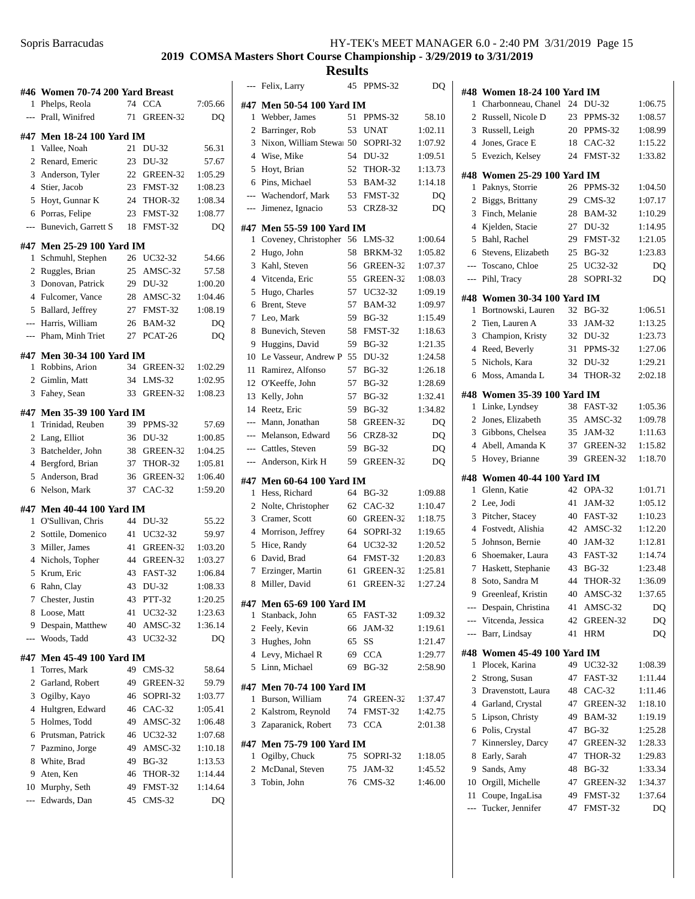## **2019 COMSA Masters Short Course Championship - 3/29/2019 to 3/31/2019**

|                | #46 Women 70-74 200 Yard Breast |    |                |         |
|----------------|---------------------------------|----|----------------|---------|
| 1              | Phelps, Reola                   | 74 | <b>CCA</b>     | 7:05.66 |
| $\overline{a}$ | Prall, Winifred                 | 71 | GREEN-32       | DQ      |
|                |                                 |    |                |         |
|                | #47 Men 18-24 100 Yard IM       |    |                |         |
| 1              | Vallee, Noah                    | 21 | DU-32          | 56.31   |
| 2              | Renard, Emeric                  | 23 | DU-32          | 57.67   |
| 3              | Anderson, Tyler                 | 22 | GREEN-32       | 1:05.29 |
| 4              | Stier, Jacob                    | 23 | FMST-32        | 1:08.23 |
| 5              | Hoyt, Gunnar K                  | 24 | THOR-32        | 1:08.34 |
| 6              | Porras, Felipe                  | 23 | FMST-32        | 1:08.77 |
| ---            | <b>Bunevich, Garrett S</b>      | 18 | FMST-32        | DQ      |
|                | #47 Men 25-29 100 Yard IM       |    |                |         |
| 1              | Schmuhl, Stephen                | 26 | UC32-32        | 54.66   |
| 2              | Ruggles, Brian                  | 25 | AMSC-32        | 57.58   |
| 3              | Donovan, Patrick                | 29 | DU-32          | 1:00.20 |
|                | 4 Fulcomer, Vance               | 28 | AMSC-32        | 1:04.46 |
|                | 5 Ballard, Jeffrey              | 27 | FMST-32        | 1:08.19 |
|                | --- Harris, William             | 26 | <b>BAM-32</b>  | DQ      |
| ---            | Pham, Minh Triet                | 27 | PCAT-26        | DQ      |
|                |                                 |    |                |         |
|                | #47 Men 30-34 100 Yard IM       |    |                |         |
| 1              | Robbins, Arion                  | 34 | GREEN-32       | 1:02.29 |
|                | 2 Gimlin, Matt                  | 34 | $LMS-32$       | 1:02.95 |
| 3              | Fahey, Sean                     | 33 | GREEN-32       | 1:08.23 |
| #47            | <b>Men 35-39 100 Yard IM</b>    |    |                |         |
| 1              | Trinidad, Reuben                | 39 | PPMS-32        | 57.69   |
| 2              | Lang, Elliot                    | 36 | DU-32          | 1:00.85 |
| 3              | Batchelder, John                | 38 | GREEN-32       | 1:04.25 |
| $\overline{4}$ | Bergford, Brian                 | 37 | THOR-32        | 1:05.81 |
| 5              | Anderson, Brad                  | 36 | GREEN-32       | 1:06.40 |
| 6              | Nelson, Mark                    | 37 | $CAC-32$       | 1:59.20 |
|                |                                 |    |                |         |
|                | #47 Men 40-44 100 Yard IM       |    |                |         |
| 1              | O'Sullivan, Chris               | 44 | DU-32          | 55.22   |
|                | 2 Sottile, Domenico             | 41 | UC32-32        | 59.97   |
| 3              | Miller, James                   | 41 | GREEN-32       | 1:03.20 |
| $\overline{4}$ | Nichols, Topher                 | 44 | GREEN-32       | 1:03.27 |
| 5              | Krum, Eric                      | 43 | <b>FAST-32</b> | 1:06.84 |
| 6              | Rahn, Clay                      | 43 | DU-32          | 1:08.33 |
| 7              | Chester, Justin                 | 43 | PTT-32         | 1:20.25 |
| 8              | Loose, Matt                     | 41 | UC32-32        | 1:23.63 |
| 9              | Despain, Matthew                | 40 | AMSC-32        | 1:36.14 |
| $---$          | Woods, Tadd                     | 43 | UC32-32        | DQ      |
| #47            | Men 45-49 100 Yard IM           |    |                |         |
| 1              | Torres, Mark                    | 49 | $CMS-32$       | 58.64   |
| 2              | Garland, Robert                 | 49 | GREEN-32       | 59.79   |
| 3              | Ogilby, Kayo                    | 46 | SOPRI-32       | 1:03.77 |
| 4              | Hultgren, Edward                | 46 | $CAC-32$       | 1:05.41 |
| 5              | Holmes, Todd                    |    | AMSC-32        |         |
|                |                                 | 49 |                | 1:06.48 |
| 6              | Prutsman, Patrick               | 46 | UC32-32        | 1:07.68 |
| 7              | Pazmino, Jorge                  | 49 | AMSC-32        | 1:10.18 |
| 8              | White, Brad                     | 49 | <b>BG-32</b>   | 1:13.53 |
| 9              | Aten, Ken                       | 46 | THOR-32        | 1:14.44 |
| 10             | Murphy, Seth                    | 49 | FMST-32        | 1:14.64 |
| ---            | Edwards, Dan                    | 45 | CMS-32         | DQ      |
|                |                                 |    |                |         |

| $\overline{a}$ | Felix, Larry                 | 45 | PPMS-32        | DQ      |
|----------------|------------------------------|----|----------------|---------|
|                | #47 Men 50-54 100 Yard IM    |    |                |         |
| 1              | Webber, James                | 51 | PPMS-32        | 58.10   |
| 2              | Barringer, Rob               | 53 | <b>UNAT</b>    | 1:02.11 |
| 3              | Nixon, William Stewar 50     |    | SOPRI-32       | 1:07.92 |
| 4              | Wise, Mike                   | 54 | DU-32          | 1:09.51 |
| 5              | Hoyt, Brian                  | 52 | THOR-32        | 1:13.73 |
| 6              | Pins, Michael                | 53 | <b>BAM-32</b>  | 1:14.18 |
| $\overline{a}$ | Wachendorf, Mark             | 53 | FMST-32        | DQ      |
| $\overline{a}$ | Jimenez, Ignacio             | 53 | CRZ8-32        | DQ      |
| #47            | Men 55-59 100 Yard IM        |    |                |         |
| 1              | Coveney, Christopher         | 56 | $LMS-32$       | 1:00.64 |
| 2              | Hugo, John                   | 58 | BRKM-32        | 1:05.82 |
| 3              | Kahl, Steven                 | 56 | GREEN-32       | 1:07.37 |
| 4              | Vitcenda, Eric               | 55 | GREEN-32       | 1:08.03 |
| 5              | Hugo, Charles                | 57 | UC32-32        | 1:09.19 |
| 6              | Brent, Steve                 | 57 | <b>BAM-32</b>  | 1:09.97 |
| 7              |                              | 59 |                | 1:15.49 |
|                | Leo, Mark                    |    | <b>BG-32</b>   |         |
| 8              | Bunevich, Steven             | 58 | FMST-32        | 1:18.63 |
| 9              | Huggins, David               | 59 | <b>BG-32</b>   | 1:21.35 |
| 10             | Le Vasseur, Andrew P         | 55 | DU-32          | 1:24.58 |
| 11             | Ramirez, Alfonso             | 57 | <b>BG-32</b>   | 1:26.18 |
| 12             | O'Keeffe, John               | 57 | <b>BG-32</b>   | 1:28.69 |
| 13             | Kelly, John                  | 57 | <b>BG-32</b>   | 1:32.41 |
| 14             | Reetz, Eric                  | 59 | <b>BG-32</b>   | 1:34.82 |
| ---            | Mann, Jonathan               | 58 | GREEN-32       | DQ      |
| $\cdots$       | Melanson, Edward             | 56 | <b>CRZ8-32</b> | DQ      |
| $---$          | Cattles, Steven              | 59 | <b>BG-32</b>   | DQ      |
| $---$          | Anderson, Kirk H             | 59 | GREEN-32       | DQ      |
| #47            | <b>Men 60-64 100 Yard IM</b> |    |                |         |
| 1              | Hess, Richard                | 64 | <b>BG-32</b>   | 1:09.88 |
| 2              | Nolte, Christopher           | 62 | $CAC-32$       | 1:10.47 |
| 3              | Cramer, Scott                | 60 | GREEN-32       | 1:18.75 |
| 4              | Morrison, Jeffrey            | 64 | SOPRI-32       | 1:19.65 |
| 5              | Hice, Randy                  | 64 | UC32-32        | 1:20.52 |
| 6              | David, Brad                  | 64 | FMST-32        | 1:20.83 |
| $\tau$         | Erzinger, Martin             | 61 | GREEN-32       | 1:25.81 |
|                | 8 Miller, David              |    | 61 GREEN-32    | 1:27.24 |
|                |                              |    |                |         |
|                | #47 Men 65-69 100 Yard IM    | 65 |                |         |
| 1              | Stanback, John               |    | FAST-32        | 1:09.32 |
|                | 2 Feely, Kevin               |    | 66 JAM-32      | 1:19.61 |
|                | 3 Hughes, John               |    | 65 SS          | 1:21.47 |
|                | 4 Levy, Michael R            |    | 69 CCA         | 1:29.77 |
| 5              | Linn, Michael                | 69 | <b>BG-32</b>   | 2:58.90 |
|                | #47 Men 70-74 100 Yard IM    |    |                |         |
| 1              | Burson, William              | 74 | GREEN-32       | 1:37.47 |
|                | 2 Kalstrom, Reynold          | 74 | FMST-32        | 1:42.75 |
|                | 3 Zaparanick, Robert         | 73 | <b>CCA</b>     | 2:01.38 |
|                | #47 Men 75-79 100 Yard IM    |    |                |         |
| 1              | Ogilby, Chuck                | 75 | SOPRI-32       | 1:18.05 |
| 2              | McDanal, Steven              | 75 | JAM-32         | 1:45.52 |
| 3              | Tobin, John                  |    | 76 CMS-32      | 1:46.00 |
|                |                              |    |                |         |
|                |                              |    |                |         |
|                |                              |    |                |         |

| #48            | <b>Women 18-24 100 Yard IM</b>      |          |                    |               |  |  |
|----------------|-------------------------------------|----------|--------------------|---------------|--|--|
| 1              | Charbonneau, Chanel                 | 24       | DU-32              | 1:06.75       |  |  |
| 2              | Russell, Nicole D                   | 23       | PPMS-32            | 1:08.57       |  |  |
| 3              | Russell, Leigh                      |          | 20 PPMS-32         | 1:08.99       |  |  |
| $\overline{4}$ | Jones, Grace E                      | 18       | $CAC-32$           | 1:15.22       |  |  |
| 5              | Evezich, Kelsey                     | 24       | FMST-32            | 1:33.82       |  |  |
| #48            | <b>Women 25-29 100 Yard IM</b>      |          |                    |               |  |  |
| 1              | Paknys, Storrie                     | 26       | PPMS-32            | 1:04.50       |  |  |
| 2              | Biggs, Brittany                     | 29       | $CMS-32$           | 1:07.17       |  |  |
| 3              | Finch, Melanie                      | 28       | <b>BAM-32</b>      | 1:10.29       |  |  |
| 4              | Kjelden, Stacie                     | 27       | DU-32              | 1:14.95       |  |  |
| 5              | Bahl, Rachel                        | 29       | FMST-32            | 1:21.05       |  |  |
| 6              | Stevens, Elizabeth                  | 25       | <b>BG-32</b>       | 1:23.83       |  |  |
| ---            | Toscano, Chloe                      | 25       | UC32-32            | DQ            |  |  |
| $\overline{a}$ | Pihl, Tracy                         | 28       | SOPRI-32           | DQ            |  |  |
| #48            | <b>Women 30-34 100 Yard IM</b>      |          |                    |               |  |  |
| 1              | Bortnowski, Lauren                  | 32       | <b>BG-32</b>       | 1:06.51       |  |  |
| 2              | Tien, Lauren A                      | 33       | JAM-32             | 1:13.25       |  |  |
| 3              | Champion, Kristy                    | 32       | DU-32              | 1:23.73       |  |  |
| 4              | Reed, Beverly                       | 31       | PPMS-32            | 1:27.06       |  |  |
| 5              | Nichols, Kara                       | 32       | DU-32              | 1:29.21       |  |  |
| 6              | Moss, Amanda L                      | 34       | THOR-32            | 2:02.18       |  |  |
| #48            | <b>Women 35-39 100 Yard IM</b>      |          |                    |               |  |  |
| 1              | Linke, Lyndsey                      | 38       | FAST-32            | 1:05.36       |  |  |
| 2              | Jones, Elizabeth                    | 35       | AMSC-32            | 1:09.78       |  |  |
| 3              | Gibbons, Chelsea                    | 35       | JAM-32             | 1:11.63       |  |  |
| $\overline{4}$ | Abell, Amanda K                     | 37       | GREEN-32           | 1:15.82       |  |  |
| 5              | Hovey, Brianne                      | 39       | GREEN-32           | 1:18.70       |  |  |
| #48            | <b>Women 40-44 100 Yard IM</b>      |          |                    |               |  |  |
| 1              | Glenn, Katie                        | 42       | OPA-32             | 1:01.71       |  |  |
| 2              | Lee, Jodi                           | 41       | JAM-32             | 1:05.12       |  |  |
| 3              | Pitcher, Stacey                     | 40       | FAST-32            | 1:10.23       |  |  |
| $\overline{4}$ | Fostvedt, Alishia                   | 42       | AMSC-32            | 1:12.20       |  |  |
| 5              | Johnson, Bernie                     | 40       | JAM-32             | 1:12.81       |  |  |
| 6              | Shoemaker, Laura                    | 43       | FAST-32            | 1:14.74       |  |  |
| 7              | Haskett, Stephanie                  | 43       | <b>BG-32</b>       | 1:23.48       |  |  |
| 8              | Soto, Sandra M                      | 44       | THOR-32            | 1:36.09       |  |  |
|                | 9 Greenleaf, Kristin                |          | 40 AMSC-32         | 1:37.65       |  |  |
|                | --- Despain, Christina              | 41       | AMSC-32            | DQ            |  |  |
|                | --- Vitcenda, Jessica               | 42       | GREEN-32           | DQ            |  |  |
| $---$          | Barr, Lindsay                       | 41       | <b>HRM</b>         | DQ            |  |  |
|                | #48 Women 45-49 100 Yard IM         |          |                    |               |  |  |
| 1              | Plocek, Karina                      | 49       | UC32-32            | 1:08.39       |  |  |
| 2              | Strong, Susan                       | 47       | FAST-32            | 1:11.44       |  |  |
| 3              | Dravenstott, Laura                  | 48       | $CAC-32$           | 1:11.46       |  |  |
| 4              | Garland, Crystal                    | 47       | GREEN-32           | 1:18.10       |  |  |
| 5              | Lipson, Christy                     | 49       | <b>BAM-32</b>      | 1:19.19       |  |  |
| 6              | Polis, Crystal                      | 47       | <b>BG-32</b>       | 1:25.28       |  |  |
| 7              | Kinnersley, Darcy                   | 47       | GREEN-32           | 1:28.33       |  |  |
| 8              | Early, Sarah                        | 47       | THOR-32            | 1:29.83       |  |  |
| 9              | Sands, Amy                          | 48       | <b>BG-32</b>       | 1:33.34       |  |  |
| 10             | Orgill, Michelle                    | 47       | GREEN-32           | 1:34.37       |  |  |
| 11<br>---      | Coupe, IngaLisa<br>Tucker, Jennifer | 49<br>47 | FMST-32<br>FMST-32 | 1:37.64<br>DQ |  |  |
|                |                                     |          |                    |               |  |  |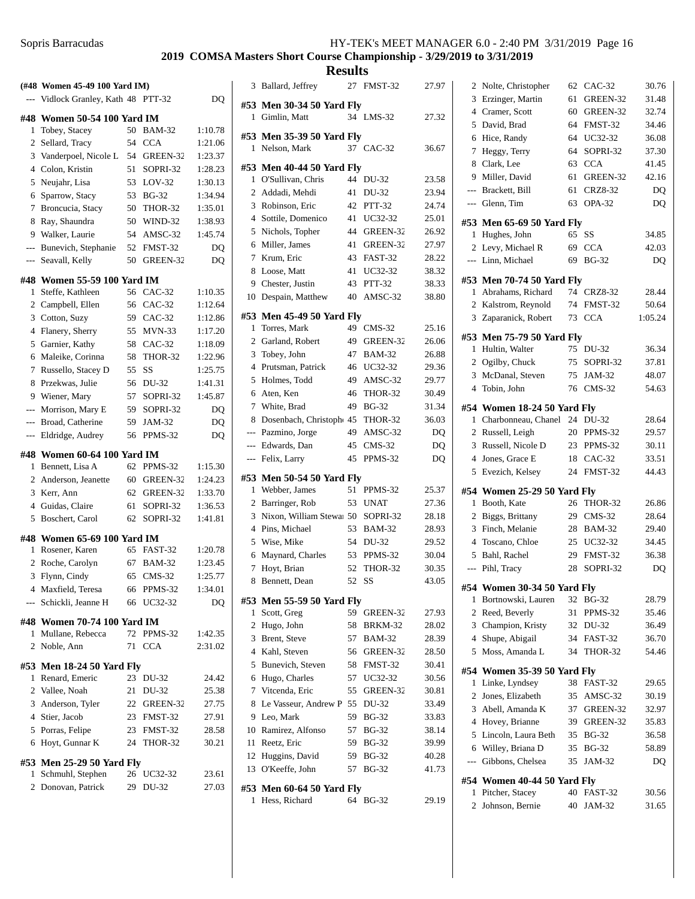|              | (#48 Women 45-49 100 Yard IM)                   |    |               |         |
|--------------|-------------------------------------------------|----|---------------|---------|
|              | Vidlock Granley, Kath 48                        |    | PTT-32        | DQ      |
|              | #48 Women 50-54 100 Yard IM                     |    |               |         |
| 1            | Tobey, Stacey                                   | 50 | <b>BAM-32</b> | 1:10.78 |
| 2            | Sellard, Tracy                                  |    | 54 CCA        | 1:21.06 |
| 3            | Vanderpoel, Nicole L                            | 54 | GREEN-32      | 1:23.37 |
| 4            | Colon, Kristin                                  | 51 | SOPRI-32      | 1:28.23 |
| 5            | Neujahr, Lisa                                   |    | 53 LOV-32     | 1:30.13 |
| 6            | Sparrow, Stacy                                  | 53 | <b>BG-32</b>  | 1:34.94 |
| 7            | Broncucia, Stacy                                | 50 | THOR-32       | 1:35.01 |
| 8            | Ray, Shaundra                                   | 50 | WIND-32       | 1:38.93 |
| 9            | Walker, Laurie                                  | 54 | AMSC-32       | 1:45.74 |
| $---$        | Bunevich, Stephanie                             | 52 | FMST-32       | DQ      |
| ---          | Seavall, Kelly                                  | 50 | GREEN-32      | DQ      |
|              |                                                 |    |               |         |
|              | #48 Women 55-59 100 Yard IM                     |    |               |         |
| 1            | Steffe, Kathleen                                |    | 56 CAC-32     | 1:10.35 |
|              | 2 Campbell, Ellen                               |    | 56 CAC-32     | 1:12.64 |
| 3            | Cotton, Suzy                                    |    | 59 CAC-32     | 1:12.86 |
| 4            | Flanery, Sherry                                 | 55 | $MVN-33$      | 1:17.20 |
| 5            | Garnier, Kathy                                  | 58 | $CAC-32$      | 1:18.09 |
| 6            | Maleike, Corinna                                | 58 | THOR-32       | 1:22.96 |
| 7            | Russello, Stacey D                              | 55 | SS            | 1:25.75 |
| 8            | Przekwas, Julie                                 | 56 | DU-32         | 1:41.31 |
| 9            | Wiener, Mary                                    | 57 | SOPRI-32      | 1:45.87 |
| $---$        | Morrison, Mary E                                | 59 | SOPRI-32      | DO      |
| $---$        | Broad, Catherine                                | 59 | <b>JAM-32</b> | DQ      |
| ---          | Eldridge, Audrey                                | 56 | PPMS-32       | DQ      |
|              | #48 Women 60-64 100 Yard IM                     |    |               |         |
| 1            | Bennett, Lisa A                                 | 62 | PPMS-32       | 1:15.30 |
| 2            | Anderson, Jeanette                              | 60 | GREEN-32      | 1:24.23 |
| 3            | Kerr, Ann                                       | 62 | GREEN-32      | 1:33.70 |
| 4            | Guidas, Claire                                  | 61 | SOPRI-32      | 1:36.53 |
| 5            | Boschert, Carol                                 | 62 | SOPRI-32      | 1:41.81 |
|              |                                                 |    |               |         |
|              | #48 Women 65-69 100 Yard IM<br>1 Rosener, Karen | 65 | FAST-32       | 1:20.78 |
| 2            | Roche, Carolyn                                  | 67 | <b>BAM-32</b> | 1:23.45 |
| 3            | Flynn, Cindy                                    | 65 | $CMS-32$      | 1:25.77 |
|              | 4 Maxfield, Teresa                              | 66 | PPMS-32       | 1:34.01 |
| $---$        | Schickli, Jeanne H                              | 66 | UC32-32       | DQ      |
|              |                                                 |    |               |         |
|              | #48 Women 70-74 100 Yard IM                     |    |               |         |
|              | 1 Mullane, Rebecca                              | 72 | PPMS-32       | 1:42.35 |
| 2            | Noble, Ann                                      | 71 | <b>CCA</b>    | 2:31.02 |
|              | #53 Men 18-24 50 Yard Fly                       |    |               |         |
|              | 1 Renard, Emeric                                | 23 | DU-32         | 24.42   |
|              | 2 Vallee, Noah                                  | 21 | DU-32         | 25.38   |
|              | 3 Anderson, Tyler                               |    | 22 GREEN-32   | 27.75   |
|              | 4 Stier, Jacob                                  |    | 23 FMST-32    | 27.91   |
|              | 5 Porras, Felipe                                |    | 23 FMST-32    | 28.58   |
|              | 6 Hoyt, Gunnar K                                | 24 | THOR-32       | 30.21   |
|              |                                                 |    |               |         |
|              | #53 Men 25-29 50 Yard Fly                       |    |               |         |
| $\mathbf{1}$ | Schmuhl, Stephen                                | 26 | UC32-32       | 23.61   |
| $\mathbf{2}$ | Donovan, Patrick                                | 29 | DU-32         | 27.03   |

| Ballard, Jeffrey  |                                                                                                                                                                                                                                                                                                                                                                                                                                                                                                                                                                                                                                                                                                                                       |                                                                                              | 27.97                                                                                                                                                                                                                                                                                                                                                                                                                                                                                                                                                                                                                                                                                                                                                                                                                                                       |
|-------------------|---------------------------------------------------------------------------------------------------------------------------------------------------------------------------------------------------------------------------------------------------------------------------------------------------------------------------------------------------------------------------------------------------------------------------------------------------------------------------------------------------------------------------------------------------------------------------------------------------------------------------------------------------------------------------------------------------------------------------------------|----------------------------------------------------------------------------------------------|-------------------------------------------------------------------------------------------------------------------------------------------------------------------------------------------------------------------------------------------------------------------------------------------------------------------------------------------------------------------------------------------------------------------------------------------------------------------------------------------------------------------------------------------------------------------------------------------------------------------------------------------------------------------------------------------------------------------------------------------------------------------------------------------------------------------------------------------------------------|
|                   |                                                                                                                                                                                                                                                                                                                                                                                                                                                                                                                                                                                                                                                                                                                                       |                                                                                              |                                                                                                                                                                                                                                                                                                                                                                                                                                                                                                                                                                                                                                                                                                                                                                                                                                                             |
|                   |                                                                                                                                                                                                                                                                                                                                                                                                                                                                                                                                                                                                                                                                                                                                       |                                                                                              | 27.32                                                                                                                                                                                                                                                                                                                                                                                                                                                                                                                                                                                                                                                                                                                                                                                                                                                       |
|                   |                                                                                                                                                                                                                                                                                                                                                                                                                                                                                                                                                                                                                                                                                                                                       |                                                                                              |                                                                                                                                                                                                                                                                                                                                                                                                                                                                                                                                                                                                                                                                                                                                                                                                                                                             |
| Nelson, Mark      |                                                                                                                                                                                                                                                                                                                                                                                                                                                                                                                                                                                                                                                                                                                                       |                                                                                              | 36.67                                                                                                                                                                                                                                                                                                                                                                                                                                                                                                                                                                                                                                                                                                                                                                                                                                                       |
|                   |                                                                                                                                                                                                                                                                                                                                                                                                                                                                                                                                                                                                                                                                                                                                       |                                                                                              |                                                                                                                                                                                                                                                                                                                                                                                                                                                                                                                                                                                                                                                                                                                                                                                                                                                             |
| O'Sullivan, Chris | 44                                                                                                                                                                                                                                                                                                                                                                                                                                                                                                                                                                                                                                                                                                                                    |                                                                                              | 23.58                                                                                                                                                                                                                                                                                                                                                                                                                                                                                                                                                                                                                                                                                                                                                                                                                                                       |
|                   | 41                                                                                                                                                                                                                                                                                                                                                                                                                                                                                                                                                                                                                                                                                                                                    |                                                                                              | 23.94                                                                                                                                                                                                                                                                                                                                                                                                                                                                                                                                                                                                                                                                                                                                                                                                                                                       |
|                   |                                                                                                                                                                                                                                                                                                                                                                                                                                                                                                                                                                                                                                                                                                                                       |                                                                                              | 24.74                                                                                                                                                                                                                                                                                                                                                                                                                                                                                                                                                                                                                                                                                                                                                                                                                                                       |
|                   |                                                                                                                                                                                                                                                                                                                                                                                                                                                                                                                                                                                                                                                                                                                                       |                                                                                              | 25.01                                                                                                                                                                                                                                                                                                                                                                                                                                                                                                                                                                                                                                                                                                                                                                                                                                                       |
|                   |                                                                                                                                                                                                                                                                                                                                                                                                                                                                                                                                                                                                                                                                                                                                       |                                                                                              | 26.92                                                                                                                                                                                                                                                                                                                                                                                                                                                                                                                                                                                                                                                                                                                                                                                                                                                       |
|                   |                                                                                                                                                                                                                                                                                                                                                                                                                                                                                                                                                                                                                                                                                                                                       |                                                                                              | 27.97                                                                                                                                                                                                                                                                                                                                                                                                                                                                                                                                                                                                                                                                                                                                                                                                                                                       |
|                   |                                                                                                                                                                                                                                                                                                                                                                                                                                                                                                                                                                                                                                                                                                                                       |                                                                                              | 28.22                                                                                                                                                                                                                                                                                                                                                                                                                                                                                                                                                                                                                                                                                                                                                                                                                                                       |
|                   |                                                                                                                                                                                                                                                                                                                                                                                                                                                                                                                                                                                                                                                                                                                                       |                                                                                              | 38.32                                                                                                                                                                                                                                                                                                                                                                                                                                                                                                                                                                                                                                                                                                                                                                                                                                                       |
|                   |                                                                                                                                                                                                                                                                                                                                                                                                                                                                                                                                                                                                                                                                                                                                       |                                                                                              | 38.33                                                                                                                                                                                                                                                                                                                                                                                                                                                                                                                                                                                                                                                                                                                                                                                                                                                       |
|                   |                                                                                                                                                                                                                                                                                                                                                                                                                                                                                                                                                                                                                                                                                                                                       |                                                                                              | 38.80                                                                                                                                                                                                                                                                                                                                                                                                                                                                                                                                                                                                                                                                                                                                                                                                                                                       |
|                   |                                                                                                                                                                                                                                                                                                                                                                                                                                                                                                                                                                                                                                                                                                                                       |                                                                                              |                                                                                                                                                                                                                                                                                                                                                                                                                                                                                                                                                                                                                                                                                                                                                                                                                                                             |
| Torres, Mark      |                                                                                                                                                                                                                                                                                                                                                                                                                                                                                                                                                                                                                                                                                                                                       | $CMS-32$                                                                                     | 25.16                                                                                                                                                                                                                                                                                                                                                                                                                                                                                                                                                                                                                                                                                                                                                                                                                                                       |
|                   |                                                                                                                                                                                                                                                                                                                                                                                                                                                                                                                                                                                                                                                                                                                                       |                                                                                              | 26.06                                                                                                                                                                                                                                                                                                                                                                                                                                                                                                                                                                                                                                                                                                                                                                                                                                                       |
|                   |                                                                                                                                                                                                                                                                                                                                                                                                                                                                                                                                                                                                                                                                                                                                       |                                                                                              | 26.88                                                                                                                                                                                                                                                                                                                                                                                                                                                                                                                                                                                                                                                                                                                                                                                                                                                       |
|                   |                                                                                                                                                                                                                                                                                                                                                                                                                                                                                                                                                                                                                                                                                                                                       |                                                                                              | 29.36                                                                                                                                                                                                                                                                                                                                                                                                                                                                                                                                                                                                                                                                                                                                                                                                                                                       |
|                   |                                                                                                                                                                                                                                                                                                                                                                                                                                                                                                                                                                                                                                                                                                                                       |                                                                                              | 29.77                                                                                                                                                                                                                                                                                                                                                                                                                                                                                                                                                                                                                                                                                                                                                                                                                                                       |
|                   |                                                                                                                                                                                                                                                                                                                                                                                                                                                                                                                                                                                                                                                                                                                                       |                                                                                              | 30.49                                                                                                                                                                                                                                                                                                                                                                                                                                                                                                                                                                                                                                                                                                                                                                                                                                                       |
|                   |                                                                                                                                                                                                                                                                                                                                                                                                                                                                                                                                                                                                                                                                                                                                       |                                                                                              | 31.34                                                                                                                                                                                                                                                                                                                                                                                                                                                                                                                                                                                                                                                                                                                                                                                                                                                       |
|                   |                                                                                                                                                                                                                                                                                                                                                                                                                                                                                                                                                                                                                                                                                                                                       |                                                                                              | 36.03<br>DQ                                                                                                                                                                                                                                                                                                                                                                                                                                                                                                                                                                                                                                                                                                                                                                                                                                                 |
|                   |                                                                                                                                                                                                                                                                                                                                                                                                                                                                                                                                                                                                                                                                                                                                       |                                                                                              | DQ                                                                                                                                                                                                                                                                                                                                                                                                                                                                                                                                                                                                                                                                                                                                                                                                                                                          |
|                   |                                                                                                                                                                                                                                                                                                                                                                                                                                                                                                                                                                                                                                                                                                                                       |                                                                                              | DQ                                                                                                                                                                                                                                                                                                                                                                                                                                                                                                                                                                                                                                                                                                                                                                                                                                                          |
|                   |                                                                                                                                                                                                                                                                                                                                                                                                                                                                                                                                                                                                                                                                                                                                       |                                                                                              |                                                                                                                                                                                                                                                                                                                                                                                                                                                                                                                                                                                                                                                                                                                                                                                                                                                             |
|                   |                                                                                                                                                                                                                                                                                                                                                                                                                                                                                                                                                                                                                                                                                                                                       |                                                                                              |                                                                                                                                                                                                                                                                                                                                                                                                                                                                                                                                                                                                                                                                                                                                                                                                                                                             |
|                   |                                                                                                                                                                                                                                                                                                                                                                                                                                                                                                                                                                                                                                                                                                                                       |                                                                                              | 25.37                                                                                                                                                                                                                                                                                                                                                                                                                                                                                                                                                                                                                                                                                                                                                                                                                                                       |
|                   |                                                                                                                                                                                                                                                                                                                                                                                                                                                                                                                                                                                                                                                                                                                                       |                                                                                              | 27.36<br>28.18                                                                                                                                                                                                                                                                                                                                                                                                                                                                                                                                                                                                                                                                                                                                                                                                                                              |
|                   |                                                                                                                                                                                                                                                                                                                                                                                                                                                                                                                                                                                                                                                                                                                                       |                                                                                              | 28.93                                                                                                                                                                                                                                                                                                                                                                                                                                                                                                                                                                                                                                                                                                                                                                                                                                                       |
|                   |                                                                                                                                                                                                                                                                                                                                                                                                                                                                                                                                                                                                                                                                                                                                       |                                                                                              | 29.52                                                                                                                                                                                                                                                                                                                                                                                                                                                                                                                                                                                                                                                                                                                                                                                                                                                       |
|                   |                                                                                                                                                                                                                                                                                                                                                                                                                                                                                                                                                                                                                                                                                                                                       |                                                                                              | 30.04                                                                                                                                                                                                                                                                                                                                                                                                                                                                                                                                                                                                                                                                                                                                                                                                                                                       |
|                   |                                                                                                                                                                                                                                                                                                                                                                                                                                                                                                                                                                                                                                                                                                                                       |                                                                                              | 30.35                                                                                                                                                                                                                                                                                                                                                                                                                                                                                                                                                                                                                                                                                                                                                                                                                                                       |
|                   |                                                                                                                                                                                                                                                                                                                                                                                                                                                                                                                                                                                                                                                                                                                                       |                                                                                              | 43.05                                                                                                                                                                                                                                                                                                                                                                                                                                                                                                                                                                                                                                                                                                                                                                                                                                                       |
|                   |                                                                                                                                                                                                                                                                                                                                                                                                                                                                                                                                                                                                                                                                                                                                       |                                                                                              |                                                                                                                                                                                                                                                                                                                                                                                                                                                                                                                                                                                                                                                                                                                                                                                                                                                             |
|                   |                                                                                                                                                                                                                                                                                                                                                                                                                                                                                                                                                                                                                                                                                                                                       |                                                                                              | 27.93                                                                                                                                                                                                                                                                                                                                                                                                                                                                                                                                                                                                                                                                                                                                                                                                                                                       |
|                   |                                                                                                                                                                                                                                                                                                                                                                                                                                                                                                                                                                                                                                                                                                                                       |                                                                                              | 28.02                                                                                                                                                                                                                                                                                                                                                                                                                                                                                                                                                                                                                                                                                                                                                                                                                                                       |
|                   |                                                                                                                                                                                                                                                                                                                                                                                                                                                                                                                                                                                                                                                                                                                                       |                                                                                              | 28.39                                                                                                                                                                                                                                                                                                                                                                                                                                                                                                                                                                                                                                                                                                                                                                                                                                                       |
|                   |                                                                                                                                                                                                                                                                                                                                                                                                                                                                                                                                                                                                                                                                                                                                       |                                                                                              | 28.50                                                                                                                                                                                                                                                                                                                                                                                                                                                                                                                                                                                                                                                                                                                                                                                                                                                       |
|                   |                                                                                                                                                                                                                                                                                                                                                                                                                                                                                                                                                                                                                                                                                                                                       |                                                                                              | 30.41                                                                                                                                                                                                                                                                                                                                                                                                                                                                                                                                                                                                                                                                                                                                                                                                                                                       |
|                   |                                                                                                                                                                                                                                                                                                                                                                                                                                                                                                                                                                                                                                                                                                                                       |                                                                                              | 30.56                                                                                                                                                                                                                                                                                                                                                                                                                                                                                                                                                                                                                                                                                                                                                                                                                                                       |
|                   |                                                                                                                                                                                                                                                                                                                                                                                                                                                                                                                                                                                                                                                                                                                                       |                                                                                              | 30.81                                                                                                                                                                                                                                                                                                                                                                                                                                                                                                                                                                                                                                                                                                                                                                                                                                                       |
|                   |                                                                                                                                                                                                                                                                                                                                                                                                                                                                                                                                                                                                                                                                                                                                       |                                                                                              | 33.49                                                                                                                                                                                                                                                                                                                                                                                                                                                                                                                                                                                                                                                                                                                                                                                                                                                       |
|                   |                                                                                                                                                                                                                                                                                                                                                                                                                                                                                                                                                                                                                                                                                                                                       |                                                                                              | 33.83                                                                                                                                                                                                                                                                                                                                                                                                                                                                                                                                                                                                                                                                                                                                                                                                                                                       |
|                   |                                                                                                                                                                                                                                                                                                                                                                                                                                                                                                                                                                                                                                                                                                                                       |                                                                                              | 38.14                                                                                                                                                                                                                                                                                                                                                                                                                                                                                                                                                                                                                                                                                                                                                                                                                                                       |
|                   |                                                                                                                                                                                                                                                                                                                                                                                                                                                                                                                                                                                                                                                                                                                                       |                                                                                              | 39.99                                                                                                                                                                                                                                                                                                                                                                                                                                                                                                                                                                                                                                                                                                                                                                                                                                                       |
|                   |                                                                                                                                                                                                                                                                                                                                                                                                                                                                                                                                                                                                                                                                                                                                       | <b>BG-32</b>                                                                                 | 40.28                                                                                                                                                                                                                                                                                                                                                                                                                                                                                                                                                                                                                                                                                                                                                                                                                                                       |
| O'Keeffe, John    |                                                                                                                                                                                                                                                                                                                                                                                                                                                                                                                                                                                                                                                                                                                                       | BG-32                                                                                        | 41.73                                                                                                                                                                                                                                                                                                                                                                                                                                                                                                                                                                                                                                                                                                                                                                                                                                                       |
|                   |                                                                                                                                                                                                                                                                                                                                                                                                                                                                                                                                                                                                                                                                                                                                       |                                                                                              |                                                                                                                                                                                                                                                                                                                                                                                                                                                                                                                                                                                                                                                                                                                                                                                                                                                             |
|                   |                                                                                                                                                                                                                                                                                                                                                                                                                                                                                                                                                                                                                                                                                                                                       |                                                                                              |                                                                                                                                                                                                                                                                                                                                                                                                                                                                                                                                                                                                                                                                                                                                                                                                                                                             |
|                   | Gimlin, Matt<br>1<br>1<br>Addadi, Mehdi<br>Robinson, Eric<br>Sottile, Domenico<br>$\overline{4}$<br>Nichols, Topher<br>Miller, James<br>Krum, Eric<br>Loose, Matt<br>9 Chester, Justin<br>10<br>Despain, Matthew<br>1<br>Garland, Robert<br>Tobey, John<br>Prutsman, Patrick<br>Holmes, Todd<br>Aten, Ken<br>7 White, Brad<br>--- Pazmino, Jorge<br>--- Edwards, Dan<br>--- Felix, Larry<br>Webber, James<br>2 Barringer, Rob<br>4 Pins, Michael<br>5 Wise, Mike<br>Maynard, Charles<br>Hoyt, Brian<br>Bennett, Dean<br>Scott, Greg<br>2 Hugo, John<br>3 Brent, Steve<br>4 Kahl, Steven<br>5 Bunevich, Steven<br>6 Hugo, Charles<br>7 Vitcenda, Eric<br>Leo, Mark<br>10 Ramirez, Alfonso<br>11 Reetz, Eric<br>12 Huggins, David<br>13 | 49<br>49<br>46<br>49<br>46<br>49<br>49<br>45<br>45<br>53<br>54<br>52<br>52<br>58<br>56<br>55 | <b>Results</b><br>27 FMST-32<br>#53 Men 30-34 50 Yard Fly<br>34 LMS-32<br>#53 Men 35-39 50 Yard Fly<br>37 CAC-32<br>#53 Men 40-44 50 Yard Fly<br>DU-32<br>DU-32<br>42 PTT-32<br>41 UC32-32<br>44 GREEN-32<br>41 GREEN-32<br>43 FAST-32<br>41 UC32-32<br>43 PTT-32<br>40<br>AMSC-32<br>#53 Men 45-49 50 Yard Fly<br>GREEN-32<br>47 BAM-32<br>UC32-32<br>AMSC-32<br>THOR-32<br><b>BG-32</b><br>Dosenbach, Christoph 45 THOR-32<br>AMSC-32<br>$CMS-32$<br>PPMS-32<br>#53 Men 50-54 50 Yard Fly<br>51 PPMS-32<br>53 UNAT<br>Nixon, William Stewar 50 SOPRI-32<br><b>BAM-32</b><br>DU-32<br>53<br>PPMS-32<br>THOR-32<br>SS<br>#53 Men 55-59 50 Yard Fly<br>59 GREEN-32<br>BRKM-32<br>57 BAM-32<br>GREEN-32<br>58 FMST-32<br>57 UC32-32<br>GREEN-32<br>Le Vasseur, Andrew P 55 DU-32<br>59 BG-32<br>57 BG-32<br>59 BG-32<br>59<br>57<br>#53 Men 60-64 50 Yard Fly |

| 2              | Nolte, Christopher                        |    | 62 CAC-32      | 30.76   |  |  |
|----------------|-------------------------------------------|----|----------------|---------|--|--|
| 3              | Erzinger, Martin                          | 61 | GREEN-32       | 31.48   |  |  |
|                | 4 Cramer, Scott                           | 60 | GREEN-32       | 32.74   |  |  |
| 5              | David, Brad                               | 64 | FMST-32        | 34.46   |  |  |
| 6              | Hice, Randy                               | 64 | UC32-32        | 36.08   |  |  |
| 7              | Heggy, Terry                              | 64 | SOPRI-32       | 37.30   |  |  |
| 8              | Clark, Lee                                | 63 | <b>CCA</b>     | 41.45   |  |  |
| 9              | Miller, David                             | 61 | GREEN-32       | 42.16   |  |  |
|                | --- Brackett, Bill                        | 61 | <b>CRZ8-32</b> | DQ      |  |  |
|                | --- Glenn, Tim                            | 63 | <b>OPA-32</b>  | DQ      |  |  |
|                |                                           |    |                |         |  |  |
|                | #53 Men 65-69 50 Yard Fly                 |    |                |         |  |  |
| 1              | Hughes, John                              | 65 | SS             | 34.85   |  |  |
| $\overline{2}$ | Levy, Michael R                           | 69 | <b>CCA</b>     | 42.03   |  |  |
| ---            | Linn, Michael                             | 69 | $BG-32$        | DQ      |  |  |
|                | #53 Men 70-74 50 Yard Fly                 |    |                |         |  |  |
|                | 1 Abrahams, Richard                       | 74 | CRZ8-32        | 28.44   |  |  |
|                | 2 Kalstrom, Reynold                       | 74 | FMST-32        | 50.64   |  |  |
| 3              | Zaparanick, Robert                        | 73 | <b>CCA</b>     | 1:05.24 |  |  |
|                |                                           |    |                |         |  |  |
|                | #53 Men 75-79 50 Yard Fly                 |    |                |         |  |  |
| 1              | Hultin, Walter                            | 75 | DU-32          | 36.34   |  |  |
|                | 2 Ogilby, Chuck                           | 75 | SOPRI-32       | 37.81   |  |  |
| 3              | McDanal, Steven                           | 75 | JAM-32         | 48.07   |  |  |
| 4              | Tobin, John                               | 76 | $CMS-32$       | 54.63   |  |  |
|                | #54 Women 18-24 50 Yard Fly               |    |                |         |  |  |
| 1              | Charbonneau, Chanel                       |    | 24 DU-32       | 28.64   |  |  |
| 2              |                                           |    | 20 PPMS-32     | 29.57   |  |  |
|                | Russell, Leigh                            |    |                |         |  |  |
|                |                                           |    |                |         |  |  |
| 3              | Russell, Nicole D                         |    | 23 PPMS-32     | 30.11   |  |  |
| $\overline{4}$ | Jones, Grace E                            | 18 | $CAC-32$       | 33.51   |  |  |
| 5              | Evezich, Kelsey                           | 24 | FMST-32        | 44.43   |  |  |
|                | #54 Women 25-29 50 Yard Fly               |    |                |         |  |  |
| 1              | Booth, Kate                               | 26 | THOR-32        | 26.86   |  |  |
| 2              | Biggs, Brittany                           | 29 | $CMS-32$       | 28.64   |  |  |
| 3              | Finch, Melanie                            | 28 | <b>BAM-32</b>  | 29.40   |  |  |
|                | 4 Toscano, Chloe                          | 25 | UC32-32        | 34.45   |  |  |
| 5              | Bahl, Rachel                              | 29 | <b>FMST-32</b> | 36.38   |  |  |
| $---$          | Pihl, Tracy                               | 28 | SOPRI-32       | DQ      |  |  |
|                |                                           |    |                |         |  |  |
| #54            | Women 30-34 50 Yard Fly                   |    |                |         |  |  |
| 1              | Bortnowski, Lauren                        | 32 | <b>BG-32</b>   | 28.79   |  |  |
| 2              | Reed, Beverly                             | 31 | PPMS-32        | 35.46   |  |  |
| 3              | Champion, Kristy                          | 32 | DU-32          | 36.49   |  |  |
| 4              | Shupe, Abigail                            | 34 | FAST-32        | 36.70   |  |  |
| 5              | Moss, Amanda L                            | 34 | THOR-32        | 54.46   |  |  |
| #54            |                                           |    |                |         |  |  |
| 1              | Women 35-39 50 Yard Fly<br>Linke, Lyndsey | 38 | FAST-32        | 29.65   |  |  |
| 2              | Jones, Elizabeth                          | 35 | AMSC-32        | 30.19   |  |  |
| 3              | Abell, Amanda K                           | 37 | GREEN-32       | 32.97   |  |  |
| $\overline{4}$ |                                           |    |                |         |  |  |
|                | Hovey, Brianne                            | 39 | GREEN-32       | 35.83   |  |  |
| 5              | Lincoln, Laura Beth                       | 35 | <b>BG-32</b>   | 36.58   |  |  |
| 6              | Willey, Briana D                          | 35 | <b>BG-32</b>   | 58.89   |  |  |
| ---            | Gibbons, Chelsea                          | 35 | JAM-32         | DQ      |  |  |
|                | #54 Women 40-44 50 Yard Fly               |    |                |         |  |  |
| 1              | Pitcher, Stacey<br>Johnson, Bernie        | 40 | FAST-32        | 30.56   |  |  |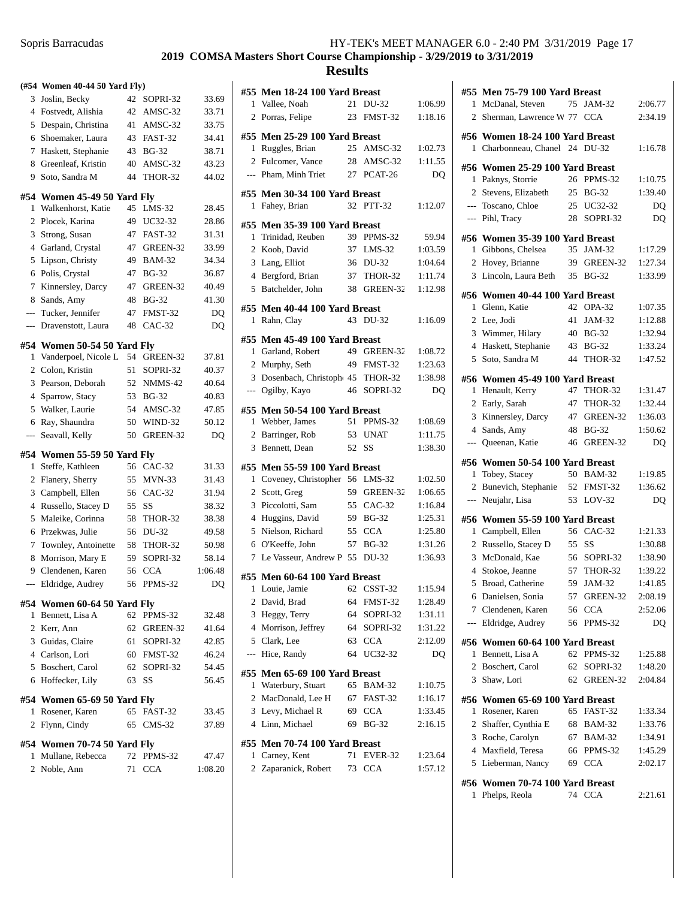## Sopris Barracudas

| HY-TEK's MEET MANAGER 6.0 - 2:40 PM 3/31/2019 Page 17 |  |  |  |
|-------------------------------------------------------|--|--|--|
|-------------------------------------------------------|--|--|--|

# **2019 COMSA Masters Short Course Championship - 3/29/2019 to 3/31/2019**

| (#54           | <b>Women 40-44 50 Yard Fly)</b>                  |    |                         |         |
|----------------|--------------------------------------------------|----|-------------------------|---------|
| 3              | Joslin, Becky                                    | 42 | SOPRI-32                | 33.69   |
| $\overline{4}$ | Fostvedt, Alishia                                | 42 | AMSC-32                 | 33.71   |
| 5              | Despain, Christina                               | 41 | AMSC-32                 | 33.75   |
| 6              | Shoemaker, Laura                                 | 43 | FAST-32                 | 34.41   |
| 7              | Haskett, Stephanie                               | 43 | <b>BG-32</b>            | 38.71   |
| 8              | Greenleaf, Kristin                               | 40 | AMSC-32                 | 43.23   |
| 9              | Soto, Sandra M                                   | 44 | <b>THOR-32</b>          | 44.02   |
|                | #54 Women 45-49 50 Yard Fly                      |    |                         |         |
| 1              | Walkenhorst, Katie                               | 45 | $LMS-32$                | 28.45   |
| $\overline{c}$ | Plocek, Karina                                   | 49 | UC32-32                 | 28.86   |
| 3              | Strong, Susan                                    | 47 | FAST-32                 | 31.31   |
| 4              | Garland, Crystal                                 | 47 | GREEN-32                | 33.99   |
| 5              | Lipson, Christy                                  | 49 | <b>BAM-32</b>           | 34.34   |
| 6              | Polis, Crystal                                   | 47 | <b>BG-32</b>            | 36.87   |
| 7              | Kinnersley, Darcy                                | 47 | GREEN-32                | 40.49   |
| 8              |                                                  | 48 |                         | 41.30   |
|                | Sands, Amy<br>Tucker, Jennifer                   | 47 | <b>BG-32</b><br>FMST-32 | DQ      |
| $---$          |                                                  |    |                         |         |
| $---$          | Dravenstott, Laura                               | 48 | $CAC-32$                | DQ      |
| #54            | Women 50-54 50 Yard Fly                          |    |                         |         |
| 1              | Vanderpoel, Nicole L                             | 54 | GREEN-32                | 37.81   |
| $\overline{c}$ | Colon, Kristin                                   | 51 | SOPRI-32                | 40.37   |
| 3              | Pearson, Deborah                                 | 52 | NMMS-42                 | 40.64   |
| $\overline{4}$ | Sparrow, Stacy                                   | 53 | <b>BG-32</b>            | 40.83   |
| 5              | Walker, Laurie                                   | 54 | AMSC-32                 | 47.85   |
| 6              | Ray, Shaundra                                    | 50 | WIND-32                 | 50.12   |
| ---            | Seavall, Kelly                                   | 50 | GREEN-32                | DQ      |
| #54            | Women 55-59 50 Yard Fly                          |    |                         |         |
| 1              | Steffe, Kathleen                                 | 56 | CAC-32                  | 31.33   |
| 2              | Flanery, Sherry                                  | 55 | $MVN-33$                | 31.43   |
| 3              | Campbell, Ellen                                  | 56 | $CAC-32$                | 31.94   |
| $\overline{4}$ | Russello, Stacey D                               | 55 | SS                      | 38.32   |
| 5              | Maleike, Corinna                                 | 58 | THOR-32                 | 38.38   |
| 6              | Przekwas, Julie                                  | 56 | DU-32                   | 49.58   |
| 7              | Townley, Antoinette                              | 58 | <b>THOR-32</b>          | 50.98   |
| 8              | Morrison, Mary E                                 | 59 | SOPRI-32                | 58.14   |
| 9              | Clendenen, Karen                                 | 56 | <b>CCA</b>              | 1:06.48 |
| ---            | Eldridge, Audrey                                 | 56 | PPMS-32                 | DQ      |
|                |                                                  |    |                         |         |
|                | #54 Women 60-64 50 Yard Fly<br>1 Bennett, Lisa A | 62 | PPMS-32                 | 32.48   |
|                | 2 Kerr, Ann                                      |    | 62 GREEN-32             |         |
|                |                                                  |    |                         | 41.64   |
|                | 3 Guidas, Claire<br>4 Carlson, Lori              |    | 61 SOPRI-32             | 42.85   |
|                |                                                  |    | 60 FMST-32              | 46.24   |
|                | 5 Boschert, Carol                                |    | 62 SOPRI-32             | 54.45   |
|                | 6 Hoffecker, Lily                                |    | 63 SS                   | 56.45   |
|                | #54 Women 65-69 50 Yard Fly                      |    |                         |         |
| $\mathbf{1}$   | Rosener, Karen                                   | 65 | FAST-32                 | 33.45   |
| $\overline{2}$ | Flynn, Cindy                                     | 65 | $CMS-32$                | 37.89   |
|                | #54 Women 70-74 50 Yard Fly                      |    |                         |         |
|                | 1 Mullane, Rebecca                               |    | 72 PPMS-32              | 47.47   |
|                | 2 Noble, Ann                                     |    | 71 CCA                  | 1:08.20 |
|                |                                                  |    |                         |         |
|                |                                                  |    |                         |         |

|                | #55 Men 18-24 100 Yard Breast                   |       |              |         |
|----------------|-------------------------------------------------|-------|--------------|---------|
| 1              | Vallee, Noah                                    | 21    | DU-32        | 1:06.99 |
|                | 2 Porras, Felipe                                |       | 23 FMST-32   | 1:18.16 |
|                |                                                 |       |              |         |
| 1              | #55 Men 25-29 100 Yard Breast<br>Ruggles, Brian |       | 25 AMSC-32   | 1:02.73 |
|                |                                                 |       |              |         |
|                | 2 Fulcomer, Vance                               |       | 28 AMSC-32   | 1:11.55 |
|                | --- Pham, Minh Triet                            |       | 27 PCAT-26   | DQ      |
|                | #55 Men 30-34 100 Yard Breast                   |       |              |         |
| 1              | Fahey, Brian                                    |       | 32 PTT-32    | 1:12.07 |
|                | #55 Men 35-39 100 Yard Breast                   |       |              |         |
| 1              | Trinidad, Reuben                                |       | 39 PPMS-32   | 59.94   |
|                |                                                 |       |              | 1:03.59 |
| 2              | Koob, David                                     |       | 37 LMS-32    |         |
| 3              | Lang, Elliot                                    |       | 36 DU-32     | 1:04.64 |
| $\overline{4}$ | Bergford, Brian                                 |       | 37 THOR-32   | 1:11.74 |
| 5              | Batchelder, John                                |       | 38 GREEN-32  | 1:12.98 |
|                | #55 Men 40-44 100 Yard Breast                   |       |              |         |
| 1              | Rahn, Clay                                      |       | 43 DU-32     | 1:16.09 |
|                |                                                 |       |              |         |
|                | #55 Men 45-49 100 Yard Breast                   |       |              |         |
| 1              | Garland, Robert                                 |       | 49 GREEN-32  | 1:08.72 |
|                | 2 Murphy, Seth                                  |       | 49 FMST-32   | 1:23.63 |
| 3              | Dosenbach, Christoph 45 THOR-32                 |       |              | 1:38.98 |
|                | --- Ogilby, Kayo                                |       | 46 SOPRI-32  | DQ      |
|                | #55 Men 50-54 100 Yard Breast                   |       |              |         |
|                | 1 Webber, James                                 |       | 51 PPMS-32   | 1:08.69 |
| $\overline{2}$ | Barringer, Rob                                  |       | 53 UNAT      | 1:11.75 |
| 3              | Bennett, Dean                                   | 52 SS |              | 1:38.30 |
|                |                                                 |       |              |         |
|                | #55 Men 55-59 100 Yard Breast                   |       |              |         |
| 1              | Coveney, Christopher 56 LMS-32                  |       |              | 1:02.50 |
| $\overline{2}$ | Scott, Greg                                     |       | 59 GREEN-32  | 1:06.65 |
| 3              | Piccolotti, Sam                                 |       | 55 CAC-32    | 1:16.84 |
|                | 4 Huggins, David                                |       | 59 BG-32     | 1:25.31 |
| 5              | Nielson, Richard                                |       | 55 CCA       | 1:25.80 |
|                | 6 O'Keeffe, John                                |       | 57 BG-32     | 1:31.26 |
| 7              | Le Vasseur, Andrew P 55 DU-32                   |       |              | 1:36.93 |
|                | #55 Men 60-64 100 Yard Breast                   |       |              |         |
|                | 1 Louie, Jamie 62 CSST-32                       |       |              | 1:15.94 |
| 2              | David, Brad                                     |       | 64 FMST-32   | 1:28.49 |
|                |                                                 |       |              |         |
| 3              | Heggy, Terry                                    |       | 64 SOPRI-32  | 1:31.11 |
|                | 4 Morrison, Jeffrey                             |       | 64 SOPRI-32  | 1:31.22 |
|                | 5 Clark, Lee                                    | 63    | <b>CCA</b>   | 2:12.09 |
|                | --- Hice, Randy                                 | 64    | UC32-32      | DQ      |
|                | #55 Men 65-69 100 Yard Breast                   |       |              |         |
| 1              | Waterbury, Stuart                               |       | 65 BAM-32    | 1:10.75 |
| 2              | MacDonald, Lee H                                |       | 67 FAST-32   | 1:16.17 |
| 3              | Levy, Michael R                                 |       | 69 CCA       | 1:33.45 |
|                | 4 Linn, Michael                                 | 69    | <b>BG-32</b> | 2:16.15 |
|                |                                                 |       |              |         |
|                | #55 Men 70-74 100 Yard Breast                   |       |              |         |
| 1              | Carney, Kent                                    | 71    | EVER-32      | 1:23.64 |
|                | 2 Zaparanick, Robert                            | 73    | <b>CCA</b>   | 1:57.12 |
|                |                                                 |       |              |         |
|                |                                                 |       |              |         |

|                | #55 Men 75-79 100 Yard Breast                    |          |                |         |  |
|----------------|--------------------------------------------------|----------|----------------|---------|--|
| 1.             | McDanal, Steven                                  | 75       | JAM-32         | 2:06.77 |  |
| $\overline{2}$ | Sherman, Lawrence W 77                           |          | <b>CCA</b>     | 2:34.19 |  |
|                |                                                  |          |                |         |  |
|                | #56 Women 18-24 100 Yard Breast                  |          |                |         |  |
| 1              | Charbonneau, Chanel 24 DU-32                     |          |                | 1:16.78 |  |
|                | #56 Women 25-29 100 Yard Breast                  |          |                |         |  |
| 1              | Paknys, Storrie                                  | 26       | PPMS-32        | 1:10.75 |  |
|                | 2 Stevens, Elizabeth                             | 25       | <b>BG-32</b>   | 1:39.40 |  |
|                | --- Toscano, Chloe                               |          | 25 UC32-32     | DQ      |  |
| ---            | Pihl, Tracy                                      | 28       | SOPRI-32       | DQ      |  |
|                | #56 Women 35-39 100 Yard Breast                  |          |                |         |  |
| 1              | Gibbons, Chelsea                                 | 35       | JAM-32         | 1:17.29 |  |
| 2              | Hovey, Brianne                                   | 39       | GREEN-32       | 1:27.34 |  |
| 3              | Lincoln, Laura Beth                              | 35       | <b>BG-32</b>   | 1:33.99 |  |
|                |                                                  |          |                |         |  |
|                | #56 Women 40-44 100 Yard Breast                  |          |                |         |  |
| 1              | Glenn, Katie                                     | 42       | $OPA-32$       | 1:07.35 |  |
| 2              | Lee, Jodi                                        | 41       | <b>JAM-32</b>  | 1:12.88 |  |
| 3              | Wimmer, Hilary                                   |          | 40 BG-32       | 1:32.94 |  |
| 4              | Haskett, Stephanie                               |          | 43 BG-32       | 1:33.24 |  |
| 5              | Soto, Sandra M                                   | 44       | THOR-32        | 1:47.52 |  |
| #56            | Women 45-49 100 Yard Breast                      |          |                |         |  |
| 1              | Henault, Kerry                                   |          | 47 THOR-32     | 1:31.47 |  |
| 2              | Early, Sarah                                     | 47       | <b>THOR-32</b> | 1:32.44 |  |
| 3              | Kinnersley, Darcy                                | 47       | GREEN-32       | 1:36.03 |  |
| $\overline{4}$ | Sands, Amy                                       | 48       | <b>BG-32</b>   | 1:50.62 |  |
| ---            | Queenan, Katie                                   | 46       | GREEN-32       | DO      |  |
|                |                                                  |          |                |         |  |
|                |                                                  |          |                |         |  |
|                | #56 Women 50-54 100 Yard Breast                  |          |                |         |  |
| 1              | Tobey, Stacey                                    | 50       | BAM-32         | 1:19.85 |  |
| 2<br>$---$     | Bunevich, Stephanie                              | 52<br>53 | FMST-32        | 1:36.62 |  |
|                | Neujahr, Lisa                                    |          | $LOV-32$       | DO      |  |
| #56            | Women 55-59 100 Yard Breast                      |          |                |         |  |
| 1              | Campbell, Ellen                                  |          | 56 CAC-32      | 1:21.33 |  |
| 2              | Russello, Stacey D                               |          | 55 SS          | 1:30.88 |  |
| 3              | McDonald, Kae                                    | 56       | SOPRI-32       | 1:38.90 |  |
| $\overline{4}$ | Stokoe, Jeanne                                   | 57       | THOR-32        | 1:39.22 |  |
| 5              | Broad, Catherine                                 | 59       | JAM-32         | 1:41.85 |  |
| 6              | Danielsen, Sonia                                 | 57       | GREEN-32       | 2:08.19 |  |
| 7              | Clendenen, Karen                                 | 56       | <b>CCA</b>     | 2:52.06 |  |
| $---$          | Eldridge, Audrey                                 | 56       | PPMS-32        | DQ      |  |
|                | #56 Women 60-64 100 Yard Breast                  |          |                |         |  |
| 1              | Bennett, Lisa A                                  |          | 62 PPMS-32     | 1:25.88 |  |
| $\overline{2}$ | Boschert, Carol                                  | 62       | SOPRI-32       | 1:48.20 |  |
| 3              | Shaw, Lori                                       | 62       | GREEN-32       | 2:04.84 |  |
|                |                                                  |          |                |         |  |
| 1              | #56 Women 65-69 100 Yard Breast                  |          |                |         |  |
|                | Rosener, Karen                                   |          | 65 FAST-32     | 1:33.34 |  |
| 2              | Shaffer, Cynthia E                               |          | 68 BAM-32      | 1:33.76 |  |
| 3              | Roche, Carolyn                                   |          | 67 BAM-32      | 1:34.91 |  |
| 4              | Maxfield, Teresa                                 |          | 66 PPMS-32     | 1:45.29 |  |
| 5              | Lieberman, Nancy                                 |          | 69 CCA         | 2:02.17 |  |
| 1              | #56 Women 70-74 100 Yard Breast<br>Phelps, Reola | 74       | <b>CCA</b>     | 2:21.61 |  |